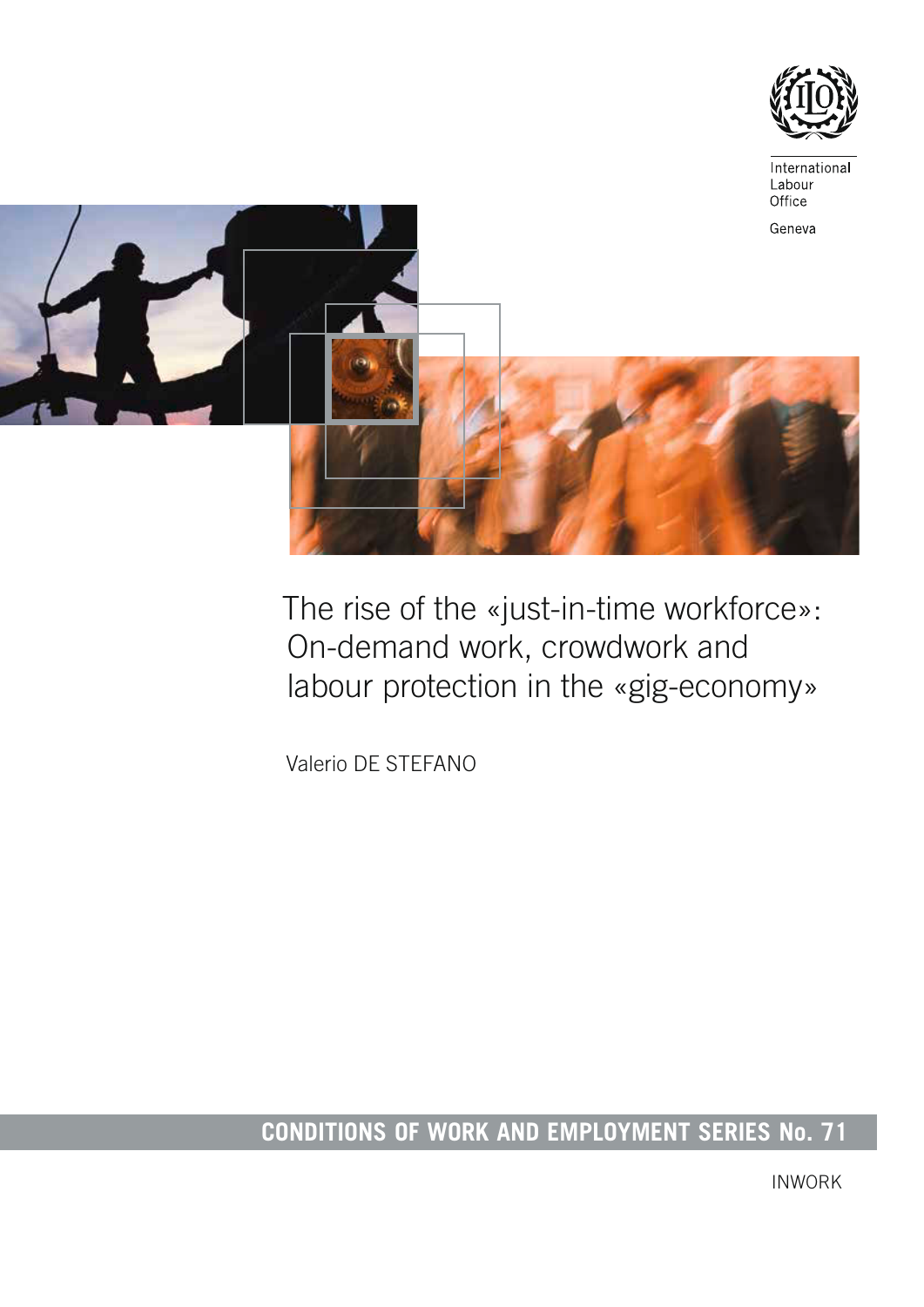

The rise of the «just-in-time workforce»: On-demand work, crowdwork and labour protection in the «gig-economy»

Valerio DE STEFANO

# **CONDITIONS OF WORK AND EMPLOYMENT SERIES No. 71**

INWORK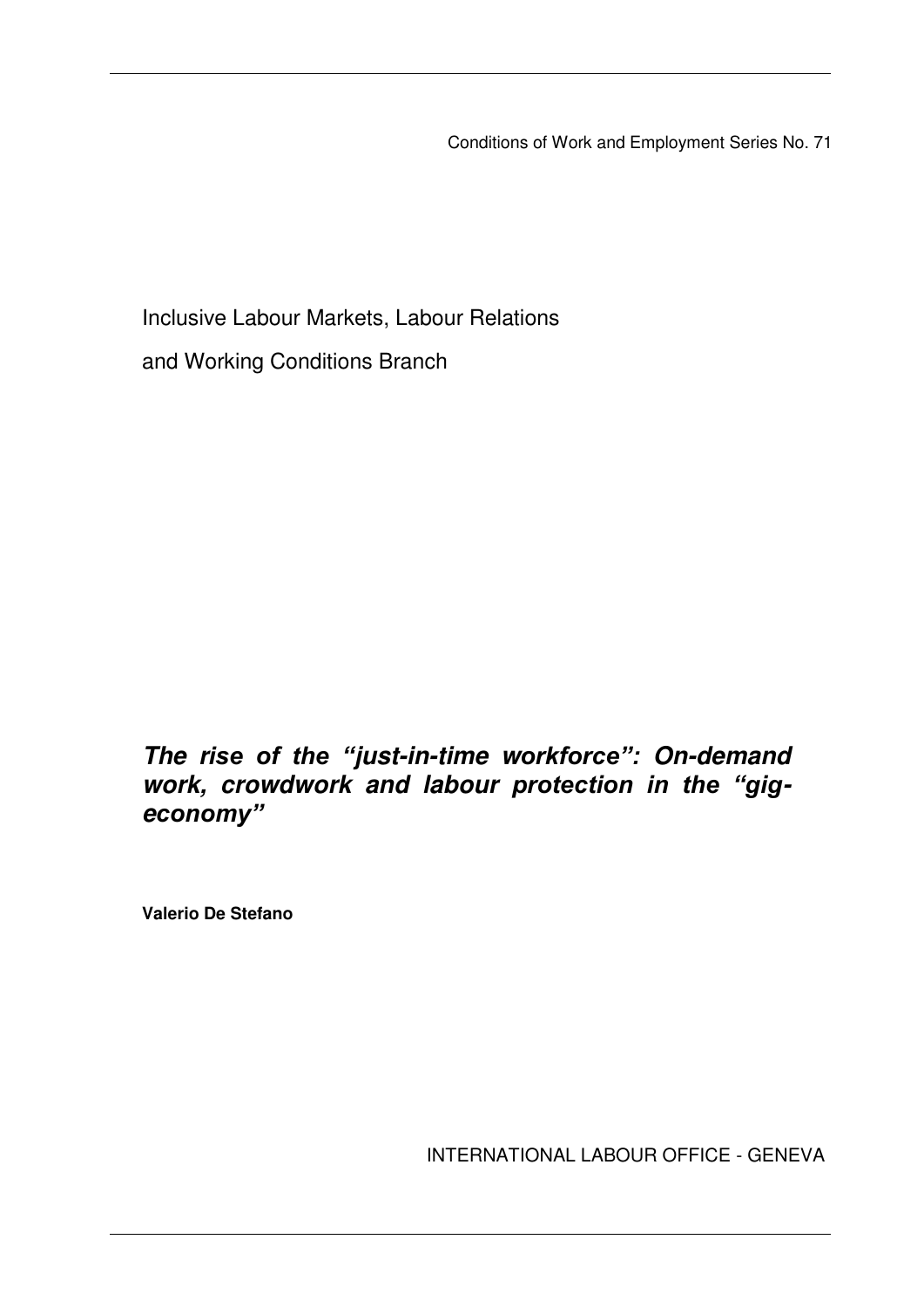Conditions of Work and Employment Series No. 71

Inclusive Labour Markets, Labour Relations and Working Conditions Branch

*The rise of the "just-in-time workforce": On-demand work, crowdwork and labour protection in the "gigeconomy"* 

**Valerio De Stefano** 

INTERNATIONAL LABOUR OFFICE - GENEVA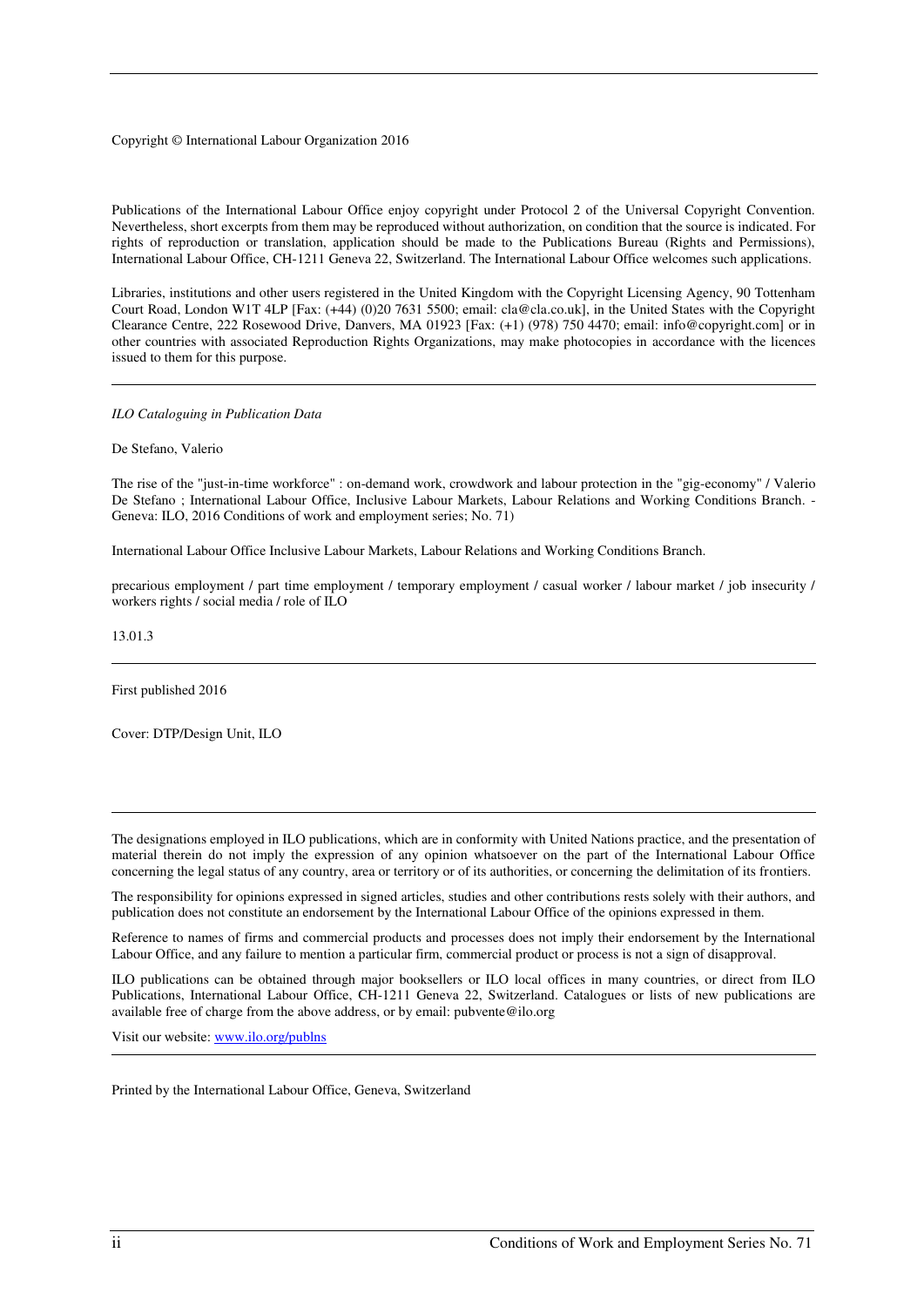#### Copyright © International Labour Organization 2016

Publications of the International Labour Office enjoy copyright under Protocol 2 of the Universal Copyright Convention. Nevertheless, short excerpts from them may be reproduced without authorization, on condition that the source is indicated. For rights of reproduction or translation, application should be made to the Publications Bureau (Rights and Permissions), International Labour Office, CH-1211 Geneva 22, Switzerland. The International Labour Office welcomes such applications.

Libraries, institutions and other users registered in the United Kingdom with the Copyright Licensing Agency, 90 Tottenham Court Road, London W1T 4LP [Fax: (+44) (0)20 7631 5500; email: cla@cla.co.uk], in the United States with the Copyright Clearance Centre, 222 Rosewood Drive, Danvers, MA 01923 [Fax: (+1) (978) 750 4470; email: info@copyright.com] or in other countries with associated Reproduction Rights Organizations, may make photocopies in accordance with the licences issued to them for this purpose.

*ILO Cataloguing in Publication Data* 

De Stefano, Valerio

The rise of the "just-in-time workforce" : on-demand work, crowdwork and labour protection in the "gig-economy" / Valerio De Stefano ; International Labour Office, Inclusive Labour Markets, Labour Relations and Working Conditions Branch. - Geneva: ILO, 2016 Conditions of work and employment series; No. 71)

International Labour Office Inclusive Labour Markets, Labour Relations and Working Conditions Branch.

precarious employment / part time employment / temporary employment / casual worker / labour market / job insecurity / workers rights / social media / role of ILO

13.01.3

First published 2016

Cover: DTP/Design Unit, ILO

The designations employed in ILO publications, which are in conformity with United Nations practice, and the presentation of material therein do not imply the expression of any opinion whatsoever on the part of the International Labour Office concerning the legal status of any country, area or territory or of its authorities, or concerning the delimitation of its frontiers.

The responsibility for opinions expressed in signed articles, studies and other contributions rests solely with their authors, and publication does not constitute an endorsement by the International Labour Office of the opinions expressed in them.

Reference to names of firms and commercial products and processes does not imply their endorsement by the International Labour Office, and any failure to mention a particular firm, commercial product or process is not a sign of disapproval.

ILO publications can be obtained through major booksellers or ILO local offices in many countries, or direct from ILO Publications, International Labour Office, CH-1211 Geneva 22, Switzerland. Catalogues or lists of new publications are available free of charge from the above address, or by email: pubvente@ilo.org

Visit our website: [www.ilo.org/publns](http://www.ilo.org/publns)

Printed by the International Labour Office, Geneva, Switzerland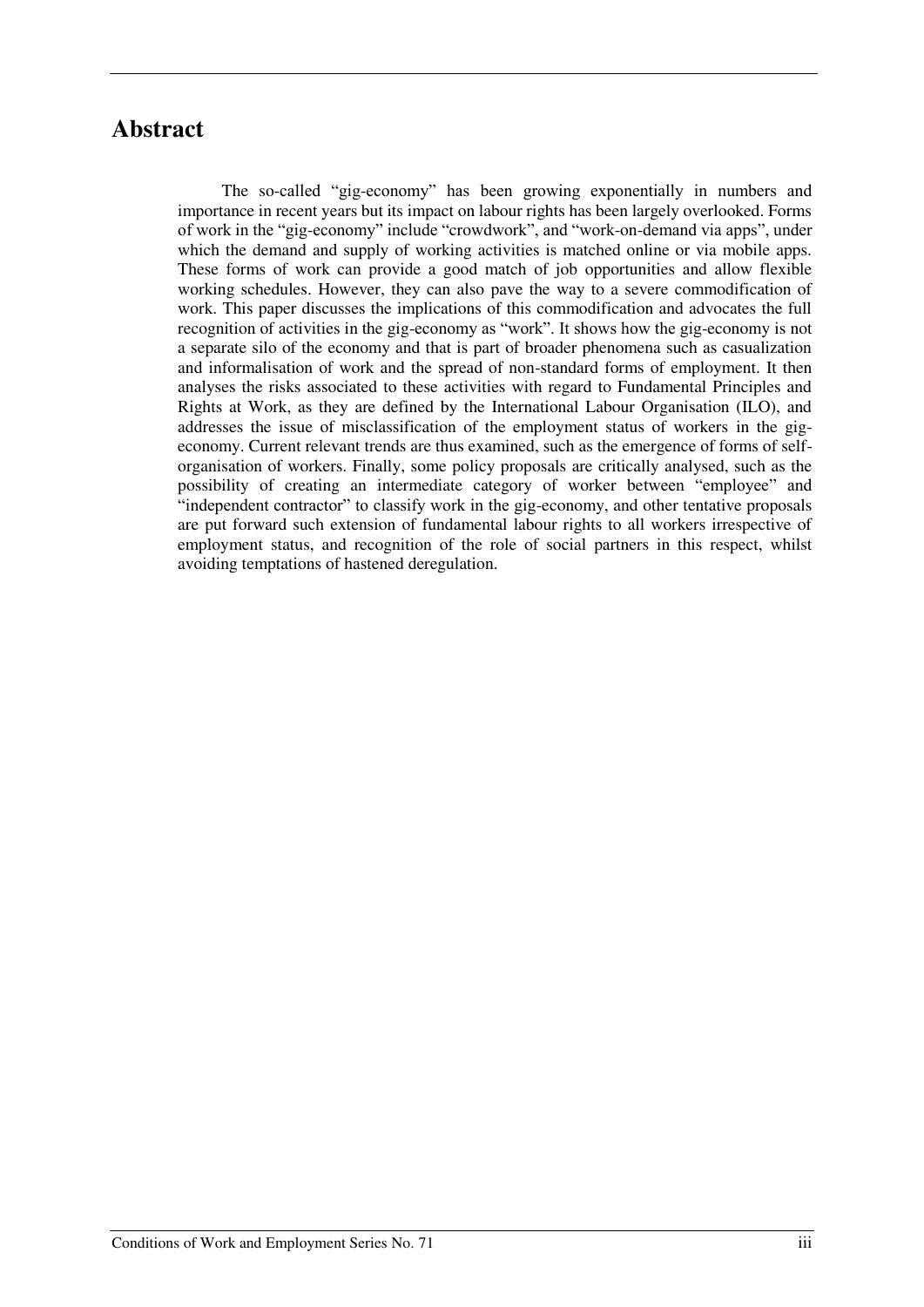#### **Abstract**

The so-called "gig-economy" has been growing exponentially in numbers and importance in recent years but its impact on labour rights has been largely overlooked. Forms of work in the "gig-economy" include "crowdwork", and "work-on-demand via apps", under which the demand and supply of working activities is matched online or via mobile apps. These forms of work can provide a good match of job opportunities and allow flexible working schedules. However, they can also pave the way to a severe commodification of work. This paper discusses the implications of this commodification and advocates the full recognition of activities in the gig-economy as "work". It shows how the gig-economy is not a separate silo of the economy and that is part of broader phenomena such as casualization and informalisation of work and the spread of non-standard forms of employment. It then analyses the risks associated to these activities with regard to Fundamental Principles and Rights at Work, as they are defined by the International Labour Organisation (ILO), and addresses the issue of misclassification of the employment status of workers in the gigeconomy. Current relevant trends are thus examined, such as the emergence of forms of selforganisation of workers. Finally, some policy proposals are critically analysed, such as the possibility of creating an intermediate category of worker between "employee" and "independent contractor" to classify work in the gig-economy, and other tentative proposals are put forward such extension of fundamental labour rights to all workers irrespective of employment status, and recognition of the role of social partners in this respect, whilst avoiding temptations of hastened deregulation.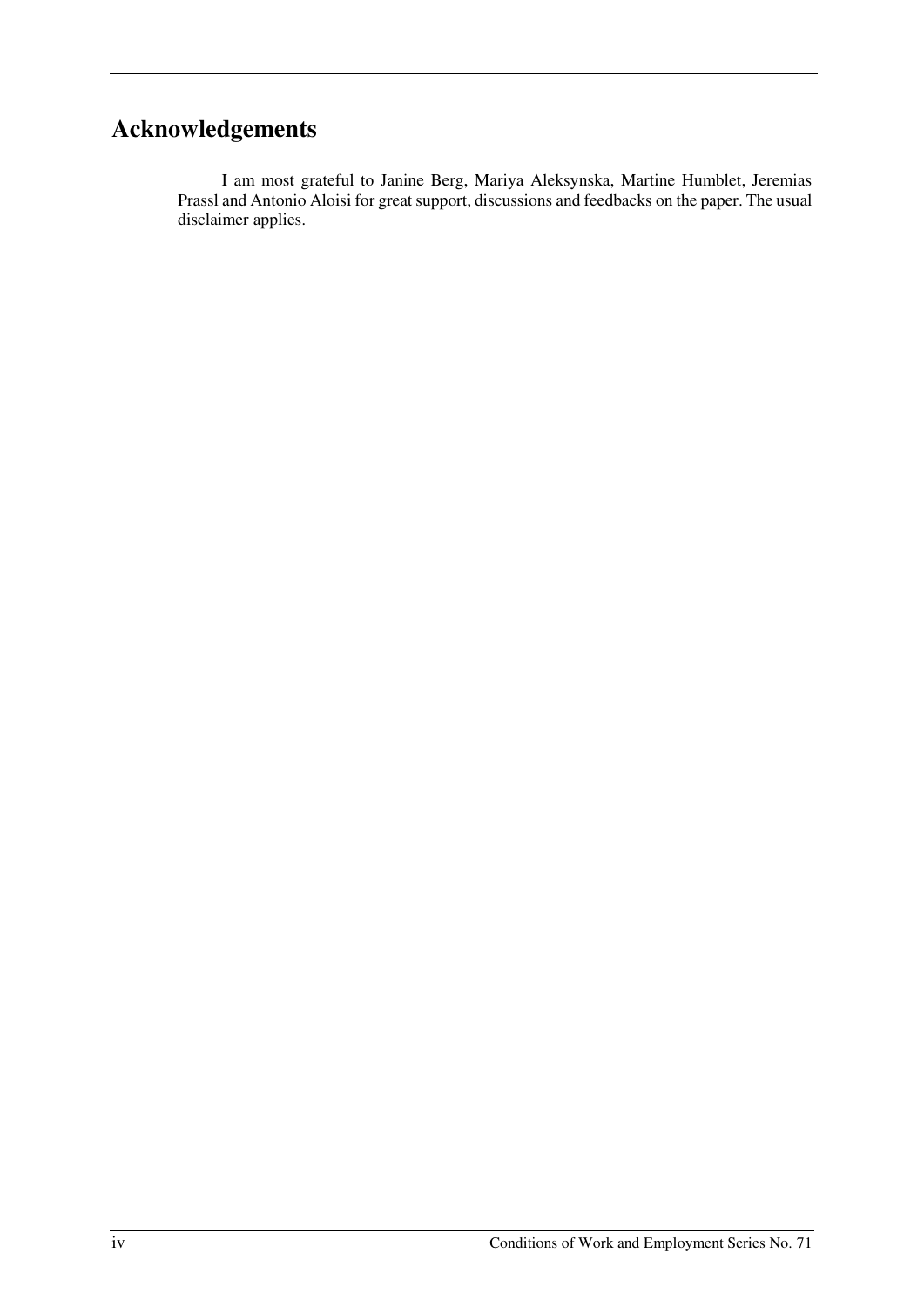## **Acknowledgements**

I am most grateful to Janine Berg, Mariya Aleksynska, Martine Humblet, Jeremias Prassl and Antonio Aloisi for great support, discussions and feedbacks on the paper. The usual disclaimer applies.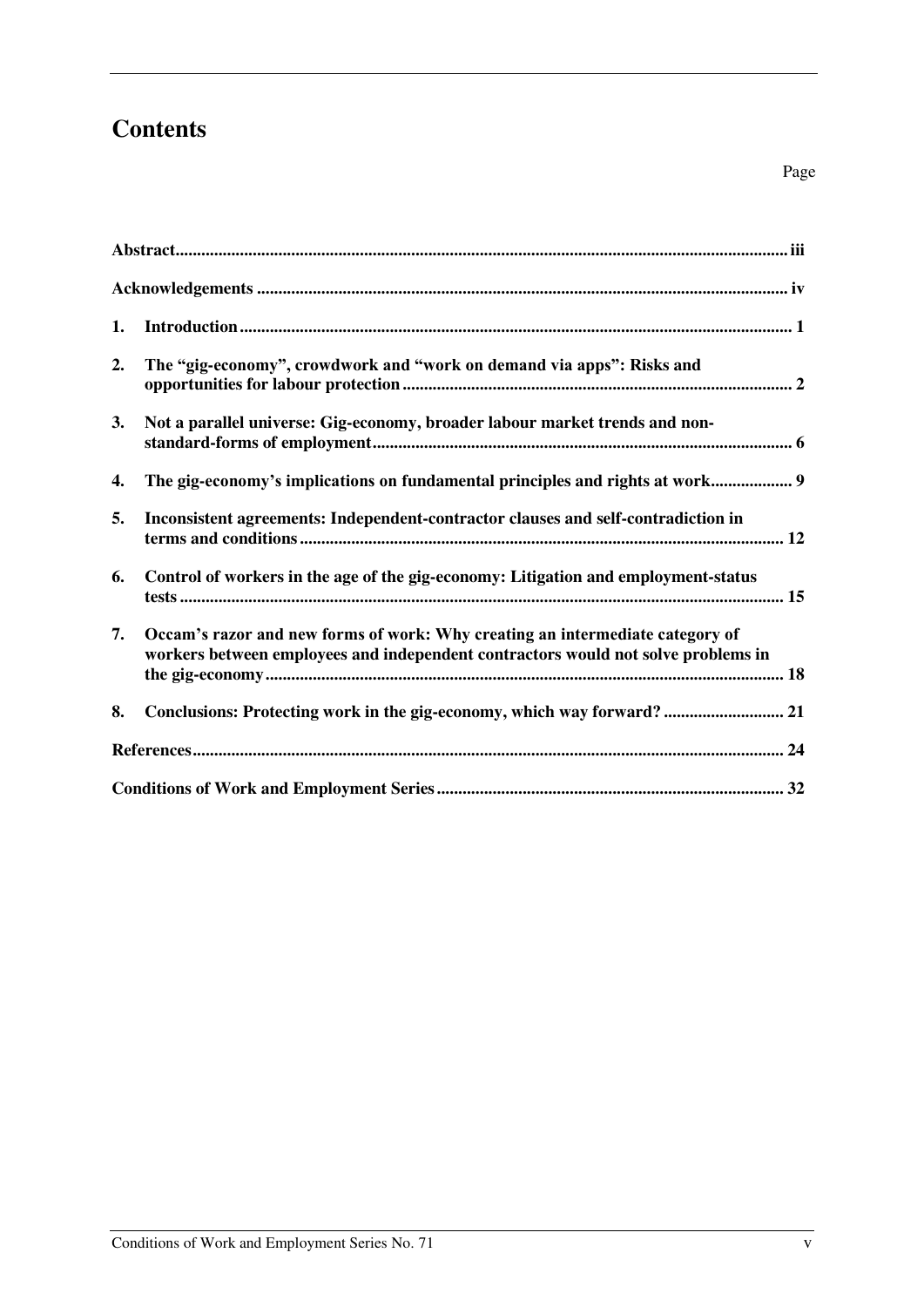## **Contents**

| 1. |                                                                                                                                                                    |
|----|--------------------------------------------------------------------------------------------------------------------------------------------------------------------|
| 2. | The "gig-economy", crowdwork and "work on demand via apps": Risks and                                                                                              |
| 3. | Not a parallel universe: Gig-economy, broader labour market trends and non-                                                                                        |
| 4. | The gig-economy's implications on fundamental principles and rights at work 9                                                                                      |
| 5. | Inconsistent agreements: Independent-contractor clauses and self-contradiction in                                                                                  |
| 6. | Control of workers in the age of the gig-economy: Litigation and employment-status                                                                                 |
| 7. | Occam's razor and new forms of work: Why creating an intermediate category of<br>workers between employees and independent contractors would not solve problems in |
| 8. | Conclusions: Protecting work in the gig-economy, which way forward?  21                                                                                            |
|    |                                                                                                                                                                    |
|    |                                                                                                                                                                    |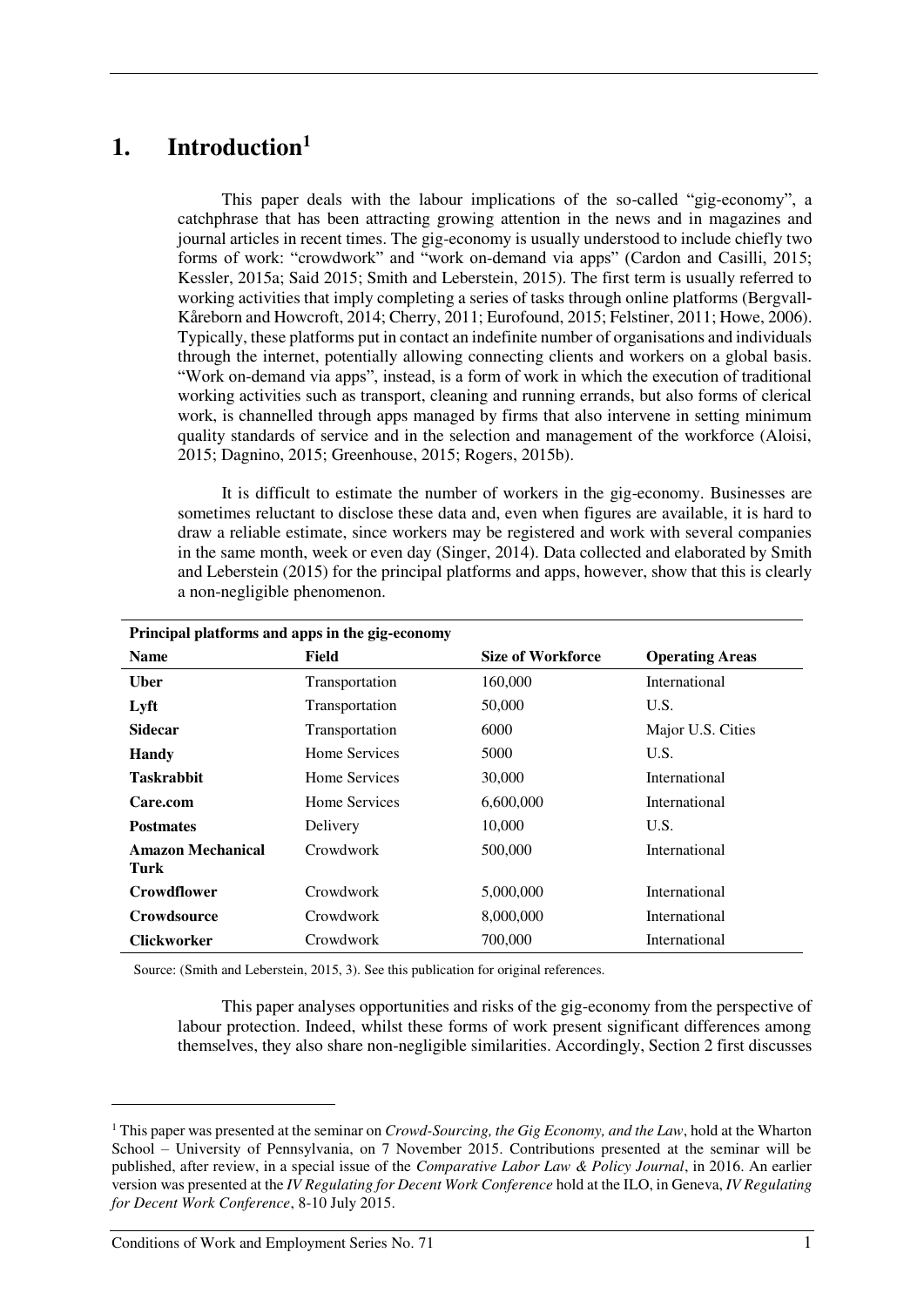#### **1. Introduction<sup>1</sup>**

This paper deals with the labour implications of the so-called "gig-economy", a catchphrase that has been attracting growing attention in the news and in magazines and journal articles in recent times. The gig-economy is usually understood to include chiefly two forms of work: "crowdwork" and "work on-demand via apps" (Cardon and Casilli, 2015; Kessler, 2015a; Said 2015; Smith and Leberstein, 2015). The first term is usually referred to working activities that imply completing a series of tasks through online platforms (Bergvall-Kåreborn and Howcroft, 2014; Cherry, 2011; Eurofound, 2015; Felstiner, 2011; Howe, 2006). Typically, these platforms put in contact an indefinite number of organisations and individuals through the internet, potentially allowing connecting clients and workers on a global basis. "Work on-demand via apps", instead, is a form of work in which the execution of traditional working activities such as transport, cleaning and running errands, but also forms of clerical work, is channelled through apps managed by firms that also intervene in setting minimum quality standards of service and in the selection and management of the workforce (Aloisi, 2015; Dagnino, 2015; Greenhouse, 2015; Rogers, 2015b).

It is difficult to estimate the number of workers in the gig-economy. Businesses are sometimes reluctant to disclose these data and, even when figures are available, it is hard to draw a reliable estimate, since workers may be registered and work with several companies in the same month, week or even day (Singer, 2014). Data collected and elaborated by Smith and Leberstein (2015) for the principal platforms and apps, however, show that this is clearly a non-negligible phenomenon.

| Principal platforms and apps in the gig-economy |                |                          |                        |  |  |
|-------------------------------------------------|----------------|--------------------------|------------------------|--|--|
| <b>Name</b>                                     | Field          | <b>Size of Workforce</b> | <b>Operating Areas</b> |  |  |
| <b>Uber</b>                                     | Transportation | 160,000                  | International          |  |  |
| Lyft                                            | Transportation | 50,000                   | U.S.                   |  |  |
| <b>Sidecar</b>                                  | Transportation | 6000                     | Major U.S. Cities      |  |  |
| <b>Handy</b>                                    | Home Services  | 5000                     | U.S.                   |  |  |
| <b>Taskrabbit</b>                               | Home Services  | 30,000                   | International          |  |  |
| Care.com                                        | Home Services  | 6,600,000                | International          |  |  |
| <b>Postmates</b>                                | Delivery       | 10,000                   | U.S.                   |  |  |
| <b>Amazon Mechanical</b><br>Turk                | Crowdwork      | 500,000                  | International          |  |  |
| Crowdflower                                     | Crowdwork      | 5,000,000                | International          |  |  |
| Crowdsource                                     | Crowdwork      | 8,000,000                | <b>International</b>   |  |  |
| <b>Clickworker</b>                              | Crowdwork      | 700,000                  | International          |  |  |

Source: (Smith and Leberstein, 2015, 3). See this publication for original references.

This paper analyses opportunities and risks of the gig-economy from the perspective of labour protection. Indeed, whilst these forms of work present significant differences among themselves, they also share non-negligible similarities. Accordingly, Section 2 first discusses

<sup>&</sup>lt;sup>1</sup> This paper was presented at the seminar on *Crowd-Sourcing, the Gig Economy, and the Law*, hold at the Wharton School – University of Pennsylvania, on 7 November 2015. Contributions presented at the seminar will be published, after review, in a special issue of the *Comparative Labor Law & Policy Journal*, in 2016. An earlier version was presented at the *IV Regulating for Decent Work Conference* hold at the ILO, in Geneva, *IV Regulating for Decent Work Conference*, 8-10 July 2015.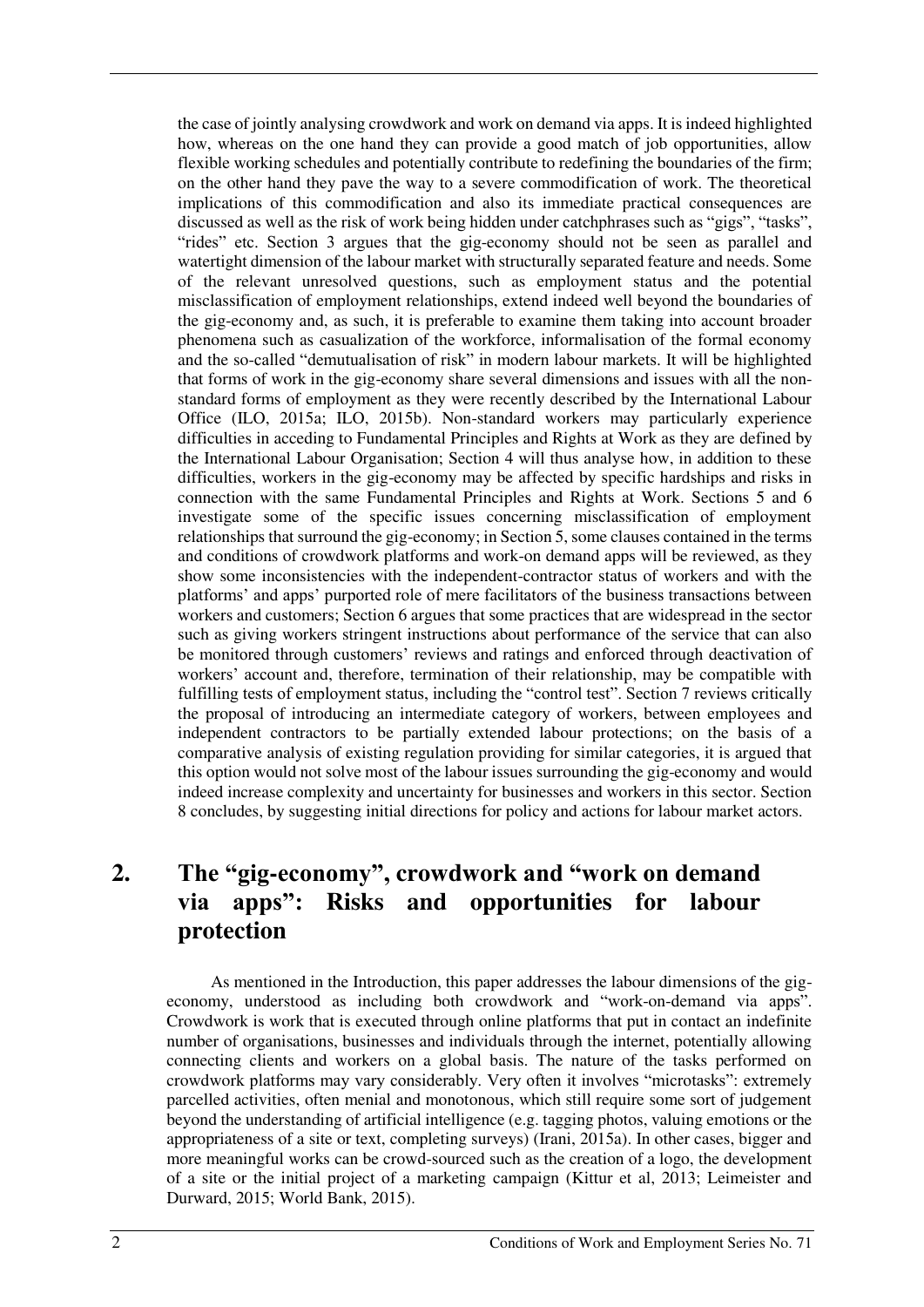the case of jointly analysing crowdwork and work on demand via apps. It is indeed highlighted how, whereas on the one hand they can provide a good match of job opportunities, allow flexible working schedules and potentially contribute to redefining the boundaries of the firm; on the other hand they pave the way to a severe commodification of work. The theoretical implications of this commodification and also its immediate practical consequences are discussed as well as the risk of work being hidden under catchphrases such as "gigs", "tasks", "rides" etc. Section 3 argues that the gig-economy should not be seen as parallel and watertight dimension of the labour market with structurally separated feature and needs. Some of the relevant unresolved questions, such as employment status and the potential misclassification of employment relationships, extend indeed well beyond the boundaries of the gig-economy and, as such, it is preferable to examine them taking into account broader phenomena such as casualization of the workforce, informalisation of the formal economy and the so-called "demutualisation of risk" in modern labour markets. It will be highlighted that forms of work in the gig-economy share several dimensions and issues with all the nonstandard forms of employment as they were recently described by the International Labour Office (ILO, 2015a; ILO, 2015b). Non-standard workers may particularly experience difficulties in acceding to Fundamental Principles and Rights at Work as they are defined by the International Labour Organisation; Section 4 will thus analyse how, in addition to these difficulties, workers in the gig-economy may be affected by specific hardships and risks in connection with the same Fundamental Principles and Rights at Work. Sections 5 and 6 investigate some of the specific issues concerning misclassification of employment relationships that surround the gig-economy; in Section 5, some clauses contained in the terms and conditions of crowdwork platforms and work-on demand apps will be reviewed, as they show some inconsistencies with the independent-contractor status of workers and with the platforms' and apps' purported role of mere facilitators of the business transactions between workers and customers; Section 6 argues that some practices that are widespread in the sector such as giving workers stringent instructions about performance of the service that can also be monitored through customers' reviews and ratings and enforced through deactivation of workers' account and, therefore, termination of their relationship, may be compatible with fulfilling tests of employment status, including the "control test". Section 7 reviews critically the proposal of introducing an intermediate category of workers, between employees and independent contractors to be partially extended labour protections; on the basis of a comparative analysis of existing regulation providing for similar categories, it is argued that this option would not solve most of the labour issues surrounding the gig-economy and would indeed increase complexity and uncertainty for businesses and workers in this sector. Section 8 concludes, by suggesting initial directions for policy and actions for labour market actors.

## **2. The "gig-economy", crowdwork and "work on demand via apps": Risks and opportunities for labour protection**

As mentioned in the Introduction, this paper addresses the labour dimensions of the gigeconomy, understood as including both crowdwork and "work-on-demand via apps". Crowdwork is work that is executed through online platforms that put in contact an indefinite number of organisations, businesses and individuals through the internet, potentially allowing connecting clients and workers on a global basis. The nature of the tasks performed on crowdwork platforms may vary considerably. Very often it involves "microtasks": extremely parcelled activities, often menial and monotonous, which still require some sort of judgement beyond the understanding of artificial intelligence (e.g. tagging photos, valuing emotions or the appropriateness of a site or text, completing surveys) (Irani, 2015a). In other cases, bigger and more meaningful works can be crowd-sourced such as the creation of a logo, the development of a site or the initial project of a marketing campaign (Kittur et al, 2013; Leimeister and Durward, 2015; World Bank, 2015).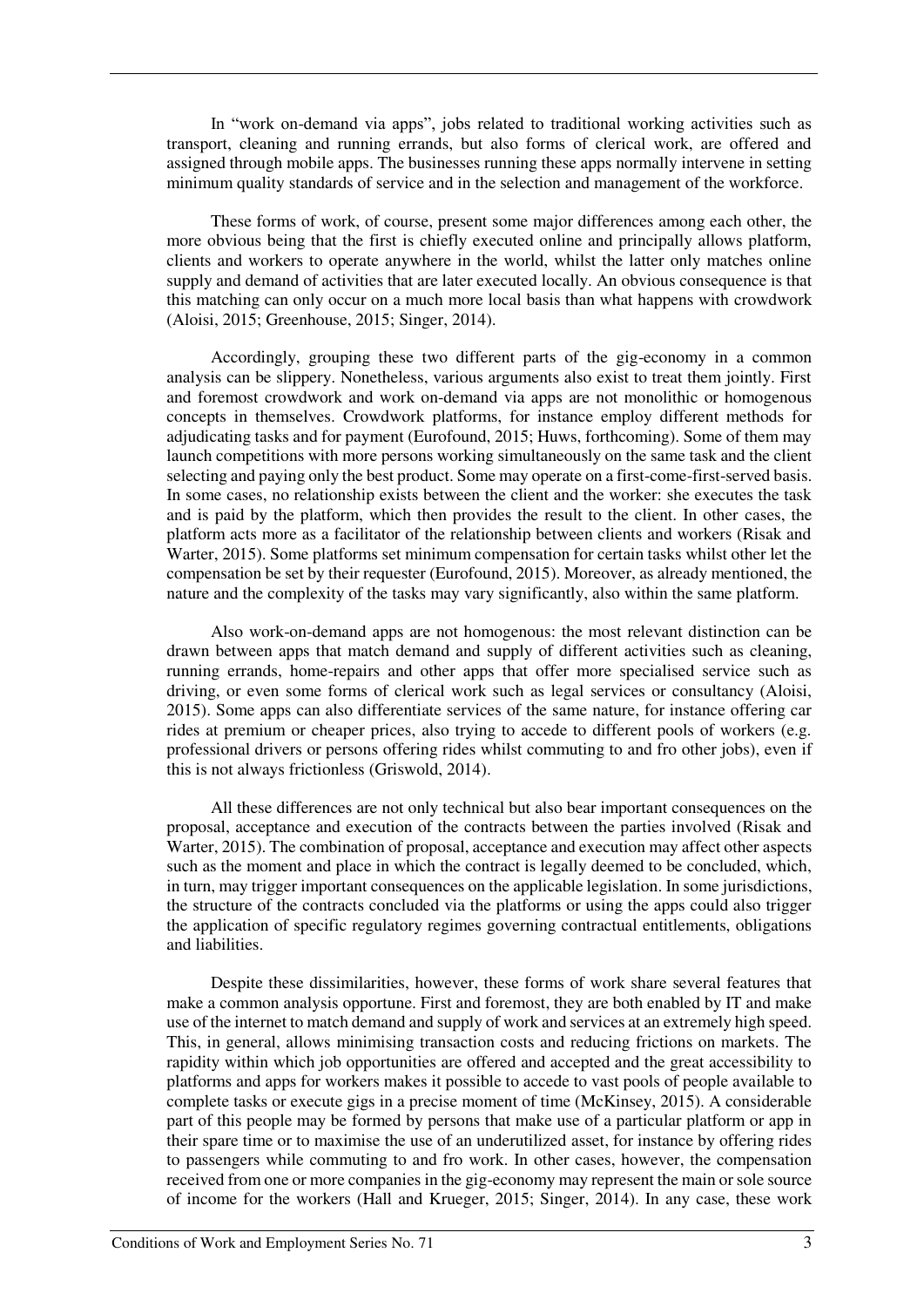In "work on-demand via apps", jobs related to traditional working activities such as transport, cleaning and running errands, but also forms of clerical work, are offered and assigned through mobile apps. The businesses running these apps normally intervene in setting minimum quality standards of service and in the selection and management of the workforce.

These forms of work, of course, present some major differences among each other, the more obvious being that the first is chiefly executed online and principally allows platform, clients and workers to operate anywhere in the world, whilst the latter only matches online supply and demand of activities that are later executed locally. An obvious consequence is that this matching can only occur on a much more local basis than what happens with crowdwork (Aloisi, 2015; Greenhouse, 2015; Singer, 2014).

Accordingly, grouping these two different parts of the gig-economy in a common analysis can be slippery. Nonetheless, various arguments also exist to treat them jointly. First and foremost crowdwork and work on-demand via apps are not monolithic or homogenous concepts in themselves. Crowdwork platforms, for instance employ different methods for adjudicating tasks and for payment (Eurofound, 2015; Huws, forthcoming). Some of them may launch competitions with more persons working simultaneously on the same task and the client selecting and paying only the best product. Some may operate on a first-come-first-served basis. In some cases, no relationship exists between the client and the worker: she executes the task and is paid by the platform, which then provides the result to the client. In other cases, the platform acts more as a facilitator of the relationship between clients and workers (Risak and Warter, 2015). Some platforms set minimum compensation for certain tasks whilst other let the compensation be set by their requester (Eurofound, 2015). Moreover, as already mentioned, the nature and the complexity of the tasks may vary significantly, also within the same platform.

Also work-on-demand apps are not homogenous: the most relevant distinction can be drawn between apps that match demand and supply of different activities such as cleaning, running errands, home-repairs and other apps that offer more specialised service such as driving, or even some forms of clerical work such as legal services or consultancy (Aloisi, 2015). Some apps can also differentiate services of the same nature, for instance offering car rides at premium or cheaper prices, also trying to accede to different pools of workers (e.g. professional drivers or persons offering rides whilst commuting to and fro other jobs), even if this is not always frictionless (Griswold, 2014).

All these differences are not only technical but also bear important consequences on the proposal, acceptance and execution of the contracts between the parties involved (Risak and Warter, 2015). The combination of proposal, acceptance and execution may affect other aspects such as the moment and place in which the contract is legally deemed to be concluded, which, in turn, may trigger important consequences on the applicable legislation. In some jurisdictions, the structure of the contracts concluded via the platforms or using the apps could also trigger the application of specific regulatory regimes governing contractual entitlements, obligations and liabilities.

Despite these dissimilarities, however, these forms of work share several features that make a common analysis opportune. First and foremost, they are both enabled by IT and make use of the internet to match demand and supply of work and services at an extremely high speed. This, in general, allows minimising transaction costs and reducing frictions on markets. The rapidity within which job opportunities are offered and accepted and the great accessibility to platforms and apps for workers makes it possible to accede to vast pools of people available to complete tasks or execute gigs in a precise moment of time (McKinsey, 2015). A considerable part of this people may be formed by persons that make use of a particular platform or app in their spare time or to maximise the use of an underutilized asset, for instance by offering rides to passengers while commuting to and fro work. In other cases, however, the compensation received from one or more companies in the gig-economy may represent the main or sole source of income for the workers (Hall and Krueger, 2015; Singer, 2014). In any case, these work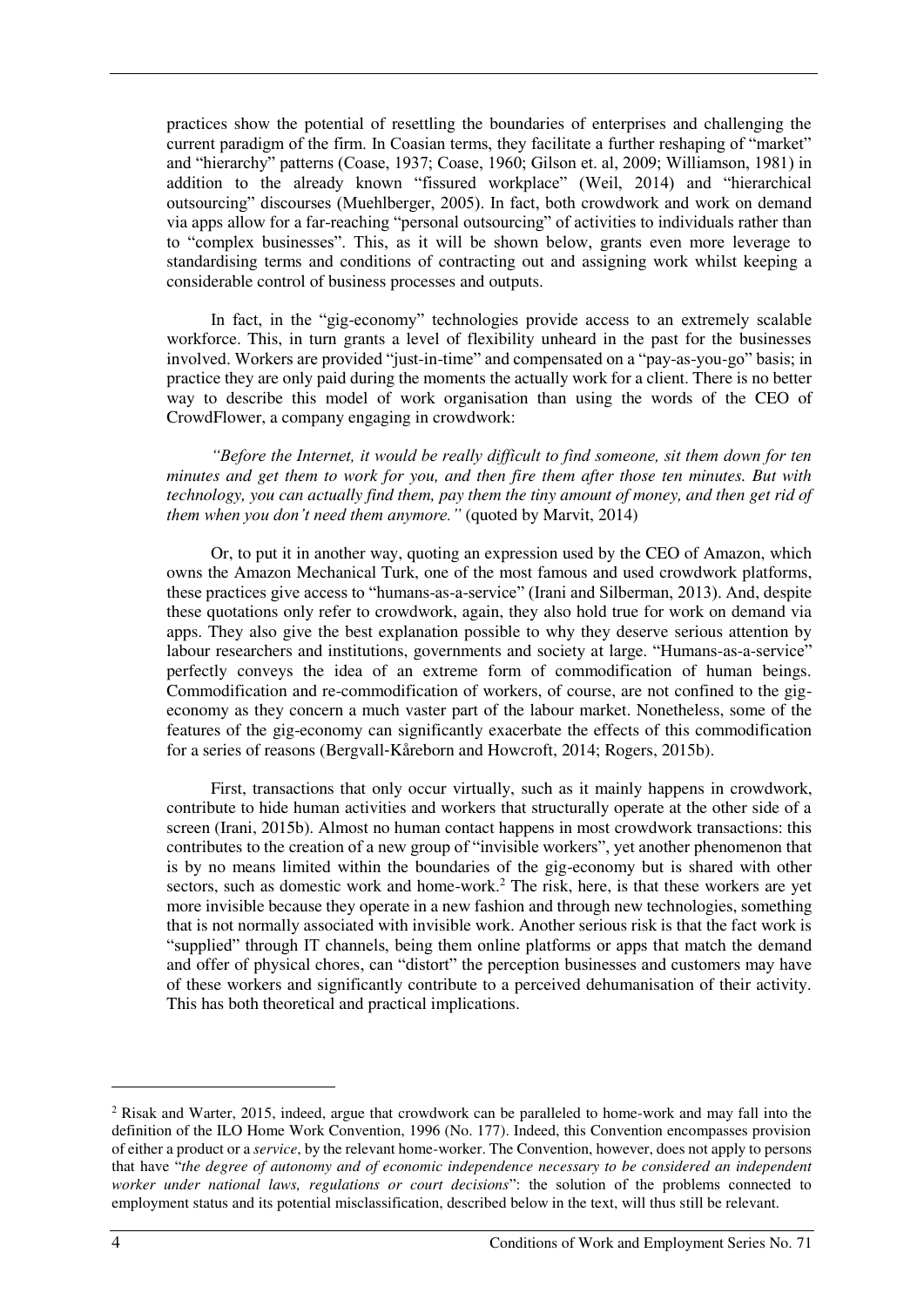practices show the potential of resettling the boundaries of enterprises and challenging the current paradigm of the firm. In Coasian terms, they facilitate a further reshaping of "market" and "hierarchy" patterns (Coase, 1937; Coase, 1960; Gilson et. al, 2009; Williamson, 1981) in addition to the already known "fissured workplace" (Weil, 2014) and "hierarchical outsourcing" discourses (Muehlberger, 2005). In fact, both crowdwork and work on demand via apps allow for a far-reaching "personal outsourcing" of activities to individuals rather than to "complex businesses". This, as it will be shown below, grants even more leverage to standardising terms and conditions of contracting out and assigning work whilst keeping a considerable control of business processes and outputs.

In fact, in the "gig-economy" technologies provide access to an extremely scalable workforce. This, in turn grants a level of flexibility unheard in the past for the businesses involved. Workers are provided "just-in-time" and compensated on a "pay-as-you-go" basis; in practice they are only paid during the moments the actually work for a client. There is no better way to describe this model of work organisation than using the words of the CEO of CrowdFlower, a company engaging in crowdwork:

*"Before the Internet, it would be really difficult to find someone, sit them down for ten minutes and get them to work for you, and then fire them after those ten minutes. But with technology, you can actually find them, pay them the tiny amount of money, and then get rid of them when you don't need them anymore."* (quoted by Marvit, 2014)

Or, to put it in another way, quoting an expression used by the CEO of Amazon, which owns the Amazon Mechanical Turk, one of the most famous and used crowdwork platforms, these practices give access to "humans-as-a-service" (Irani and Silberman, 2013). And, despite these quotations only refer to crowdwork, again, they also hold true for work on demand via apps. They also give the best explanation possible to why they deserve serious attention by labour researchers and institutions, governments and society at large. "Humans-as-a-service" perfectly conveys the idea of an extreme form of commodification of human beings. Commodification and re-commodification of workers, of course, are not confined to the gigeconomy as they concern a much vaster part of the labour market. Nonetheless, some of the features of the gig-economy can significantly exacerbate the effects of this commodification for a series of reasons (Bergvall-Kåreborn and Howcroft, 2014; Rogers, 2015b).

First, transactions that only occur virtually, such as it mainly happens in crowdwork, contribute to hide human activities and workers that structurally operate at the other side of a screen (Irani, 2015b). Almost no human contact happens in most crowdwork transactions: this contributes to the creation of a new group of "invisible workers", yet another phenomenon that is by no means limited within the boundaries of the gig-economy but is shared with other sectors, such as domestic work and home-work.<sup>2</sup> The risk, here, is that these workers are yet more invisible because they operate in a new fashion and through new technologies, something that is not normally associated with invisible work. Another serious risk is that the fact work is "supplied" through IT channels, being them online platforms or apps that match the demand and offer of physical chores, can "distort" the perception businesses and customers may have of these workers and significantly contribute to a perceived dehumanisation of their activity. This has both theoretical and practical implications.

<sup>&</sup>lt;sup>2</sup> Risak and Warter, 2015, indeed, argue that crowdwork can be paralleled to home-work and may fall into the definition of the ILO Home Work Convention, 1996 (No. 177). Indeed, this Convention encompasses provision of either a product or a *service*, by the relevant home-worker. The Convention, however, does not apply to persons that have "*the degree of autonomy and of economic independence necessary to be considered an independent worker under national laws, regulations or court decisions*": the solution of the problems connected to employment status and its potential misclassification, described below in the text, will thus still be relevant.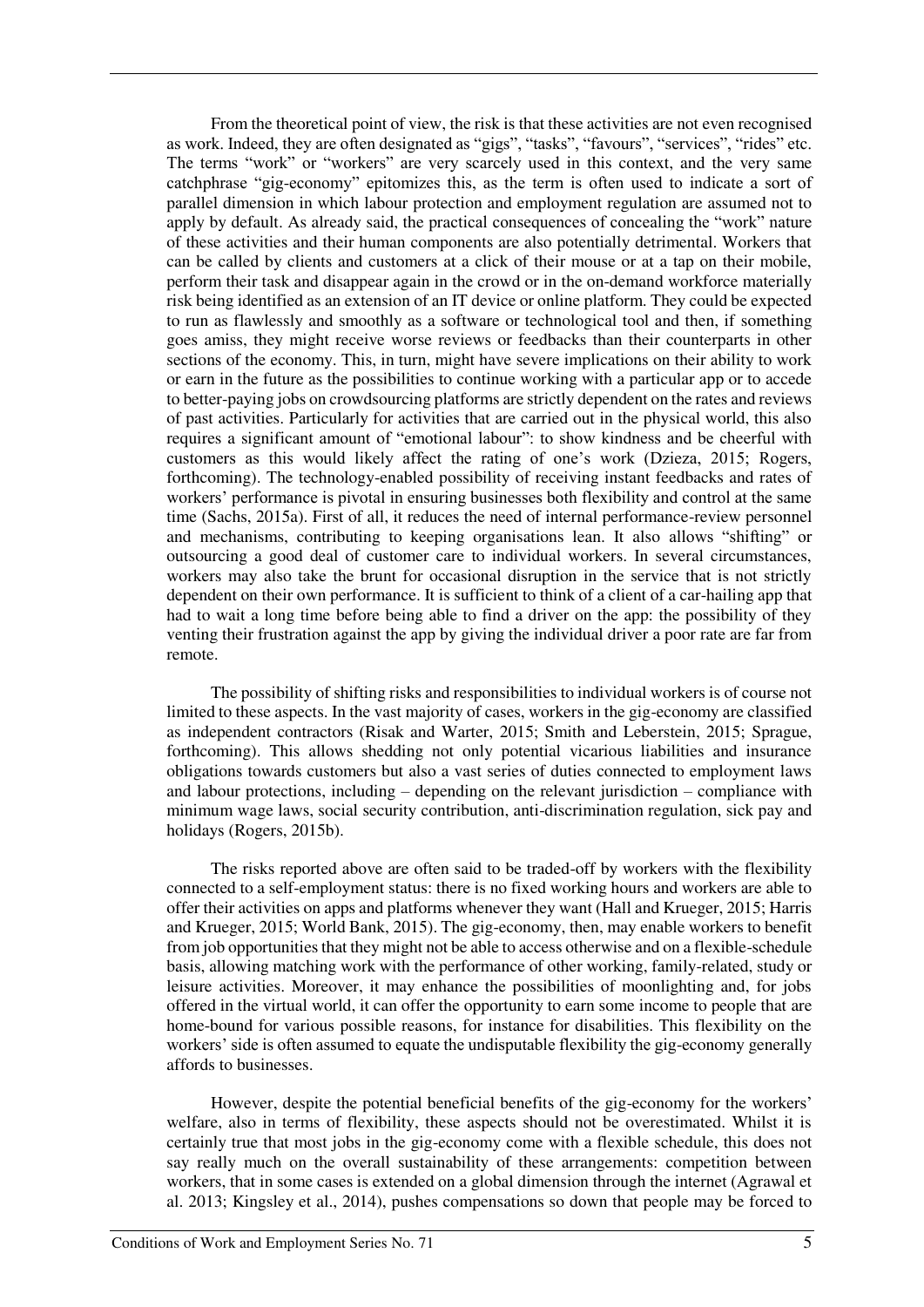From the theoretical point of view, the risk is that these activities are not even recognised as work. Indeed, they are often designated as "gigs", "tasks", "favours", "services", "rides" etc. The terms "work" or "workers" are very scarcely used in this context, and the very same catchphrase "gig-economy" epitomizes this, as the term is often used to indicate a sort of parallel dimension in which labour protection and employment regulation are assumed not to apply by default. As already said, the practical consequences of concealing the "work" nature of these activities and their human components are also potentially detrimental. Workers that can be called by clients and customers at a click of their mouse or at a tap on their mobile, perform their task and disappear again in the crowd or in the on-demand workforce materially risk being identified as an extension of an IT device or online platform. They could be expected to run as flawlessly and smoothly as a software or technological tool and then, if something goes amiss, they might receive worse reviews or feedbacks than their counterparts in other sections of the economy. This, in turn, might have severe implications on their ability to work or earn in the future as the possibilities to continue working with a particular app or to accede to better-paying jobs on crowdsourcing platforms are strictly dependent on the rates and reviews of past activities. Particularly for activities that are carried out in the physical world, this also requires a significant amount of "emotional labour": to show kindness and be cheerful with customers as this would likely affect the rating of one's work (Dzieza, 2015; Rogers, forthcoming). The technology-enabled possibility of receiving instant feedbacks and rates of workers' performance is pivotal in ensuring businesses both flexibility and control at the same time (Sachs, 2015a). First of all, it reduces the need of internal performance-review personnel and mechanisms, contributing to keeping organisations lean. It also allows "shifting" or outsourcing a good deal of customer care to individual workers. In several circumstances, workers may also take the brunt for occasional disruption in the service that is not strictly dependent on their own performance. It is sufficient to think of a client of a car-hailing app that had to wait a long time before being able to find a driver on the app: the possibility of they venting their frustration against the app by giving the individual driver a poor rate are far from remote.

The possibility of shifting risks and responsibilities to individual workers is of course not limited to these aspects. In the vast majority of cases, workers in the gig-economy are classified as independent contractors (Risak and Warter, 2015; Smith and Leberstein, 2015; Sprague, forthcoming). This allows shedding not only potential vicarious liabilities and insurance obligations towards customers but also a vast series of duties connected to employment laws and labour protections, including  $-$  depending on the relevant jurisdiction  $-$  compliance with minimum wage laws, social security contribution, anti-discrimination regulation, sick pay and holidays (Rogers, 2015b).

The risks reported above are often said to be traded-off by workers with the flexibility connected to a self-employment status: there is no fixed working hours and workers are able to offer their activities on apps and platforms whenever they want (Hall and Krueger, 2015; Harris and Krueger, 2015; World Bank, 2015). The gig-economy, then, may enable workers to benefit from job opportunities that they might not be able to access otherwise and on a flexible-schedule basis, allowing matching work with the performance of other working, family-related, study or leisure activities. Moreover, it may enhance the possibilities of moonlighting and, for jobs offered in the virtual world, it can offer the opportunity to earn some income to people that are home-bound for various possible reasons, for instance for disabilities. This flexibility on the workers' side is often assumed to equate the undisputable flexibility the gig-economy generally affords to businesses.

However, despite the potential beneficial benefits of the gig-economy for the workers' welfare, also in terms of flexibility, these aspects should not be overestimated. Whilst it is certainly true that most jobs in the gig-economy come with a flexible schedule, this does not say really much on the overall sustainability of these arrangements: competition between workers, that in some cases is extended on a global dimension through the internet (Agrawal et al. 2013; Kingsley et al., 2014), pushes compensations so down that people may be forced to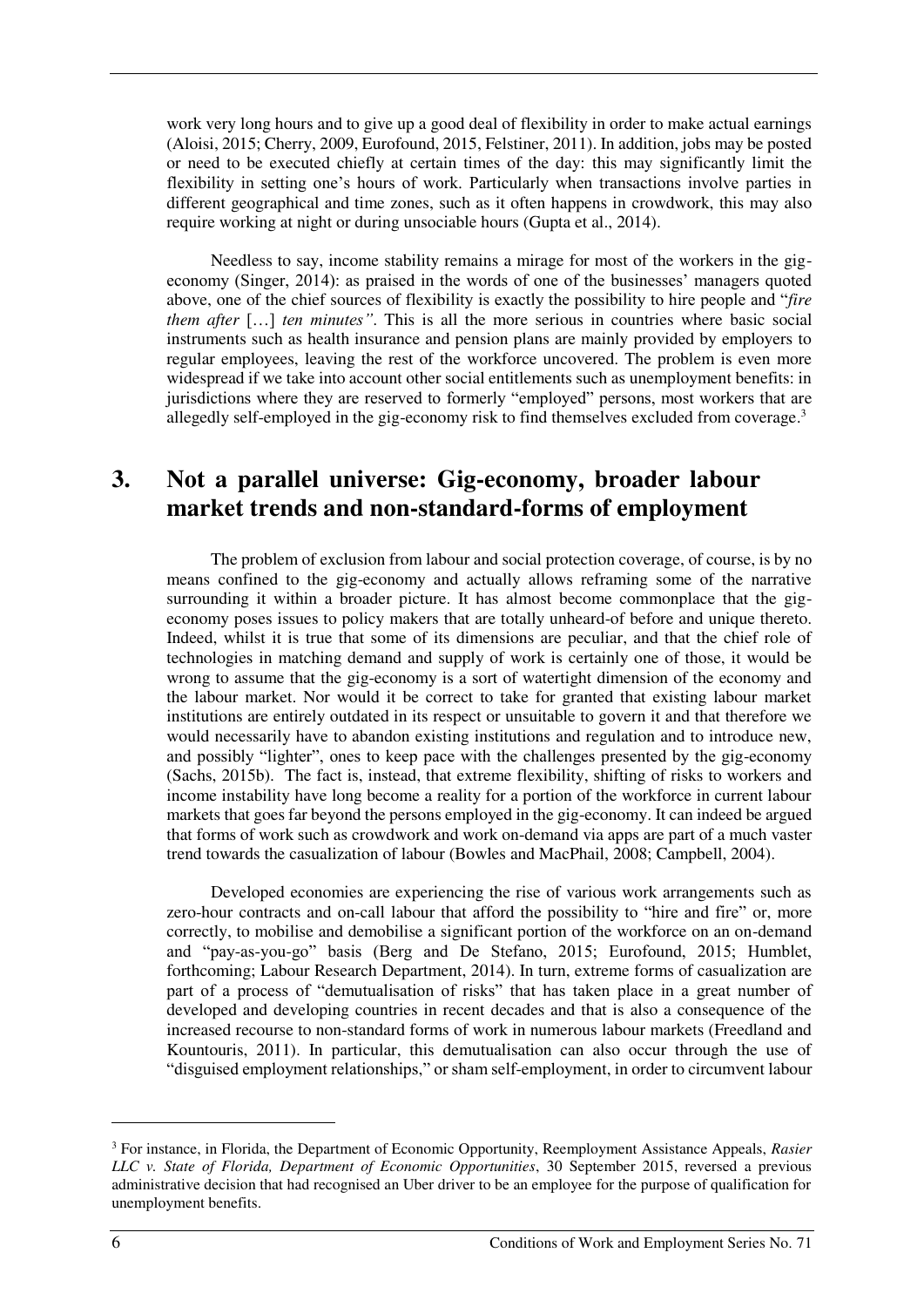work very long hours and to give up a good deal of flexibility in order to make actual earnings (Aloisi, 2015; Cherry, 2009, Eurofound, 2015, Felstiner, 2011). In addition, jobs may be posted or need to be executed chiefly at certain times of the day: this may significantly limit the flexibility in setting one's hours of work. Particularly when transactions involve parties in different geographical and time zones, such as it often happens in crowdwork, this may also require working at night or during unsociable hours (Gupta et al., 2014).

Needless to say, income stability remains a mirage for most of the workers in the gigeconomy (Singer, 2014): as praised in the words of one of the businesses' managers quoted above, one of the chief sources of flexibility is exactly the possibility to hire people and "*fire them after* […] *ten minutes"*. This is all the more serious in countries where basic social instruments such as health insurance and pension plans are mainly provided by employers to regular employees, leaving the rest of the workforce uncovered. The problem is even more widespread if we take into account other social entitlements such as unemployment benefits: in jurisdictions where they are reserved to formerly "employed" persons, most workers that are allegedly self-employed in the gig-economy risk to find themselves excluded from coverage.<sup>3</sup>

#### **3. Not a parallel universe: Gig-economy, broader labour market trends and non-standard-forms of employment**

The problem of exclusion from labour and social protection coverage, of course, is by no means confined to the gig-economy and actually allows reframing some of the narrative surrounding it within a broader picture. It has almost become commonplace that the gigeconomy poses issues to policy makers that are totally unheard-of before and unique thereto. Indeed, whilst it is true that some of its dimensions are peculiar, and that the chief role of technologies in matching demand and supply of work is certainly one of those, it would be wrong to assume that the gig-economy is a sort of watertight dimension of the economy and the labour market. Nor would it be correct to take for granted that existing labour market institutions are entirely outdated in its respect or unsuitable to govern it and that therefore we would necessarily have to abandon existing institutions and regulation and to introduce new, and possibly "lighter", ones to keep pace with the challenges presented by the gig-economy (Sachs, 2015b). The fact is, instead, that extreme flexibility, shifting of risks to workers and income instability have long become a reality for a portion of the workforce in current labour markets that goes far beyond the persons employed in the gig-economy. It can indeed be argued that forms of work such as crowdwork and work on-demand via apps are part of a much vaster trend towards the casualization of labour (Bowles and MacPhail, 2008; Campbell, 2004).

Developed economies are experiencing the rise of various work arrangements such as zero-hour contracts and on-call labour that afford the possibility to "hire and fire" or, more correctly, to mobilise and demobilise a significant portion of the workforce on an on-demand and "pay-as-you-go" basis (Berg and De Stefano, 2015; Eurofound, 2015; Humblet, forthcoming; Labour Research Department, 2014). In turn, extreme forms of casualization are part of a process of "demutualisation of risks" that has taken place in a great number of developed and developing countries in recent decades and that is also a consequence of the increased recourse to non-standard forms of work in numerous labour markets (Freedland and Kountouris, 2011). In particular, this demutualisation can also occur through the use of "disguised employment relationships," or sham self-employment, in order to circumvent labour

<sup>3</sup> For instance, in Florida, the Department of Economic Opportunity, Reemployment Assistance Appeals, *Rasier LLC v. State of Florida, Department of Economic Opportunities*, 30 September 2015, reversed a previous administrative decision that had recognised an Uber driver to be an employee for the purpose of qualification for unemployment benefits.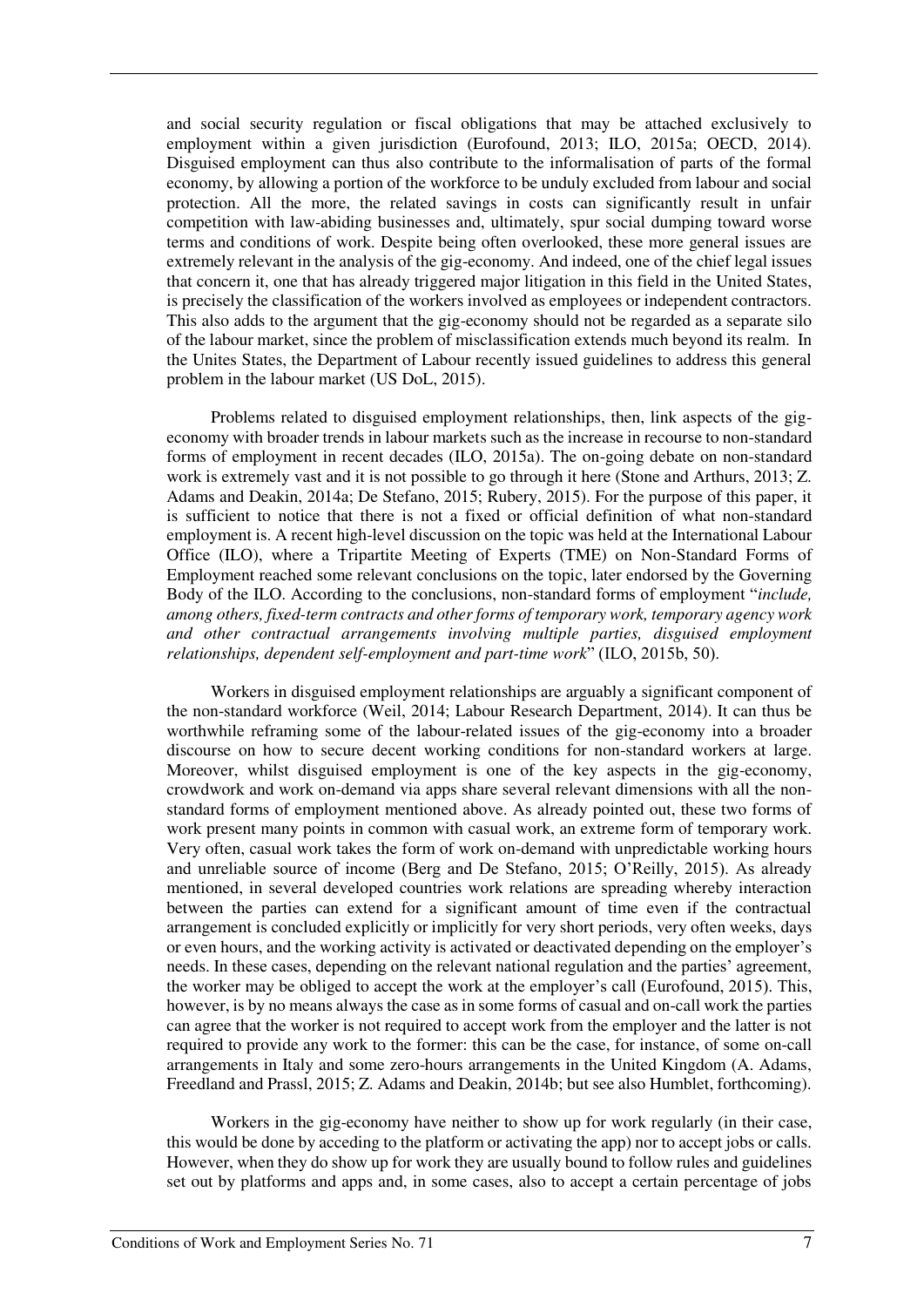and social security regulation or fiscal obligations that may be attached exclusively to employment within a given jurisdiction (Eurofound, 2013; ILO, 2015a; OECD, 2014). Disguised employment can thus also contribute to the informalisation of parts of the formal economy, by allowing a portion of the workforce to be unduly excluded from labour and social protection. All the more, the related savings in costs can significantly result in unfair competition with law-abiding businesses and, ultimately, spur social dumping toward worse terms and conditions of work. Despite being often overlooked, these more general issues are extremely relevant in the analysis of the gig-economy. And indeed, one of the chief legal issues that concern it, one that has already triggered major litigation in this field in the United States, is precisely the classification of the workers involved as employees or independent contractors. This also adds to the argument that the gig-economy should not be regarded as a separate silo of the labour market, since the problem of misclassification extends much beyond its realm. In the Unites States, the Department of Labour recently issued guidelines to address this general problem in the labour market (US DoL, 2015).

Problems related to disguised employment relationships, then, link aspects of the gigeconomy with broader trends in labour markets such as the increase in recourse to non-standard forms of employment in recent decades (ILO, 2015a). The on-going debate on non-standard work is extremely vast and it is not possible to go through it here (Stone and Arthurs, 2013; Z. Adams and Deakin, 2014a; De Stefano, 2015; Rubery, 2015). For the purpose of this paper, it is sufficient to notice that there is not a fixed or official definition of what non-standard employment is. A recent high-level discussion on the topic was held at the International Labour Office (ILO), where a Tripartite Meeting of Experts (TME) on Non-Standard Forms of Employment reached some relevant conclusions on the topic, later endorsed by the Governing Body of the ILO. According to the conclusions, non-standard forms of employment "*include, among others, fixed-term contracts and other forms of temporary work, temporary agency work and other contractual arrangements involving multiple parties, disguised employment relationships, dependent self-employment and part-time work*" (ILO, 2015b, 50).

Workers in disguised employment relationships are arguably a significant component of the non-standard workforce (Weil, 2014; Labour Research Department, 2014). It can thus be worthwhile reframing some of the labour-related issues of the gig-economy into a broader discourse on how to secure decent working conditions for non-standard workers at large. Moreover, whilst disguised employment is one of the key aspects in the gig-economy, crowdwork and work on-demand via apps share several relevant dimensions with all the nonstandard forms of employment mentioned above. As already pointed out, these two forms of work present many points in common with casual work, an extreme form of temporary work. Very often, casual work takes the form of work on-demand with unpredictable working hours and unreliable source of income (Berg and De Stefano, 2015; O'Reilly, 2015). As already mentioned, in several developed countries work relations are spreading whereby interaction between the parties can extend for a significant amount of time even if the contractual arrangement is concluded explicitly or implicitly for very short periods, very often weeks, days or even hours, and the working activity is activated or deactivated depending on the employer's needs. In these cases, depending on the relevant national regulation and the parties' agreement, the worker may be obliged to accept the work at the employer's call (Eurofound, 2015). This, however, is by no means always the case as in some forms of casual and on-call work the parties can agree that the worker is not required to accept work from the employer and the latter is not required to provide any work to the former: this can be the case, for instance, of some on-call arrangements in Italy and some zero-hours arrangements in the United Kingdom (A. Adams, Freedland and Prassl, 2015; Z. Adams and Deakin, 2014b; but see also Humblet, forthcoming).

Workers in the gig-economy have neither to show up for work regularly (in their case, this would be done by acceding to the platform or activating the app) nor to accept jobs or calls. However, when they do show up for work they are usually bound to follow rules and guidelines set out by platforms and apps and, in some cases, also to accept a certain percentage of jobs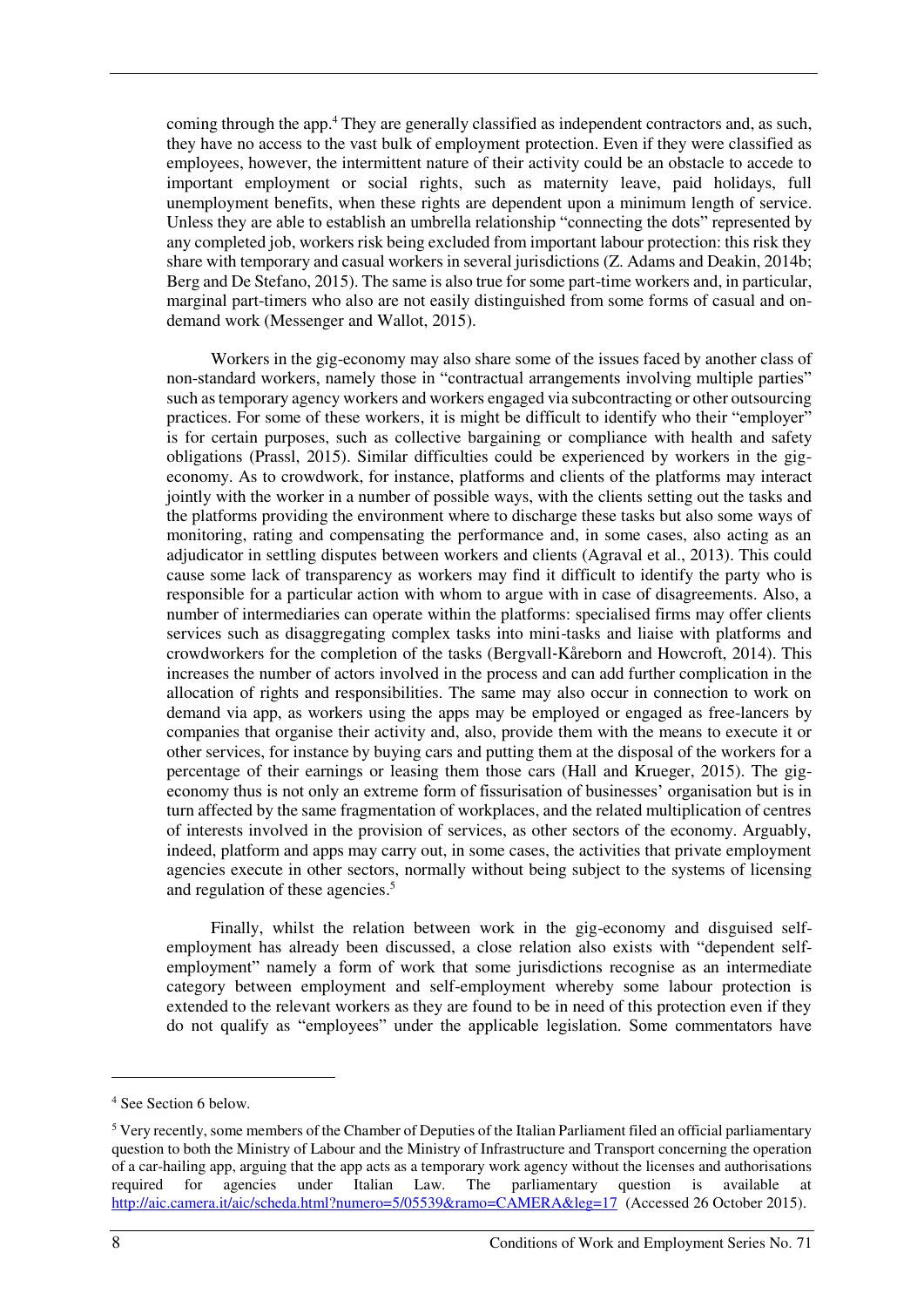coming through the app.<sup>4</sup> They are generally classified as independent contractors and, as such, they have no access to the vast bulk of employment protection. Even if they were classified as employees, however, the intermittent nature of their activity could be an obstacle to accede to important employment or social rights, such as maternity leave, paid holidays, full unemployment benefits, when these rights are dependent upon a minimum length of service. Unless they are able to establish an umbrella relationship "connecting the dots" represented by any completed job, workers risk being excluded from important labour protection: this risk they share with temporary and casual workers in several jurisdictions (Z. Adams and Deakin, 2014b; Berg and De Stefano, 2015). The same is also true for some part-time workers and, in particular, marginal part-timers who also are not easily distinguished from some forms of casual and ondemand work (Messenger and Wallot, 2015).

Workers in the gig-economy may also share some of the issues faced by another class of non-standard workers, namely those in "contractual arrangements involving multiple parties" such as temporary agency workers and workers engaged via subcontracting or other outsourcing practices. For some of these workers, it is might be difficult to identify who their "employer" is for certain purposes, such as collective bargaining or compliance with health and safety obligations (Prassl, 2015). Similar difficulties could be experienced by workers in the gigeconomy. As to crowdwork, for instance, platforms and clients of the platforms may interact jointly with the worker in a number of possible ways, with the clients setting out the tasks and the platforms providing the environment where to discharge these tasks but also some ways of monitoring, rating and compensating the performance and, in some cases, also acting as an adjudicator in settling disputes between workers and clients (Agraval et al., 2013). This could cause some lack of transparency as workers may find it difficult to identify the party who is responsible for a particular action with whom to argue with in case of disagreements. Also, a number of intermediaries can operate within the platforms: specialised firms may offer clients services such as disaggregating complex tasks into mini-tasks and liaise with platforms and crowdworkers for the completion of the tasks (Bergvall‐Kåreborn and Howcroft, 2014). This increases the number of actors involved in the process and can add further complication in the allocation of rights and responsibilities. The same may also occur in connection to work on demand via app, as workers using the apps may be employed or engaged as free-lancers by companies that organise their activity and, also, provide them with the means to execute it or other services, for instance by buying cars and putting them at the disposal of the workers for a percentage of their earnings or leasing them those cars (Hall and Krueger, 2015). The gigeconomy thus is not only an extreme form of fissurisation of businesses' organisation but is in turn affected by the same fragmentation of workplaces, and the related multiplication of centres of interests involved in the provision of services, as other sectors of the economy. Arguably, indeed, platform and apps may carry out, in some cases, the activities that private employment agencies execute in other sectors, normally without being subject to the systems of licensing and regulation of these agencies.<sup>5</sup>

Finally, whilst the relation between work in the gig-economy and disguised selfemployment has already been discussed, a close relation also exists with "dependent selfemployment" namely a form of work that some jurisdictions recognise as an intermediate category between employment and self-employment whereby some labour protection is extended to the relevant workers as they are found to be in need of this protection even if they do not qualify as "employees" under the applicable legislation. Some commentators have

<sup>4</sup> See Section 6 below.

<sup>&</sup>lt;sup>5</sup> Very recently, some members of the Chamber of Deputies of the Italian Parliament filed an official parliamentary question to both the Ministry of Labour and the Ministry of Infrastructure and Transport concerning the operation of a car-hailing app, arguing that the app acts as a temporary work agency without the licenses and authorisations required for agencies under Italian Law. The parliamentary question is available at <http://aic.camera.it/aic/scheda.html?numero=5/05539&ramo=CAMERA&leg=17>(Accessed 26 October 2015).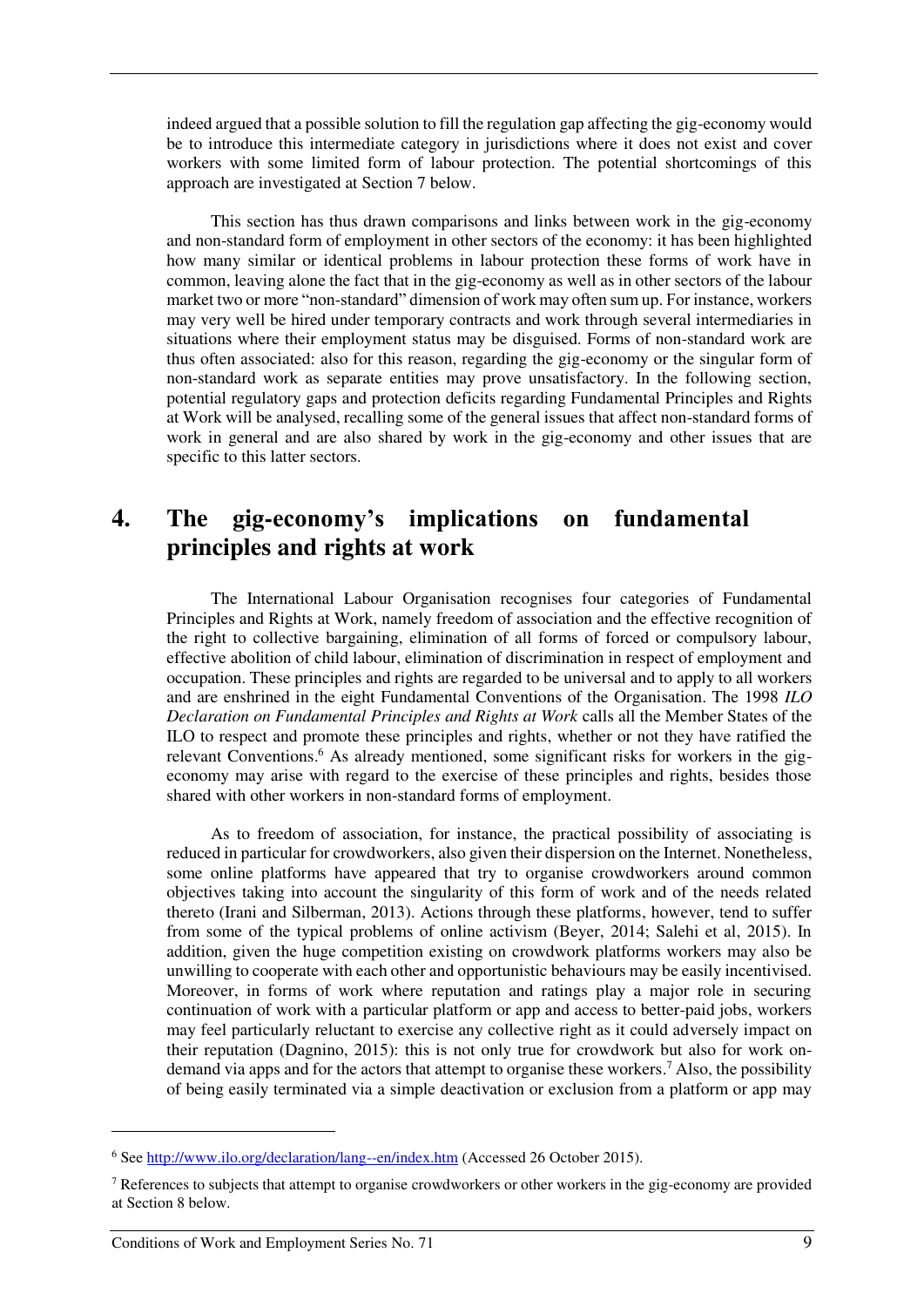indeed argued that a possible solution to fill the regulation gap affecting the gig-economy would be to introduce this intermediate category in jurisdictions where it does not exist and cover workers with some limited form of labour protection. The potential shortcomings of this approach are investigated at Section 7 below.

This section has thus drawn comparisons and links between work in the gig-economy and non-standard form of employment in other sectors of the economy: it has been highlighted how many similar or identical problems in labour protection these forms of work have in common, leaving alone the fact that in the gig-economy as well as in other sectors of the labour market two or more "non-standard" dimension of work may often sum up. For instance, workers may very well be hired under temporary contracts and work through several intermediaries in situations where their employment status may be disguised. Forms of non-standard work are thus often associated: also for this reason, regarding the gig-economy or the singular form of non-standard work as separate entities may prove unsatisfactory. In the following section, potential regulatory gaps and protection deficits regarding Fundamental Principles and Rights at Work will be analysed, recalling some of the general issues that affect non-standard forms of work in general and are also shared by work in the gig-economy and other issues that are specific to this latter sectors.

#### **4. The gig-economy's implications on fundamental principles and rights at work**

The International Labour Organisation recognises four categories of Fundamental Principles and Rights at Work, namely freedom of association and the effective recognition of the right to collective bargaining, elimination of all forms of forced or compulsory labour, effective abolition of child labour, elimination of discrimination in respect of employment and occupation. These principles and rights are regarded to be universal and to apply to all workers and are enshrined in the eight Fundamental Conventions of the Organisation. The 1998 *ILO Declaration on Fundamental Principles and Rights at Work* calls all the Member States of the ILO to respect and promote these principles and rights, whether or not they have ratified the relevant Conventions.<sup>6</sup> As already mentioned, some significant risks for workers in the gigeconomy may arise with regard to the exercise of these principles and rights, besides those shared with other workers in non-standard forms of employment.

As to freedom of association, for instance, the practical possibility of associating is reduced in particular for crowdworkers, also given their dispersion on the Internet. Nonetheless, some online platforms have appeared that try to organise crowdworkers around common objectives taking into account the singularity of this form of work and of the needs related thereto (Irani and Silberman, 2013). Actions through these platforms, however, tend to suffer from some of the typical problems of online activism (Beyer, 2014; Salehi et al, 2015). In addition, given the huge competition existing on crowdwork platforms workers may also be unwilling to cooperate with each other and opportunistic behaviours may be easily incentivised. Moreover, in forms of work where reputation and ratings play a major role in securing continuation of work with a particular platform or app and access to better-paid jobs, workers may feel particularly reluctant to exercise any collective right as it could adversely impact on their reputation (Dagnino, 2015): this is not only true for crowdwork but also for work ondemand via apps and for the actors that attempt to organise these workers.<sup>7</sup> Also, the possibility of being easily terminated via a simple deactivation or exclusion from a platform or app may

<sup>&</sup>lt;sup>6</sup> Se[e http://www.ilo.org/declaration/lang--en/index.htm \(](http://www.ilo.org/declaration/lang--en/index.htm)Accessed 26 October 2015).

 $7$  References to subjects that attempt to organise crowdworkers or other workers in the gig-economy are provided at Section 8 below.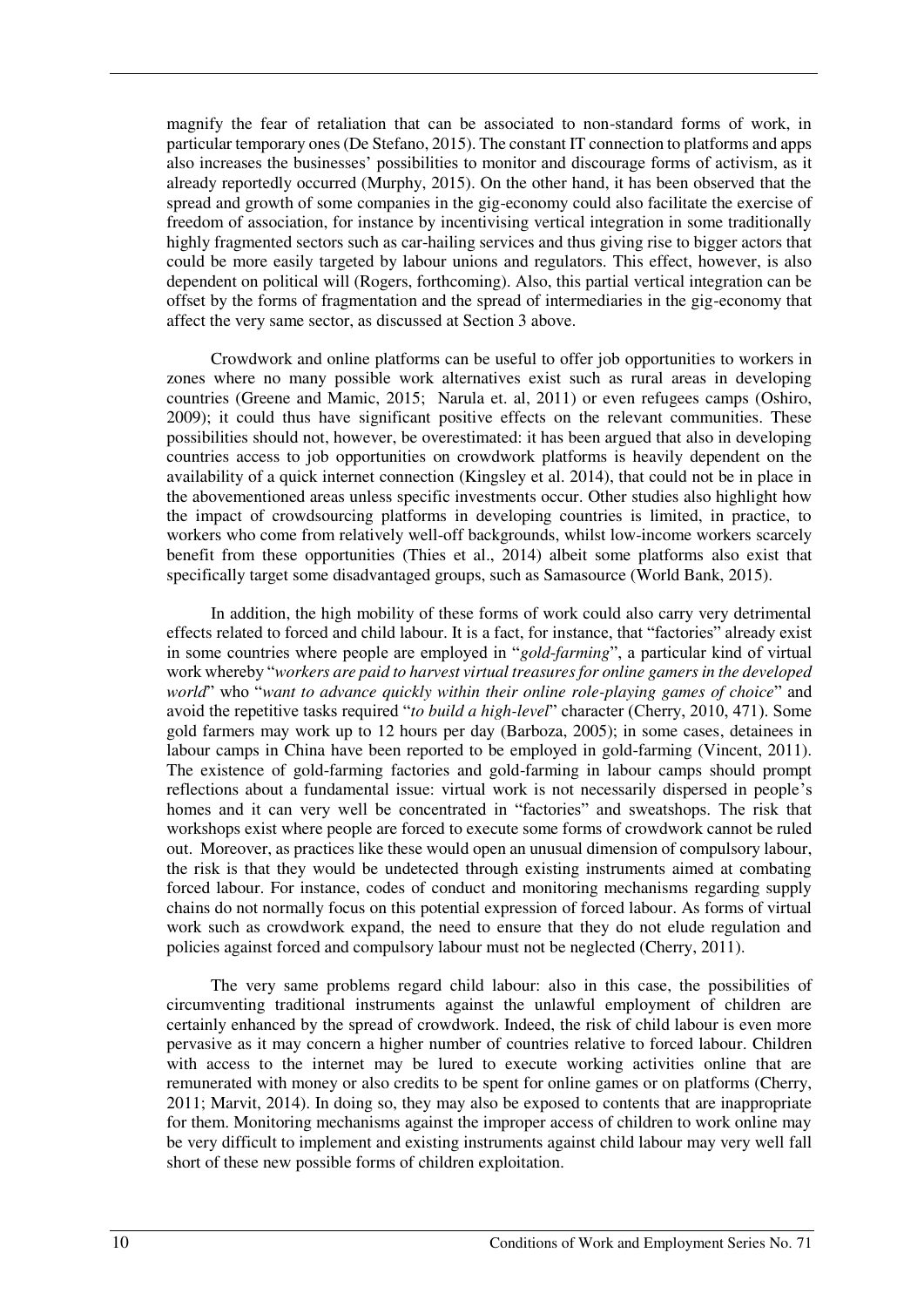magnify the fear of retaliation that can be associated to non-standard forms of work, in particular temporary ones (De Stefano, 2015). The constant IT connection to platforms and apps also increases the businesses' possibilities to monitor and discourage forms of activism, as it already reportedly occurred (Murphy, 2015). On the other hand, it has been observed that the spread and growth of some companies in the gig-economy could also facilitate the exercise of freedom of association, for instance by incentivising vertical integration in some traditionally highly fragmented sectors such as car-hailing services and thus giving rise to bigger actors that could be more easily targeted by labour unions and regulators. This effect, however, is also dependent on political will (Rogers, forthcoming). Also, this partial vertical integration can be offset by the forms of fragmentation and the spread of intermediaries in the gig-economy that affect the very same sector, as discussed at Section 3 above.

Crowdwork and online platforms can be useful to offer job opportunities to workers in zones where no many possible work alternatives exist such as rural areas in developing countries (Greene and Mamic, 2015; Narula et. al, 2011) or even refugees camps (Oshiro, 2009); it could thus have significant positive effects on the relevant communities. These possibilities should not, however, be overestimated: it has been argued that also in developing countries access to job opportunities on crowdwork platforms is heavily dependent on the availability of a quick internet connection (Kingsley et al. 2014), that could not be in place in the abovementioned areas unless specific investments occur. Other studies also highlight how the impact of crowdsourcing platforms in developing countries is limited, in practice, to workers who come from relatively well-off backgrounds, whilst low-income workers scarcely benefit from these opportunities (Thies et al., 2014) albeit some platforms also exist that specifically target some disadvantaged groups, such as Samasource (World Bank, 2015).

In addition, the high mobility of these forms of work could also carry very detrimental effects related to forced and child labour. It is a fact, for instance, that "factories" already exist in some countries where people are employed in "*gold*-*farming*", a particular kind of virtual work whereby "*workers are paid to harvest virtual treasures for online gamers in the developed world*" who "*want to advance quickly within their online role-playing games of choice*" and avoid the repetitive tasks required "*to build a high-level*" character (Cherry, 2010, 471). Some gold farmers may work up to 12 hours per day (Barboza, 2005); in some cases, detainees in labour camps in China have been reported to be employed in gold-farming (Vincent, 2011). The existence of gold-farming factories and gold-farming in labour camps should prompt reflections about a fundamental issue: virtual work is not necessarily dispersed in people's homes and it can very well be concentrated in "factories" and sweatshops. The risk that workshops exist where people are forced to execute some forms of crowdwork cannot be ruled out. Moreover, as practices like these would open an unusual dimension of compulsory labour, the risk is that they would be undetected through existing instruments aimed at combating forced labour. For instance, codes of conduct and monitoring mechanisms regarding supply chains do not normally focus on this potential expression of forced labour. As forms of virtual work such as crowdwork expand, the need to ensure that they do not elude regulation and policies against forced and compulsory labour must not be neglected (Cherry, 2011).

The very same problems regard child labour: also in this case, the possibilities of circumventing traditional instruments against the unlawful employment of children are certainly enhanced by the spread of crowdwork. Indeed, the risk of child labour is even more pervasive as it may concern a higher number of countries relative to forced labour. Children with access to the internet may be lured to execute working activities online that are remunerated with money or also credits to be spent for online games or on platforms (Cherry, 2011; Marvit, 2014). In doing so, they may also be exposed to contents that are inappropriate for them. Monitoring mechanisms against the improper access of children to work online may be very difficult to implement and existing instruments against child labour may very well fall short of these new possible forms of children exploitation.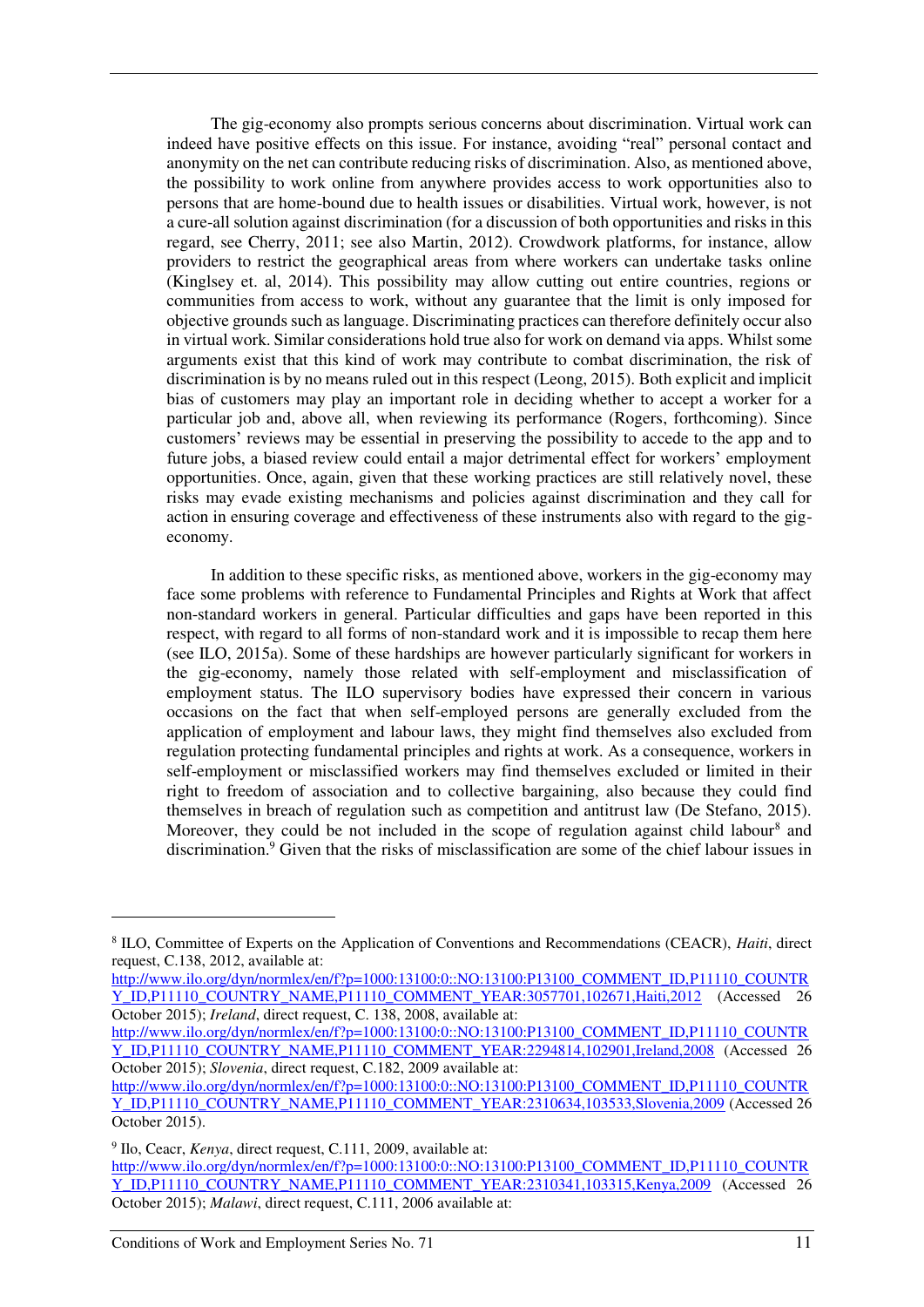The gig-economy also prompts serious concerns about discrimination. Virtual work can indeed have positive effects on this issue. For instance, avoiding "real" personal contact and anonymity on the net can contribute reducing risks of discrimination. Also, as mentioned above, the possibility to work online from anywhere provides access to work opportunities also to persons that are home-bound due to health issues or disabilities. Virtual work, however, is not a cure-all solution against discrimination (for a discussion of both opportunities and risks in this regard, see Cherry, 2011; see also Martin, 2012). Crowdwork platforms, for instance, allow providers to restrict the geographical areas from where workers can undertake tasks online (Kinglsey et. al, 2014). This possibility may allow cutting out entire countries, regions or communities from access to work, without any guarantee that the limit is only imposed for objective grounds such as language. Discriminating practices can therefore definitely occur also in virtual work. Similar considerations hold true also for work on demand via apps. Whilst some arguments exist that this kind of work may contribute to combat discrimination, the risk of discrimination is by no means ruled out in this respect (Leong, 2015). Both explicit and implicit bias of customers may play an important role in deciding whether to accept a worker for a particular job and, above all, when reviewing its performance (Rogers, forthcoming). Since customers' reviews may be essential in preserving the possibility to accede to the app and to future jobs, a biased review could entail a major detrimental effect for workers' employment opportunities. Once, again, given that these working practices are still relatively novel, these risks may evade existing mechanisms and policies against discrimination and they call for action in ensuring coverage and effectiveness of these instruments also with regard to the gigeconomy.

In addition to these specific risks, as mentioned above, workers in the gig-economy may face some problems with reference to Fundamental Principles and Rights at Work that affect non-standard workers in general. Particular difficulties and gaps have been reported in this respect, with regard to all forms of non-standard work and it is impossible to recap them here (see ILO, 2015a). Some of these hardships are however particularly significant for workers in the gig-economy, namely those related with self-employment and misclassification of employment status. The ILO supervisory bodies have expressed their concern in various occasions on the fact that when self-employed persons are generally excluded from the application of employment and labour laws, they might find themselves also excluded from regulation protecting fundamental principles and rights at work. As a consequence, workers in self-employment or misclassified workers may find themselves excluded or limited in their right to freedom of association and to collective bargaining, also because they could find themselves in breach of regulation such as competition and antitrust law (De Stefano, 2015). Moreover, they could be not included in the scope of regulation against child labour<sup>8</sup> and discrimination.<sup>9</sup> Given that the risks of misclassification are some of the chief labour issues in

[http://www.ilo.org/dyn/normlex/en/f?p=1000:13100:0::NO:13100:P13100\\_COMMENT\\_ID,P11110\\_COUNTR](http://www.ilo.org/dyn/normlex/en/f?p=1000:13100:0::NO:13100:P13100_COMMENT_ID,P11110_COUNTRY_ID,P11110_COUNTRY_NAME,P11110_COMMENT_YEAR:3057701,102671,Haiti,2012) Y\_ID,P11110\_COUNTRY\_NAME,P11110\_COMMENT\_YEAR:3057701,102671,Haiti,2012\_(Accessed 26 October 2015); *Ireland*, direct request, C. 138, 2008, available at:

<sup>8</sup> ILO, Committee of Experts on the Application of Conventions and Recommendations (CEACR), *Haiti*, direct request, C.138, 2012, available at:

[http://www.ilo.org/dyn/normlex/en/f?p=1000:13100:0::NO:13100:P13100\\_COMMENT\\_ID,P11110\\_COUNTR](http://www.ilo.org/dyn/normlex/en/f?p=1000:13100:0::NO:13100:P13100_COMMENT_ID,P11110_COUNTRY_ID,P11110_COUNTRY_NAME,P11110_COMMENT_YEAR:2294814,102901,Ireland,2008) [Y\\_ID,P11110\\_COUNTRY\\_NAME,P11110\\_COMMENT\\_YEAR:2294814,102901,Ireland,2008](http://www.ilo.org/dyn/normlex/en/f?p=1000:13100:0::NO:13100:P13100_COMMENT_ID,P11110_COUNTRY_ID,P11110_COUNTRY_NAME,P11110_COMMENT_YEAR:2294814,102901,Ireland,2008) (Accessed 26 October 2015); *Slovenia*, direct request, C.182, 2009 available at:

[http://www.ilo.org/dyn/normlex/en/f?p=1000:13100:0::NO:13100:P13100\\_COMMENT\\_ID,P11110\\_COUNTR](http://www.ilo.org/dyn/normlex/en/f?p=1000:13100:0::NO:13100:P13100_COMMENT_ID,P11110_COUNTRY_ID,P11110_COUNTRY_NAME,P11110_COMMENT_YEAR:2310634,103533,Slovenia,2009) [Y\\_ID,P11110\\_COUNTRY\\_NAME,P11110\\_COMMENT\\_YEAR:2310634,103533,Slovenia,2009](http://www.ilo.org/dyn/normlex/en/f?p=1000:13100:0::NO:13100:P13100_COMMENT_ID,P11110_COUNTRY_ID,P11110_COUNTRY_NAME,P11110_COMMENT_YEAR:2310634,103533,Slovenia,2009) (Accessed 26 October 2015).

<sup>&</sup>lt;sup>9</sup> Ilo, Ceacr, *Kenya*, direct request, C.111, 2009, available at: [http://www.ilo.org/dyn/normlex/en/f?p=1000:13100:0::NO:13100:P13100\\_COMMENT\\_ID,P11110\\_COUNTR](http://www.ilo.org/dyn/normlex/en/f?p=1000:13100:0::NO:13100:P13100_COMMENT_ID,P11110_COUNTRY_ID,P11110_COUNTRY_NAME,P11110_COMMENT_YEAR:2310341,103315,Kenya,2009) [Y\\_ID,P11110\\_COUNTRY\\_NAME,P11110\\_COMMENT\\_YEAR:2310341,103315,Kenya,2009](http://www.ilo.org/dyn/normlex/en/f?p=1000:13100:0::NO:13100:P13100_COMMENT_ID,P11110_COUNTRY_ID,P11110_COUNTRY_NAME,P11110_COMMENT_YEAR:2310341,103315,Kenya,2009) (Accessed 26 October 2015); *Malawi*, direct request, C.111, 2006 available at: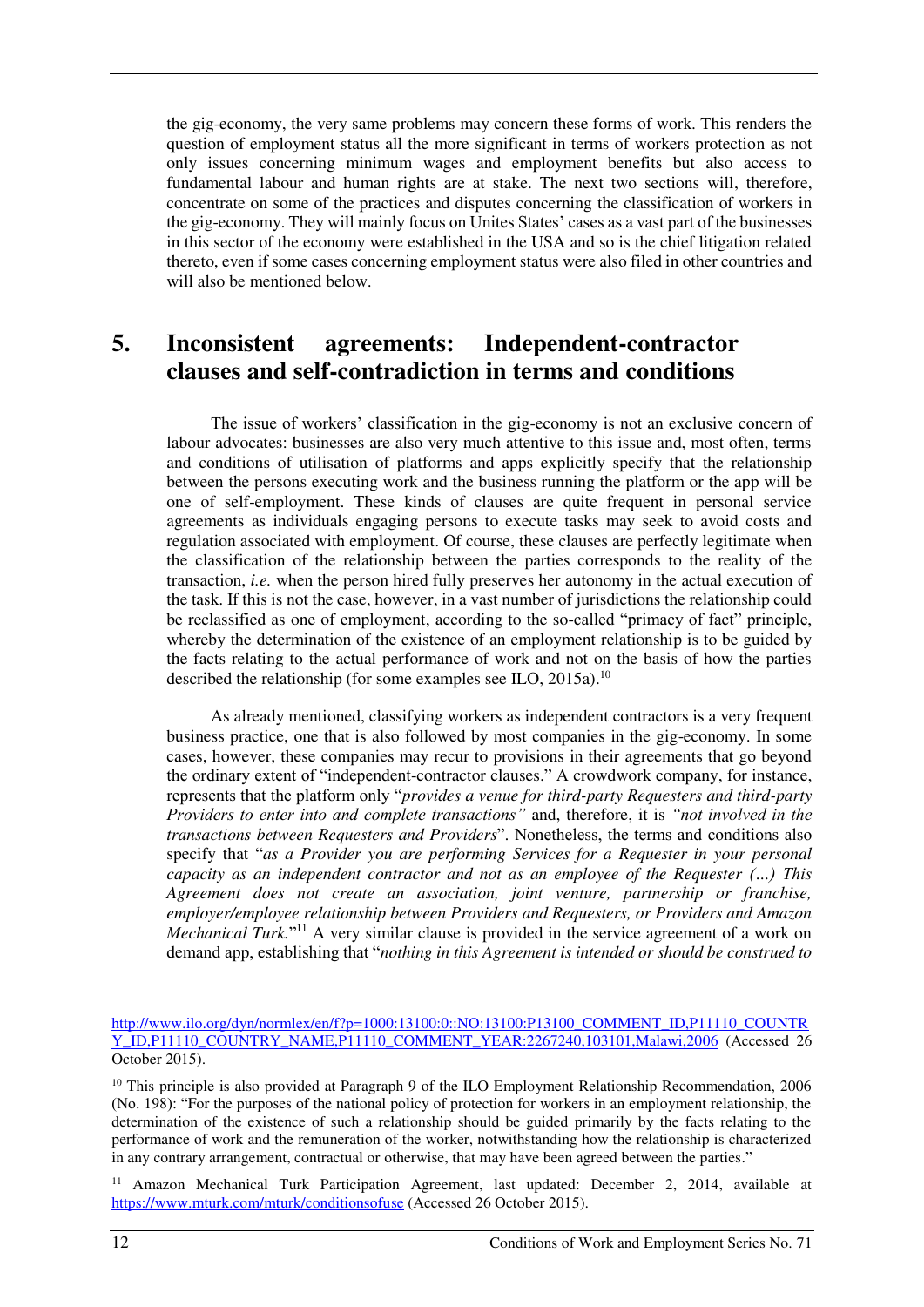the gig-economy, the very same problems may concern these forms of work. This renders the question of employment status all the more significant in terms of workers protection as not only issues concerning minimum wages and employment benefits but also access to fundamental labour and human rights are at stake. The next two sections will, therefore, concentrate on some of the practices and disputes concerning the classification of workers in the gig-economy. They will mainly focus on Unites States' cases as a vast part of the businesses in this sector of the economy were established in the USA and so is the chief litigation related thereto, even if some cases concerning employment status were also filed in other countries and will also be mentioned below.

#### **5. Inconsistent agreements: Independent-contractor clauses and self-contradiction in terms and conditions**

The issue of workers' classification in the gig-economy is not an exclusive concern of labour advocates: businesses are also very much attentive to this issue and, most often, terms and conditions of utilisation of platforms and apps explicitly specify that the relationship between the persons executing work and the business running the platform or the app will be one of self-employment. These kinds of clauses are quite frequent in personal service agreements as individuals engaging persons to execute tasks may seek to avoid costs and regulation associated with employment. Of course, these clauses are perfectly legitimate when the classification of the relationship between the parties corresponds to the reality of the transaction, *i.e.* when the person hired fully preserves her autonomy in the actual execution of the task. If this is not the case, however, in a vast number of jurisdictions the relationship could be reclassified as one of employment, according to the so-called "primacy of fact" principle, whereby the determination of the existence of an employment relationship is to be guided by the facts relating to the actual performance of work and not on the basis of how the parties described the relationship (for some examples see ILO, 2015a).<sup>10</sup>

As already mentioned, classifying workers as independent contractors is a very frequent business practice, one that is also followed by most companies in the gig-economy. In some cases, however, these companies may recur to provisions in their agreements that go beyond the ordinary extent of "independent-contractor clauses." A crowdwork company, for instance, represents that the platform only "*provides a venue for third-party Requesters and third-party Providers to enter into and complete transactions"* and, therefore, it is *"not involved in the transactions between Requesters and Providers*". Nonetheless, the terms and conditions also specify that "*as a Provider you are performing Services for a Requester in your personal capacity as an independent contractor and not as an employee of the Requester (...) This Agreement does not create an association, joint venture, partnership or franchise, employer/employee relationship between Providers and Requesters, or Providers and Amazon*  Mechanical Turk."<sup>11</sup> A very similar clause is provided in the service agreement of a work on demand app, establishing that "*nothing in this Agreement is intended or should be construed to* 

[http://www.ilo.org/dyn/normlex/en/f?p=1000:13100:0::NO:13100:P13100\\_COMMENT\\_ID,P11110\\_COUNTR](http://www.ilo.org/dyn/normlex/en/f?p=1000:13100:0::NO:13100:P13100_COMMENT_ID,P11110_COUNTRY_ID,P11110_COUNTRY_NAME,P11110_COMMENT_YEAR:2267240,103101,Malawi,2006) [Y\\_ID,P11110\\_COUNTRY\\_NAME,P11110\\_COMMENT\\_YEAR:2267240,103101,Malawi,2006](http://www.ilo.org/dyn/normlex/en/f?p=1000:13100:0::NO:13100:P13100_COMMENT_ID,P11110_COUNTRY_ID,P11110_COUNTRY_NAME,P11110_COMMENT_YEAR:2267240,103101,Malawi,2006) (Accessed 26 October 2015).

<sup>&</sup>lt;sup>10</sup> This principle is also provided at Paragraph 9 of the ILO Employment Relationship Recommendation, 2006 (No. 198): "For the purposes of the national policy of protection for workers in an employment relationship, the determination of the existence of such a relationship should be guided primarily by the facts relating to the performance of work and the remuneration of the worker, notwithstanding how the relationship is characterized in any contrary arrangement, contractual or otherwise, that may have been agreed between the parties."

<sup>&</sup>lt;sup>11</sup> Amazon Mechanical Turk Participation Agreement, last updated: December 2, 2014, available at [https://www.mturk.com/mturk/conditionsofuse \(](https://www.mturk.com/mturk/conditionsofuse)Accessed 26 October 2015).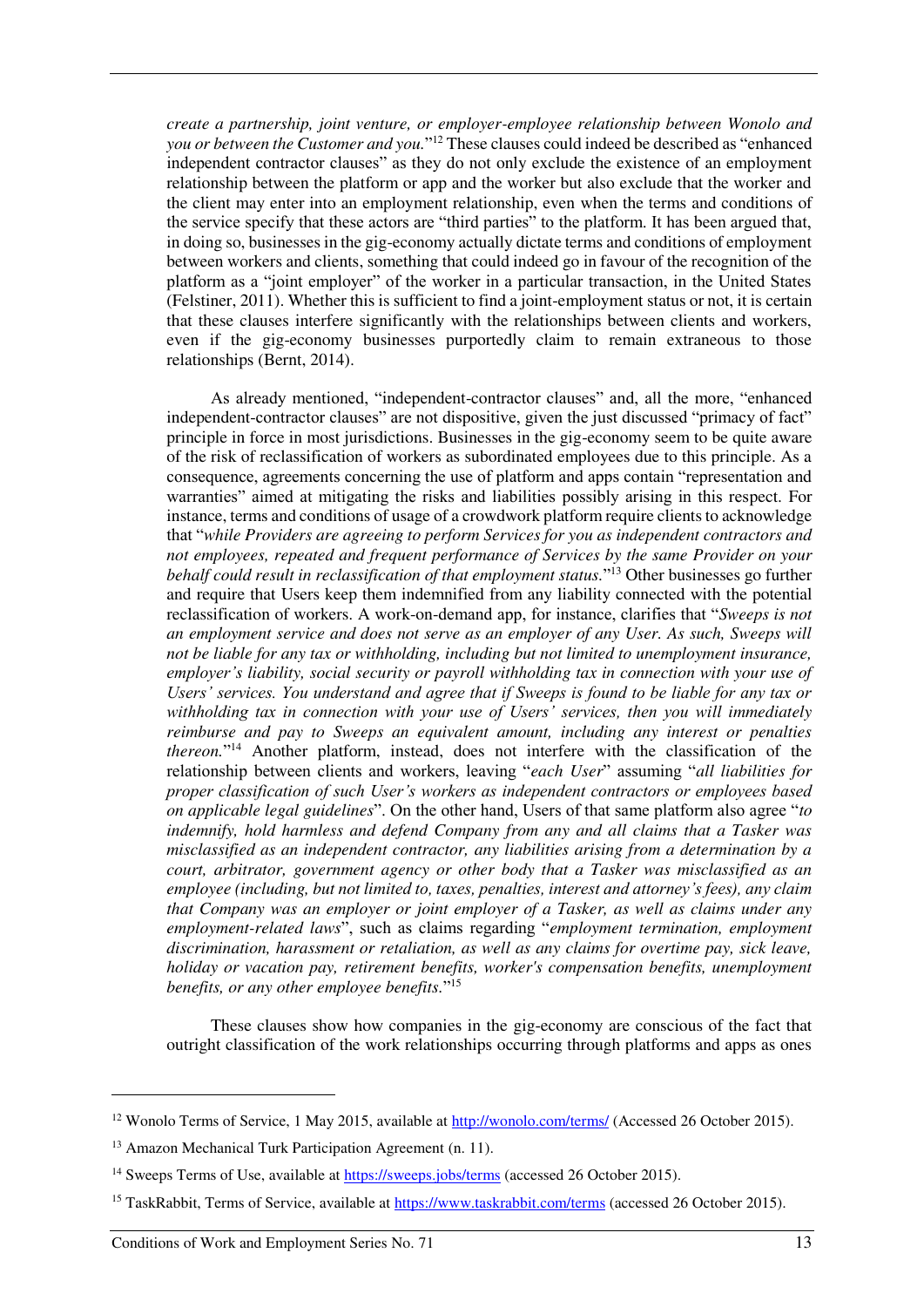*create a partnership, joint venture, or employer-employee relationship between Wonolo and you or between the Customer and you.*" <sup>12</sup> These clauses could indeed be described as "enhanced independent contractor clauses" as they do not only exclude the existence of an employment relationship between the platform or app and the worker but also exclude that the worker and the client may enter into an employment relationship, even when the terms and conditions of the service specify that these actors are "third parties" to the platform. It has been argued that, in doing so, businesses in the gig-economy actually dictate terms and conditions of employment between workers and clients, something that could indeed go in favour of the recognition of the platform as a "joint employer" of the worker in a particular transaction, in the United States (Felstiner, 2011). Whether this is sufficient to find a joint-employment status or not, it is certain that these clauses interfere significantly with the relationships between clients and workers, even if the gig-economy businesses purportedly claim to remain extraneous to those relationships (Bernt, 2014).

As already mentioned, "independent-contractor clauses" and, all the more, "enhanced independent-contractor clauses" are not dispositive, given the just discussed "primacy of fact" principle in force in most jurisdictions. Businesses in the gig-economy seem to be quite aware of the risk of reclassification of workers as subordinated employees due to this principle. As a consequence, agreements concerning the use of platform and apps contain "representation and warranties" aimed at mitigating the risks and liabilities possibly arising in this respect. For instance, terms and conditions of usage of a crowdwork platform require clients to acknowledge that "*while Providers are agreeing to perform Services for you as independent contractors and not employees, repeated and frequent performance of Services by the same Provider on your behalf could result in reclassification of that employment status.*" <sup>13</sup> Other businesses go further and require that Users keep them indemnified from any liability connected with the potential reclassification of workers. A work-on-demand app, for instance, clarifies that "*Sweeps is not an employment service and does not serve as an employer of any User. As such, Sweeps will not be liable for any tax or withholding, including but not limited to unemployment insurance, employer's liability, social security or payroll withholding tax in connection with your use of Users' services. You understand and agree that if Sweeps is found to be liable for any tax or withholding tax in connection with your use of Users' services, then you will immediately reimburse and pay to Sweeps an equivalent amount, including any interest or penalties thereon.*" <sup>14</sup> Another platform, instead, does not interfere with the classification of the relationship between clients and workers, leaving "*each User*" assuming "*all liabilities for proper classification of such User's workers as independent contractors or employees based on applicable legal guidelines*". On the other hand, Users of that same platform also agree "*to indemnify, hold harmless and defend Company from any and all claims that a Tasker was misclassified as an independent contractor, any liabilities arising from a determination by a court, arbitrator, government agency or other body that a Tasker was misclassified as an employee (including, but not limited to, taxes, penalties, interest and attorney's fees), any claim that Company was an employer or joint employer of a Tasker, as well as claims under any employment-related laws*", such as claims regarding "*employment termination, employment discrimination, harassment or retaliation, as well as any claims for overtime pay, sick leave, holiday or vacation pay, retirement benefits, worker's compensation benefits, unemployment benefits, or any other employee benefits.*" 15

These clauses show how companies in the gig-economy are conscious of the fact that outright classification of the work relationships occurring through platforms and apps as ones

<sup>&</sup>lt;sup>12</sup> Wonolo Terms of Service, 1 May 2015, available at<http://wonolo.com/terms/>(Accessed 26 October 2015).

<sup>13</sup> Amazon Mechanical Turk Participation Agreement (n. 11).

<sup>&</sup>lt;sup>14</sup> Sweeps Terms of Use, available at<https://sweeps.jobs/terms> (accessed 26 October 2015).

<sup>&</sup>lt;sup>15</sup> TaskRabbit, Terms of Service, available at [https://www.taskrabbit.com/terms \(](https://www.taskrabbit.com/terms)accessed 26 October 2015).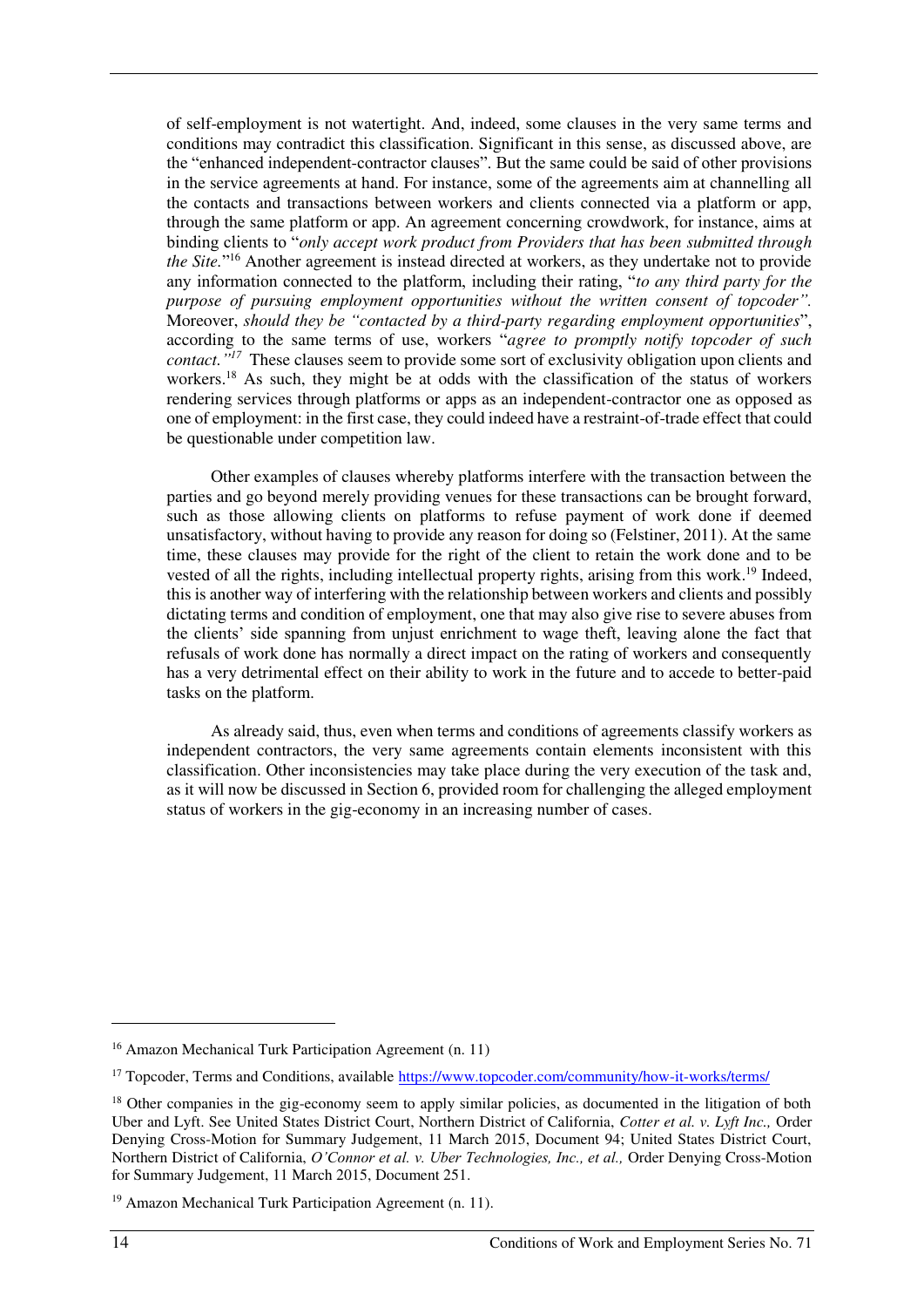of self-employment is not watertight. And, indeed, some clauses in the very same terms and conditions may contradict this classification. Significant in this sense, as discussed above, are the "enhanced independent-contractor clauses". But the same could be said of other provisions in the service agreements at hand. For instance, some of the agreements aim at channelling all the contacts and transactions between workers and clients connected via a platform or app, through the same platform or app. An agreement concerning crowdwork, for instance, aims at binding clients to "*only accept work product from Providers that has been submitted through the Site.*" <sup>16</sup> Another agreement is instead directed at workers, as they undertake not to provide any information connected to the platform, including their rating, "*to any third party for the purpose of pursuing employment opportunities without the written consent of topcoder".*  Moreover, *should they be "contacted by a third-party regarding employment opportunities*", according to the same terms of use, workers "*agree to promptly notify topcoder of such contact." <sup>17</sup>* These clauses seem to provide some sort of exclusivity obligation upon clients and workers.<sup>18</sup> As such, they might be at odds with the classification of the status of workers rendering services through platforms or apps as an independent-contractor one as opposed as one of employment: in the first case, they could indeed have a restraint-of-trade effect that could be questionable under competition law.

Other examples of clauses whereby platforms interfere with the transaction between the parties and go beyond merely providing venues for these transactions can be brought forward, such as those allowing clients on platforms to refuse payment of work done if deemed unsatisfactory, without having to provide any reason for doing so (Felstiner, 2011). At the same time, these clauses may provide for the right of the client to retain the work done and to be vested of all the rights, including intellectual property rights, arising from this work.<sup>19</sup> Indeed, this is another way of interfering with the relationship between workers and clients and possibly dictating terms and condition of employment, one that may also give rise to severe abuses from the clients' side spanning from unjust enrichment to wage theft, leaving alone the fact that refusals of work done has normally a direct impact on the rating of workers and consequently has a very detrimental effect on their ability to work in the future and to accede to better-paid tasks on the platform.

As already said, thus, even when terms and conditions of agreements classify workers as independent contractors, the very same agreements contain elements inconsistent with this classification. Other inconsistencies may take place during the very execution of the task and, as it will now be discussed in Section 6, provided room for challenging the alleged employment status of workers in the gig-economy in an increasing number of cases.

<sup>16</sup> Amazon Mechanical Turk Participation Agreement (n. 11)

<sup>&</sup>lt;sup>17</sup> Topcoder, Terms and Conditions, available https://www.topcoder.com/community/how-it-works/terms/

<sup>&</sup>lt;sup>18</sup> Other companies in the gig-economy seem to apply similar policies, as documented in the litigation of both Uber and Lyft. See United States District Court, Northern District of California, *Cotter et al. v. Lyft Inc.,* Order Denying Cross-Motion for Summary Judgement, 11 March 2015, Document 94; United States District Court, Northern District of California, *O'Connor et al. v. Uber Technologies, Inc., et al.,* Order Denying Cross-Motion for Summary Judgement, 11 March 2015, Document 251.

<sup>&</sup>lt;sup>19</sup> Amazon Mechanical Turk Participation Agreement (n. 11).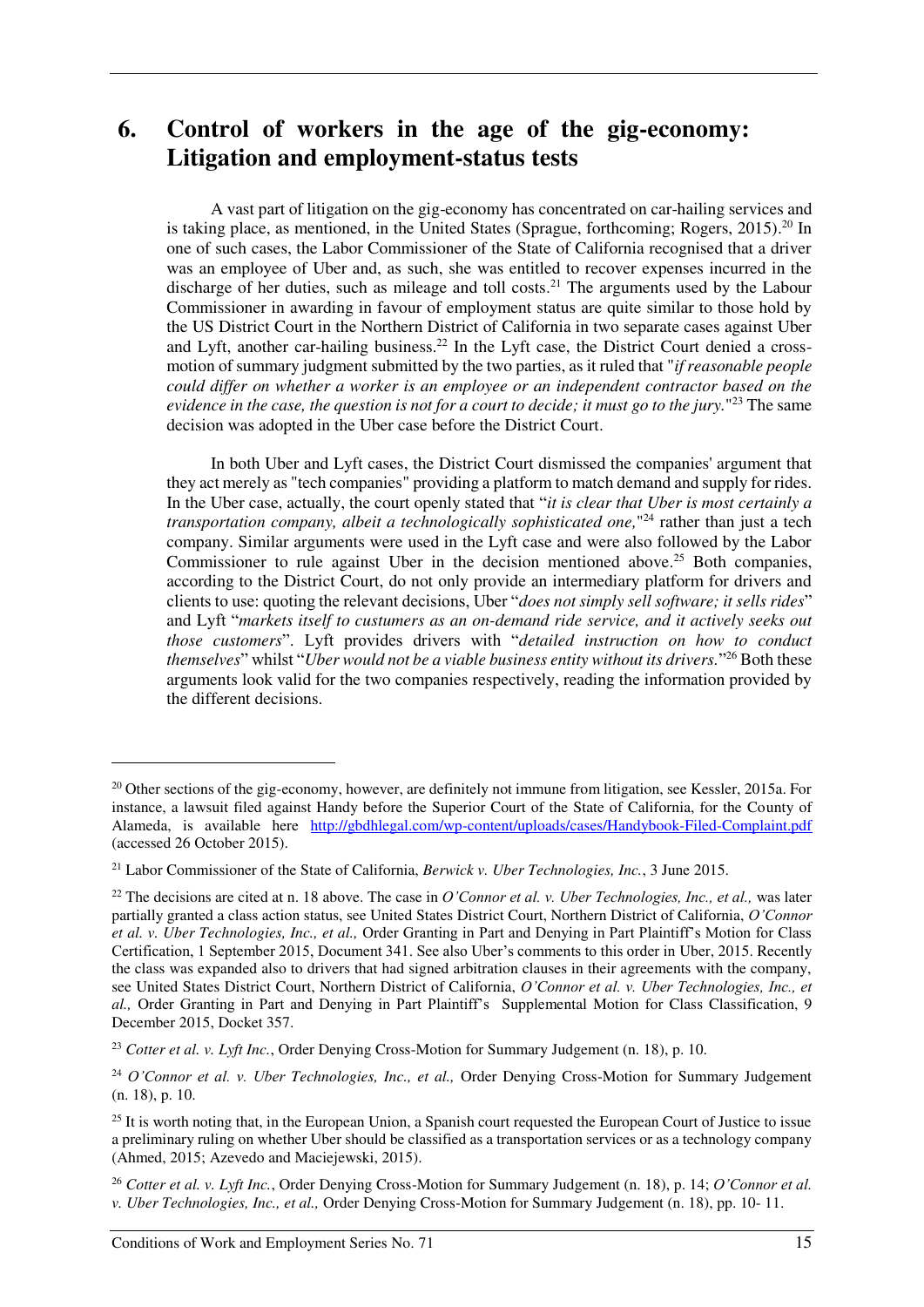#### **6. Control of workers in the age of the gig-economy: Litigation and employment-status tests**

A vast part of litigation on the gig-economy has concentrated on car-hailing services and is taking place, as mentioned, in the United States (Sprague, forthcoming; Rogers, 2015).<sup>20</sup> In one of such cases, the Labor Commissioner of the State of California recognised that a driver was an employee of Uber and, as such, she was entitled to recover expenses incurred in the discharge of her duties, such as mileage and toll costs.<sup>21</sup> The arguments used by the Labour Commissioner in awarding in favour of employment status are quite similar to those hold by the US District Court in the Northern District of California in two separate cases against Uber and Lyft, another car-hailing business.<sup>22</sup> In the Lyft case, the District Court denied a crossmotion of summary judgment submitted by the two parties, as it ruled that "*if reasonable people could differ on whether a worker is an employee or an independent contractor based on the evidence in the case, the question is not for a court to decide; it must go to the jury.*" <sup>23</sup> The same decision was adopted in the Uber case before the District Court.

In both Uber and Lyft cases, the District Court dismissed the companies' argument that they act merely as "tech companies" providing a platform to match demand and supply for rides. In the Uber case, actually, the court openly stated that "*it is clear that Uber is most certainly a transportation company, albeit a technologically sophisticated one,*" <sup>24</sup> rather than just a tech company. Similar arguments were used in the Lyft case and were also followed by the Labor Commissioner to rule against Uber in the decision mentioned above.<sup>25</sup> Both companies, according to the District Court, do not only provide an intermediary platform for drivers and clients to use: quoting the relevant decisions, Uber "*does not simply sell software; it sells rides*" and Lyft "*markets itself to custumers as an on-demand ride service, and it actively seeks out those customers*". Lyft provides drivers with "*detailed instruction on how to conduct themselves*" whilst "*Uber would not be a viable business entity without its drivers.*" <sup>26</sup> Both these arguments look valid for the two companies respectively, reading the information provided by the different decisions.

<sup>&</sup>lt;sup>20</sup> Other sections of the gig-economy, however, are definitely not immune from litigation, see Kessler, 2015a. For instance, a lawsuit filed against Handy before the Superior Court of the State of California, for the County of Alameda, is available here <http://gbdhlegal.com/wp-content/uploads/cases/Handybook-Filed-Complaint.pdf> (accessed 26 October 2015).

<sup>21</sup> Labor Commissioner of the State of California, *Berwick v. Uber Technologies, Inc.*, 3 June 2015.

<sup>&</sup>lt;sup>22</sup> The decisions are cited at n. 18 above. The case in *O'Connor et al. v. Uber Technologies, Inc., et al.*, was later partially granted a class action status, see United States District Court, Northern District of California, *O'Connor et al. v. Uber Technologies, Inc., et al.,* Order Granting in Part and Denying in Part Plaintiff's Motion for Class Certification, 1 September 2015, Document 341. See also Uber's comments to this order in Uber, 2015. Recently the class was expanded also to drivers that had signed arbitration clauses in their agreements with the company, see United States District Court, Northern District of California, *O'Connor et al. v. Uber Technologies, Inc., et al.,* Order Granting in Part and Denying in Part Plaintiff's Supplemental Motion for Class Classification, 9 December 2015, Docket 357.

<sup>23</sup> *Cotter et al. v. Lyft Inc.*, Order Denying Cross-Motion for Summary Judgement (n. 18), p. 10.

<sup>24</sup> *O'Connor et al. v. Uber Technologies, Inc., et al.,* Order Denying Cross-Motion for Summary Judgement (n. 18), p. 10.

<sup>&</sup>lt;sup>25</sup> It is worth noting that, in the European Union, a Spanish court requested the European Court of Justice to issue a preliminary ruling on whether Uber should be classified as a transportation services or as a technology company (Ahmed, 2015; Azevedo and Maciejewski, 2015).

<sup>26</sup> *Cotter et al. v. Lyft Inc.*, Order Denying Cross-Motion for Summary Judgement (n. 18), p. 14; *O'Connor et al. v. Uber Technologies, Inc., et al.,* Order Denying Cross-Motion for Summary Judgement (n. 18), pp. 10- 11.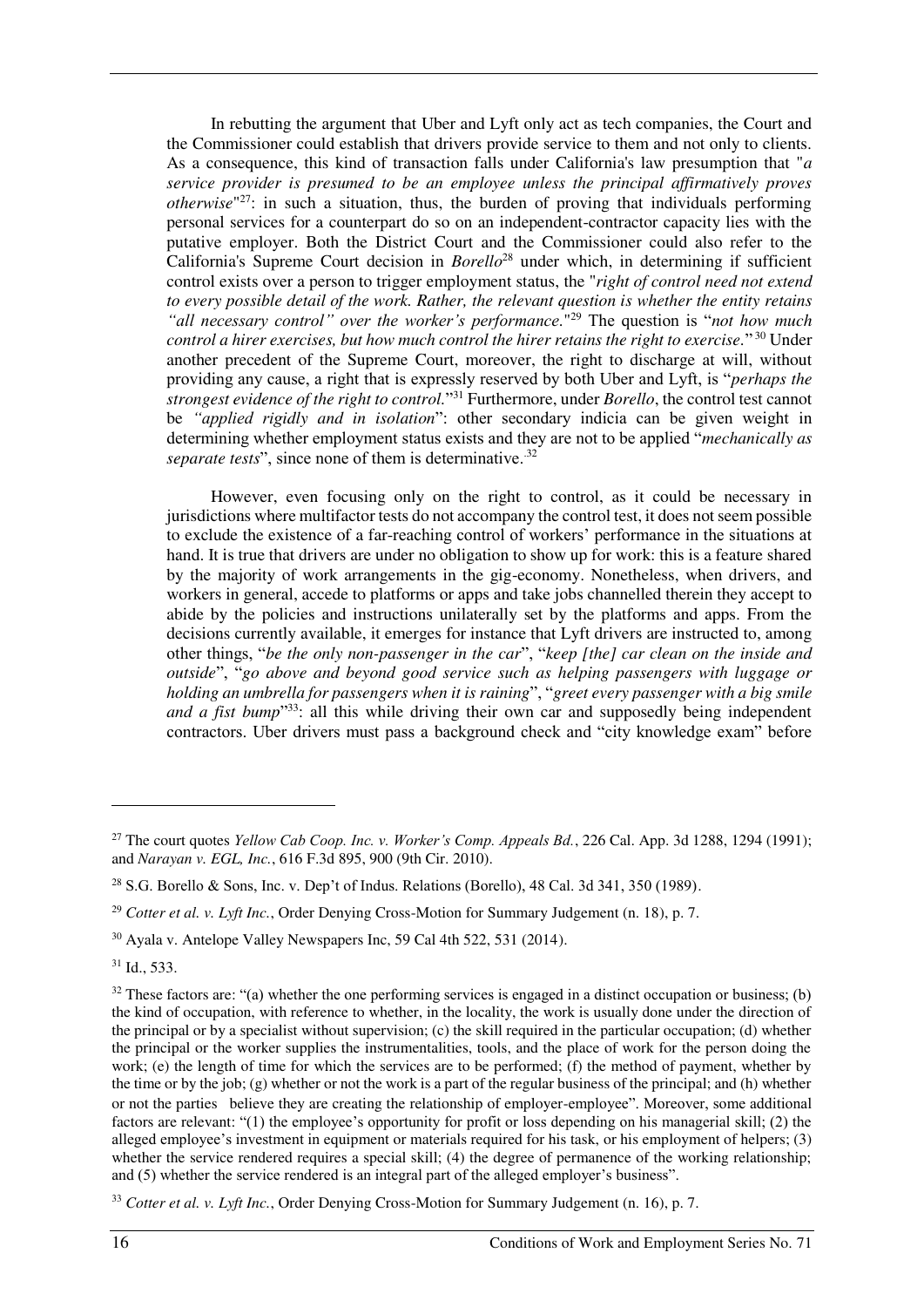In rebutting the argument that Uber and Lyft only act as tech companies, the Court and the Commissioner could establish that drivers provide service to them and not only to clients. As a consequence, this kind of transaction falls under California's law presumption that "*a service provider is presumed to be an employee unless the principal affirmatively proves otherwise*" <sup>27</sup>: in such a situation, thus, the burden of proving that individuals performing personal services for a counterpart do so on an independent-contractor capacity lies with the putative employer. Both the District Court and the Commissioner could also refer to the California's Supreme Court decision in *Borello*<sup>28</sup> under which, in determining if sufficient control exists over a person to trigger employment status, the "*right of control need not extend to every possible detail of the work. Rather, the relevant question is whether the entity retains "all necessary control" over the worker's performance.*" <sup>29</sup> The question is "*not how much control a hirer exercises, but how much control the hirer retains the right to exercise.*" <sup>30</sup> Under another precedent of the Supreme Court, moreover, the right to discharge at will, without providing any cause, a right that is expressly reserved by both Uber and Lyft, is "*perhaps the strongest evidence of the right to control.*" <sup>31</sup> Furthermore, under *Borello*, the control test cannot be *"applied rigidly and in isolation*": other secondary indicia can be given weight in determining whether employment status exists and they are not to be applied "*mechanically as*  separate tests", since none of them is determinative.<sup>32</sup>

However, even focusing only on the right to control, as it could be necessary in jurisdictions where multifactor tests do not accompany the control test, it does not seem possible to exclude the existence of a far-reaching control of workers' performance in the situations at hand. It is true that drivers are under no obligation to show up for work: this is a feature shared by the majority of work arrangements in the gig-economy. Nonetheless, when drivers, and workers in general, accede to platforms or apps and take jobs channelled therein they accept to abide by the policies and instructions unilaterally set by the platforms and apps. From the decisions currently available, it emerges for instance that Lyft drivers are instructed to, among other things, "*be the only non-passenger in the car*", "*keep [the] car clean on the inside and outside*", "*go above and beyond good service such as helping passengers with luggage or holding an umbrella for passengers when it is raining*", "*greet every passenger with a big smile*  and a fist bump<sup>"33</sup>: all this while driving their own car and supposedly being independent contractors. Uber drivers must pass a background check and "city knowledge exam" before

<sup>27</sup> The court quotes *Yellow Cab Coop. Inc. v. Worker's Comp. Appeals Bd.*, 226 Cal. App. 3d 1288, 1294 (1991); and *Narayan v. EGL, Inc.*, 616 F.3d 895, 900 (9th Cir. 2010).

<sup>28</sup> S.G. Borello & Sons, Inc. v. Dep't of Indus. Relations (Borello), 48 Cal. 3d 341, 350 (1989).

<sup>29</sup> *Cotter et al. v. Lyft Inc.*, Order Denying Cross-Motion for Summary Judgement (n. 18), p. 7.

<sup>30</sup> Ayala v. Antelope Valley Newspapers Inc, 59 Cal 4th 522, 531 (2014).

<sup>31</sup> Id., 533.

 $32$  These factors are: "(a) whether the one performing services is engaged in a distinct occupation or business; (b) the kind of occupation, with reference to whether, in the locality, the work is usually done under the direction of the principal or by a specialist without supervision; (c) the skill required in the particular occupation; (d) whether the principal or the worker supplies the instrumentalities, tools, and the place of work for the person doing the work; (e) the length of time for which the services are to be performed; (f) the method of payment, whether by the time or by the job; (g) whether or not the work is a part of the regular business of the principal; and (h) whether or not the parties believe they are creating the relationship of employer-employee". Moreover, some additional factors are relevant: "(1) the employee's opportunity for profit or loss depending on his managerial skill; (2) the alleged employee's investment in equipment or materials required for his task, or his employment of helpers; (3) whether the service rendered requires a special skill; (4) the degree of permanence of the working relationship; and (5) whether the service rendered is an integral part of the alleged employer's business".

<sup>&</sup>lt;sup>33</sup> Cotter et al. v. Lyft Inc., Order Denying Cross-Motion for Summary Judgement (n. 16), p. 7.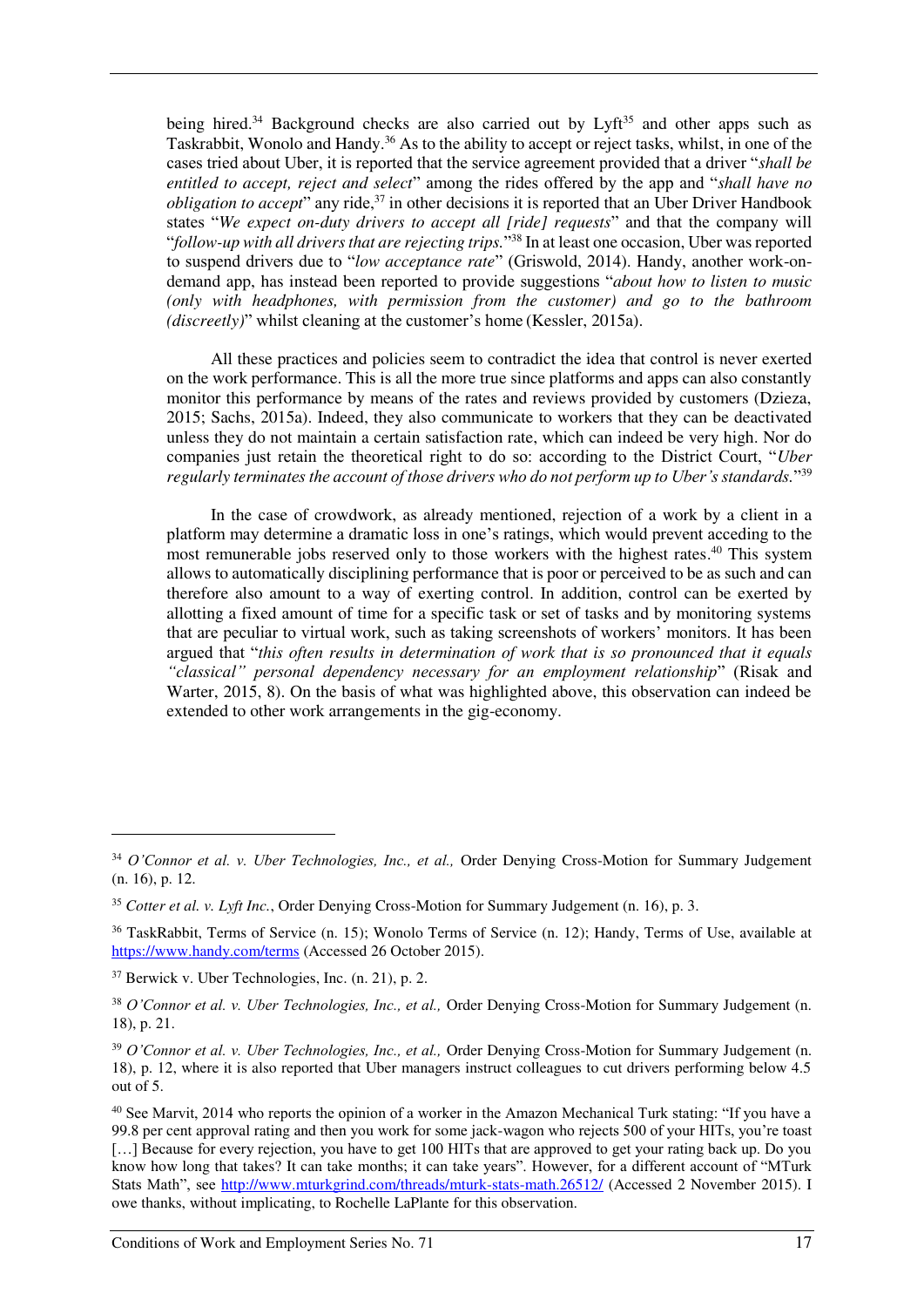being hired.<sup>34</sup> Background checks are also carried out by  $\mathrm{Lyft}^{35}$  and other apps such as Taskrabbit, Wonolo and Handy.<sup>36</sup> As to the ability to accept or reject tasks, whilst, in one of the cases tried about Uber, it is reported that the service agreement provided that a driver "*shall be entitled to accept, reject and select*" among the rides offered by the app and "*shall have no obligation to accept*" any ride, <sup>37</sup> in other decisions it is reported that an Uber Driver Handbook states "*We expect on-duty drivers to accept all [ride] requests*" and that the company will "*follow-up with all drivers that are rejecting trips.*" <sup>38</sup> In at least one occasion, Uber was reported to suspend drivers due to "*low acceptance rate*" (Griswold, 2014). Handy, another work-ondemand app, has instead been reported to provide suggestions "*about how to listen to music (only with headphones, with permission from the customer) and go to the bathroom (discreetly)*" whilst cleaning at the customer's home (Kessler, 2015a).

All these practices and policies seem to contradict the idea that control is never exerted on the work performance. This is all the more true since platforms and apps can also constantly monitor this performance by means of the rates and reviews provided by customers (Dzieza, 2015; Sachs, 2015a). Indeed, they also communicate to workers that they can be deactivated unless they do not maintain a certain satisfaction rate, which can indeed be very high. Nor do companies just retain the theoretical right to do so: according to the District Court, "*Uber regularly terminates the account of those drivers who do not perform up to Uber's standards.*" 39

In the case of crowdwork, as already mentioned, rejection of a work by a client in a platform may determine a dramatic loss in one's ratings, which would prevent acceding to the most remunerable jobs reserved only to those workers with the highest rates.<sup>40</sup> This system allows to automatically disciplining performance that is poor or perceived to be as such and can therefore also amount to a way of exerting control. In addition, control can be exerted by allotting a fixed amount of time for a specific task or set of tasks and by monitoring systems that are peculiar to virtual work, such as taking screenshots of workers' monitors. It has been argued that "*this often results in determination of work that is so pronounced that it equals "classical" personal dependency necessary for an employment relationship*" (Risak and Warter, 2015, 8). On the basis of what was highlighted above, this observation can indeed be extended to other work arrangements in the gig-economy.

<sup>34</sup> *O'Connor et al. v. Uber Technologies, Inc., et al.,* Order Denying Cross-Motion for Summary Judgement (n. 16), p. 12.

<sup>35</sup> *Cotter et al. v. Lyft Inc.*, Order Denying Cross-Motion for Summary Judgement (n. 16), p. 3.

<sup>&</sup>lt;sup>36</sup> TaskRabbit, Terms of Service (n. 15); Wonolo Terms of Service (n. 12); Handy, Terms of Use, available at <https://www.handy.com/terms>(Accessed 26 October 2015).

<sup>37</sup> Berwick v. Uber Technologies, Inc. (n. 21), p. 2.

<sup>38</sup> *O'Connor et al. v. Uber Technologies, Inc., et al.,* Order Denying Cross-Motion for Summary Judgement (n. 18), p. 21.

<sup>39</sup> *O'Connor et al. v. Uber Technologies, Inc., et al.,* Order Denying Cross-Motion for Summary Judgement (n. 18), p. 12, where it is also reported that Uber managers instruct colleagues to cut drivers performing below 4.5 out of 5.

<sup>&</sup>lt;sup>40</sup> See Marvit, 2014 who reports the opinion of a worker in the Amazon Mechanical Turk stating: "If you have a 99.8 per cent approval rating and then you work for some jack-wagon who rejects 500 of your HITs, you're toast [...] Because for every rejection, you have to get 100 HITs that are approved to get your rating back up. Do you know how long that takes? It can take months; it can take years". However, for a different account of "MTurk Stats Math", see <http://www.mturkgrind.com/threads/mturk-stats-math.26512/>(Accessed 2 November 2015). I owe thanks, without implicating, to Rochelle LaPlante for this observation.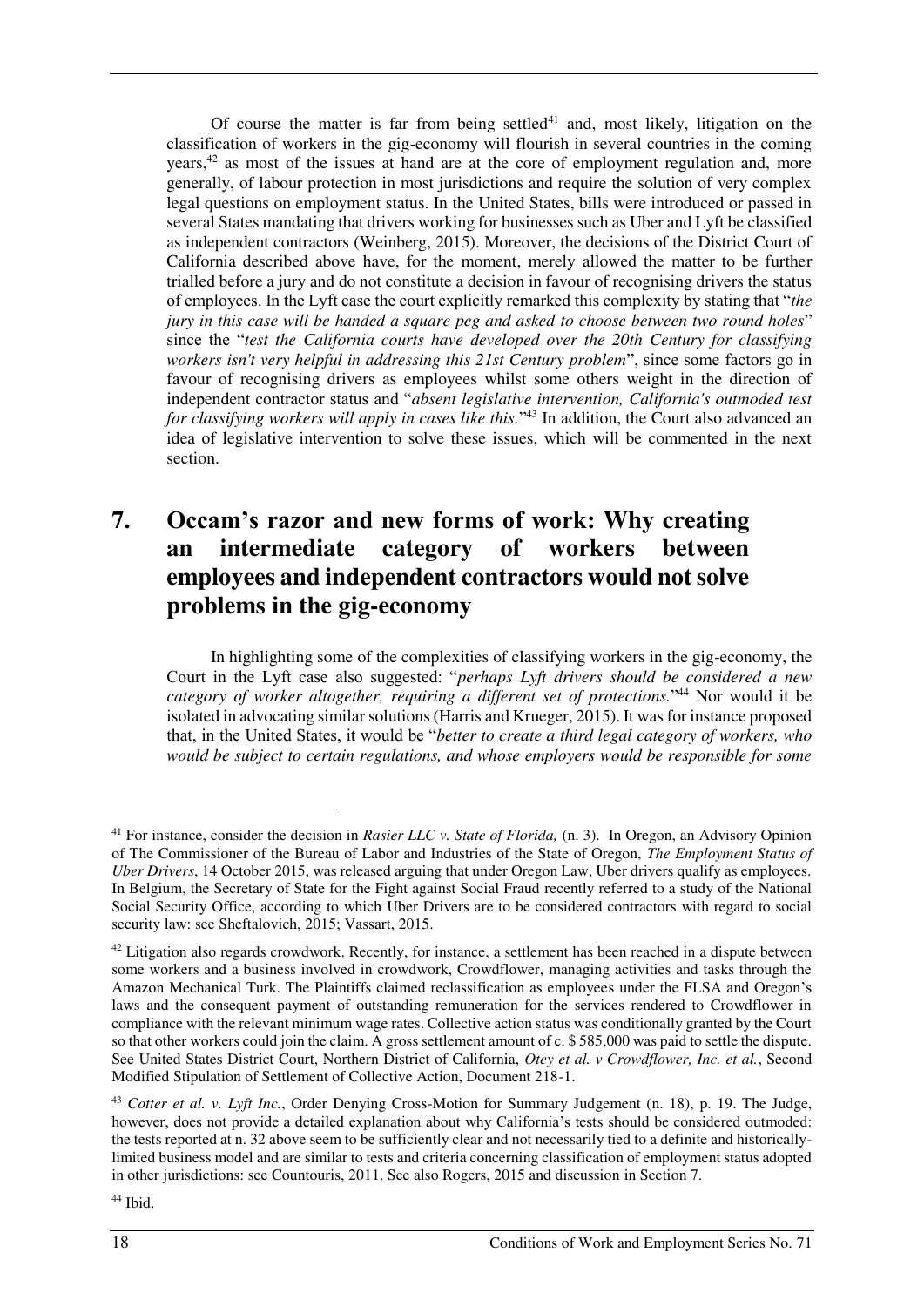Of course the matter is far from being settled $41$  and, most likely, litigation on the classification of workers in the gig-economy will flourish in several countries in the coming years,<sup>42</sup> as most of the issues at hand are at the core of employment regulation and, more generally, of labour protection in most jurisdictions and require the solution of very complex legal questions on employment status. In the United States, bills were introduced or passed in several States mandating that drivers working for businesses such as Uber and Lyft be classified as independent contractors (Weinberg, 2015). Moreover, the decisions of the District Court of California described above have, for the moment, merely allowed the matter to be further trialled before a jury and do not constitute a decision in favour of recognising drivers the status of employees. In the Lyft case the court explicitly remarked this complexity by stating that "*the jury in this case will be handed a square peg and asked to choose between two round holes*" since the "*test the California courts have developed over the 20th Century for classifying workers isn't very helpful in addressing this 21st Century problem*", since some factors go in favour of recognising drivers as employees whilst some others weight in the direction of independent contractor status and "*absent legislative intervention, California's outmoded test for classifying workers will apply in cases like this.*" <sup>43</sup> In addition, the Court also advanced an idea of legislative intervention to solve these issues, which will be commented in the next section.

## **7. Occam's razor and new forms of work: Why creating an intermediate category of workers between employees and independent contractors would not solve problems in the gig-economy**

In highlighting some of the complexities of classifying workers in the gig-economy, the Court in the Lyft case also suggested: "*perhaps Lyft drivers should be considered a new category of worker altogether, requiring a different set of protections.*" <sup>44</sup> Nor would it be isolated in advocating similar solutions (Harris and Krueger, 2015). It was for instance proposed that, in the United States, it would be "*better to create a third legal category of workers, who would be subject to certain regulations, and whose employers would be responsible for some* 

<sup>41</sup> For instance, consider the decision in *Rasier LLC v. State of Florida,* (n. 3). In Oregon, an Advisory Opinion of The Commissioner of the Bureau of Labor and Industries of the State of Oregon, *The Employment Status of Uber Drivers*, 14 October 2015, was released arguing that under Oregon Law, Uber drivers qualify as employees. In Belgium, the Secretary of State for the Fight against Social Fraud recently referred to a study of the National Social Security Office, according to which Uber Drivers are to be considered contractors with regard to social security law: see Sheftalovich, 2015; Vassart, 2015.

<sup>&</sup>lt;sup>42</sup> Litigation also regards crowdwork. Recently, for instance, a settlement has been reached in a dispute between some workers and a business involved in crowdwork, Crowdflower, managing activities and tasks through the Amazon Mechanical Turk. The Plaintiffs claimed reclassification as employees under the FLSA and Oregon's laws and the consequent payment of outstanding remuneration for the services rendered to Crowdflower in compliance with the relevant minimum wage rates. Collective action status was conditionally granted by the Court so that other workers could join the claim. A gross settlement amount of c. \$ 585,000 was paid to settle the dispute. See United States District Court, Northern District of California, *Otey et al. v Crowdflower, Inc. et al.*, Second Modified Stipulation of Settlement of Collective Action, Document 218-1.

<sup>43</sup> *Cotter et al. v. Lyft Inc.*, Order Denying Cross-Motion for Summary Judgement (n. 18), p. 19. The Judge, however, does not provide a detailed explanation about why California's tests should be considered outmoded: the tests reported at n. 32 above seem to be sufficiently clear and not necessarily tied to a definite and historicallylimited business model and are similar to tests and criteria concerning classification of employment status adopted in other jurisdictions: see Countouris, 2011. See also Rogers, 2015 and discussion in Section 7.

<sup>44</sup> Ibid.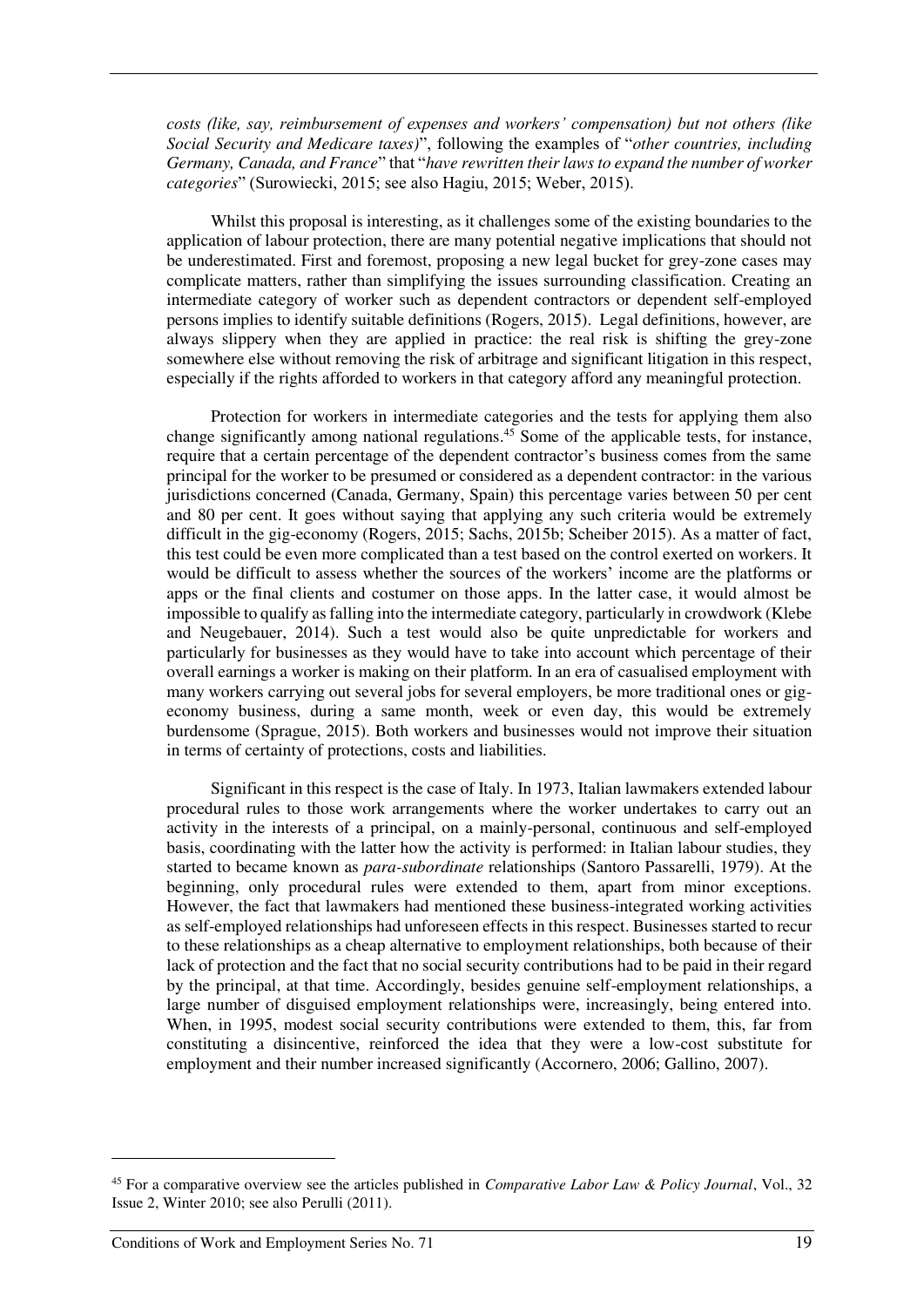*costs (like, say, reimbursement of expenses and workers' compensation) but not others (like Social Security and Medicare taxes)*", following the examples of "*other countries, including Germany, Canada, and France*" that "*have rewritten their laws to expand the number of worker categories*" (Surowiecki, 2015; see also Hagiu, 2015; Weber, 2015).

Whilst this proposal is interesting, as it challenges some of the existing boundaries to the application of labour protection, there are many potential negative implications that should not be underestimated. First and foremost, proposing a new legal bucket for grey-zone cases may complicate matters, rather than simplifying the issues surrounding classification. Creating an intermediate category of worker such as dependent contractors or dependent self-employed persons implies to identify suitable definitions (Rogers, 2015). Legal definitions, however, are always slippery when they are applied in practice: the real risk is shifting the grey-zone somewhere else without removing the risk of arbitrage and significant litigation in this respect, especially if the rights afforded to workers in that category afford any meaningful protection.

Protection for workers in intermediate categories and the tests for applying them also change significantly among national regulations.<sup>45</sup> Some of the applicable tests, for instance, require that a certain percentage of the dependent contractor's business comes from the same principal for the worker to be presumed or considered as a dependent contractor: in the various jurisdictions concerned (Canada, Germany, Spain) this percentage varies between 50 per cent and 80 per cent. It goes without saying that applying any such criteria would be extremely difficult in the gig-economy (Rogers, 2015; Sachs, 2015b; Scheiber 2015). As a matter of fact, this test could be even more complicated than a test based on the control exerted on workers. It would be difficult to assess whether the sources of the workers' income are the platforms or apps or the final clients and costumer on those apps. In the latter case, it would almost be impossible to qualify as falling into the intermediate category, particularly in crowdwork (Klebe and Neugebauer, 2014). Such a test would also be quite unpredictable for workers and particularly for businesses as they would have to take into account which percentage of their overall earnings a worker is making on their platform. In an era of casualised employment with many workers carrying out several jobs for several employers, be more traditional ones or gigeconomy business, during a same month, week or even day, this would be extremely burdensome (Sprague, 2015). Both workers and businesses would not improve their situation in terms of certainty of protections, costs and liabilities.

Significant in this respect is the case of Italy. In 1973, Italian lawmakers extended labour procedural rules to those work arrangements where the worker undertakes to carry out an activity in the interests of a principal, on a mainly-personal, continuous and self-employed basis, coordinating with the latter how the activity is performed: in Italian labour studies, they started to became known as *para-subordinate* relationships (Santoro Passarelli, 1979). At the beginning, only procedural rules were extended to them, apart from minor exceptions. However, the fact that lawmakers had mentioned these business-integrated working activities as self-employed relationships had unforeseen effects in this respect. Businesses started to recur to these relationships as a cheap alternative to employment relationships, both because of their lack of protection and the fact that no social security contributions had to be paid in their regard by the principal, at that time. Accordingly, besides genuine self-employment relationships, a large number of disguised employment relationships were, increasingly, being entered into. When, in 1995, modest social security contributions were extended to them, this, far from constituting a disincentive, reinforced the idea that they were a low-cost substitute for employment and their number increased significantly (Accornero, 2006; Gallino, 2007).

<sup>45</sup> For a comparative overview see the articles published in *Comparative Labor Law & Policy Journal*, Vol., 32 Issue 2, Winter 2010; see also Perulli (2011).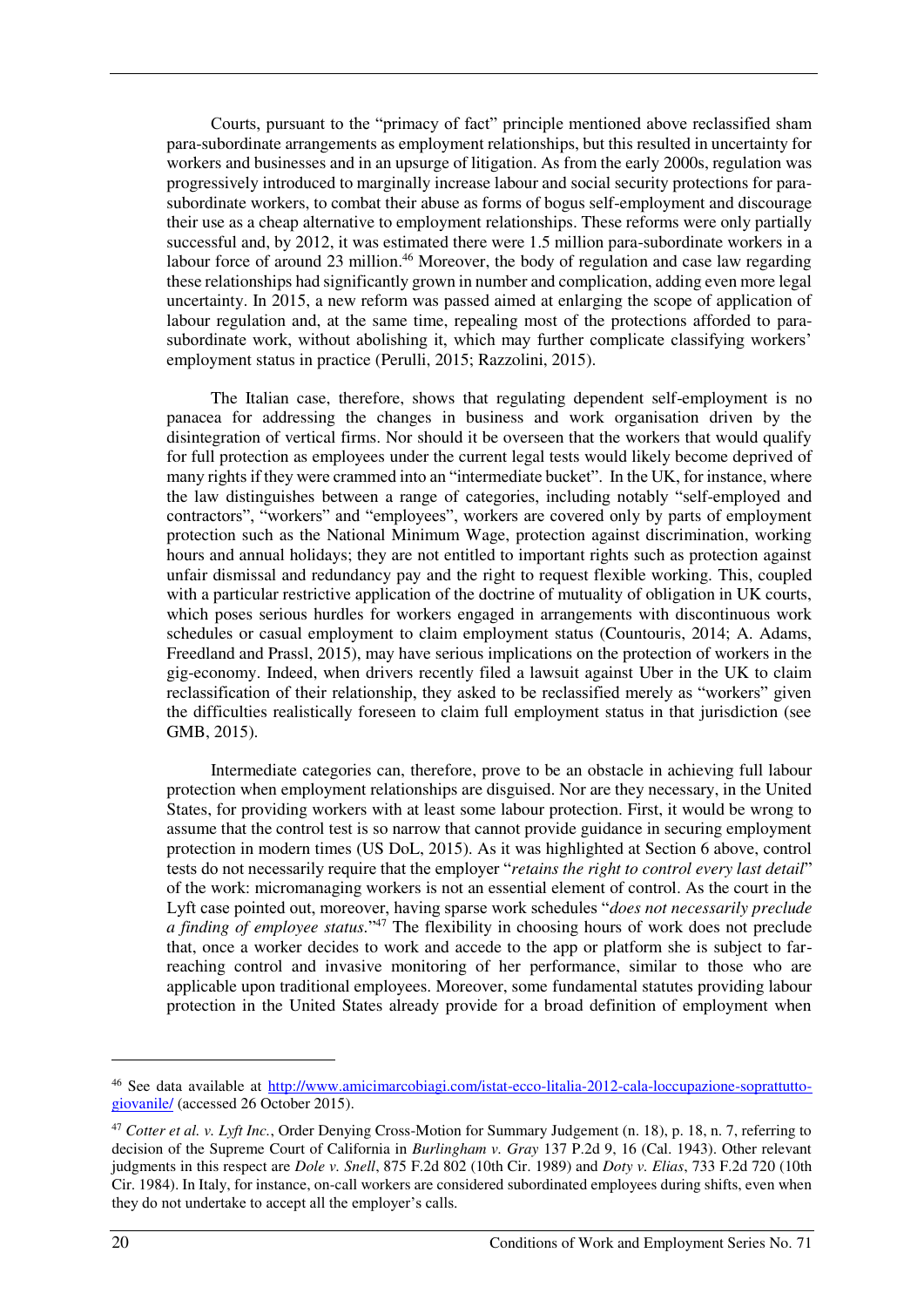Courts, pursuant to the "primacy of fact" principle mentioned above reclassified sham para-subordinate arrangements as employment relationships, but this resulted in uncertainty for workers and businesses and in an upsurge of litigation. As from the early 2000s, regulation was progressively introduced to marginally increase labour and social security protections for parasubordinate workers, to combat their abuse as forms of bogus self-employment and discourage their use as a cheap alternative to employment relationships. These reforms were only partially successful and, by 2012, it was estimated there were 1.5 million para-subordinate workers in a labour force of around 23 million.<sup>46</sup> Moreover, the body of regulation and case law regarding these relationships had significantly grown in number and complication, adding even more legal uncertainty. In 2015, a new reform was passed aimed at enlarging the scope of application of labour regulation and, at the same time, repealing most of the protections afforded to parasubordinate work, without abolishing it, which may further complicate classifying workers' employment status in practice (Perulli, 2015; Razzolini, 2015).

The Italian case, therefore, shows that regulating dependent self-employment is no panacea for addressing the changes in business and work organisation driven by the disintegration of vertical firms. Nor should it be overseen that the workers that would qualify for full protection as employees under the current legal tests would likely become deprived of many rights if they were crammed into an "intermediate bucket". In the UK, for instance, where the law distinguishes between a range of categories, including notably "self-employed and contractors", "workers" and "employees", workers are covered only by parts of employment protection such as the National Minimum Wage, protection against discrimination, working hours and annual holidays; they are not entitled to important rights such as protection against unfair dismissal and redundancy pay and the right to request flexible working. This, coupled with a particular restrictive application of the doctrine of mutuality of obligation in UK courts, which poses serious hurdles for workers engaged in arrangements with discontinuous work schedules or casual employment to claim employment status (Countouris, 2014; A. Adams, Freedland and Prassl, 2015), may have serious implications on the protection of workers in the gig-economy. Indeed, when drivers recently filed a lawsuit against Uber in the UK to claim reclassification of their relationship, they asked to be reclassified merely as "workers" given the difficulties realistically foreseen to claim full employment status in that jurisdiction (see GMB, 2015).

Intermediate categories can, therefore, prove to be an obstacle in achieving full labour protection when employment relationships are disguised. Nor are they necessary, in the United States, for providing workers with at least some labour protection. First, it would be wrong to assume that the control test is so narrow that cannot provide guidance in securing employment protection in modern times (US DoL, 2015). As it was highlighted at Section 6 above, control tests do not necessarily require that the employer "*retains the right to control every last detail*" of the work: micromanaging workers is not an essential element of control. As the court in the Lyft case pointed out, moreover, having sparse work schedules "*does not necessarily preclude a finding of employee status.*" <sup>47</sup> The flexibility in choosing hours of work does not preclude that, once a worker decides to work and accede to the app or platform she is subject to farreaching control and invasive monitoring of her performance, similar to those who are applicable upon traditional employees. Moreover, some fundamental statutes providing labour protection in the United States already provide for a broad definition of employment when

<sup>46</sup> See data available at [http://www.amicimarcobiagi.com/istat-ecco-litalia-2012-cala-loccupazione-soprattutto](http://www.amicimarcobiagi.com/istat-ecco-litalia-2012-cala-loccupazione-soprattutto-giovanile/)[giovanile/](http://www.amicimarcobiagi.com/istat-ecco-litalia-2012-cala-loccupazione-soprattutto-giovanile/) (accessed 26 October 2015).

<sup>47</sup> *Cotter et al. v. Lyft Inc.*, Order Denying Cross-Motion for Summary Judgement (n. 18), p. 18, n. 7, referring to decision of the Supreme Court of California in *Burlingham v. Gray* 137 P.2d 9, 16 (Cal. 1943). Other relevant judgments in this respect are *Dole v. Snell*, 875 F.2d 802 (10th Cir. 1989) and *Doty v. Elias*, 733 F.2d 720 (10th Cir. 1984). In Italy, for instance, on-call workers are considered subordinated employees during shifts, even when they do not undertake to accept all the employer's calls.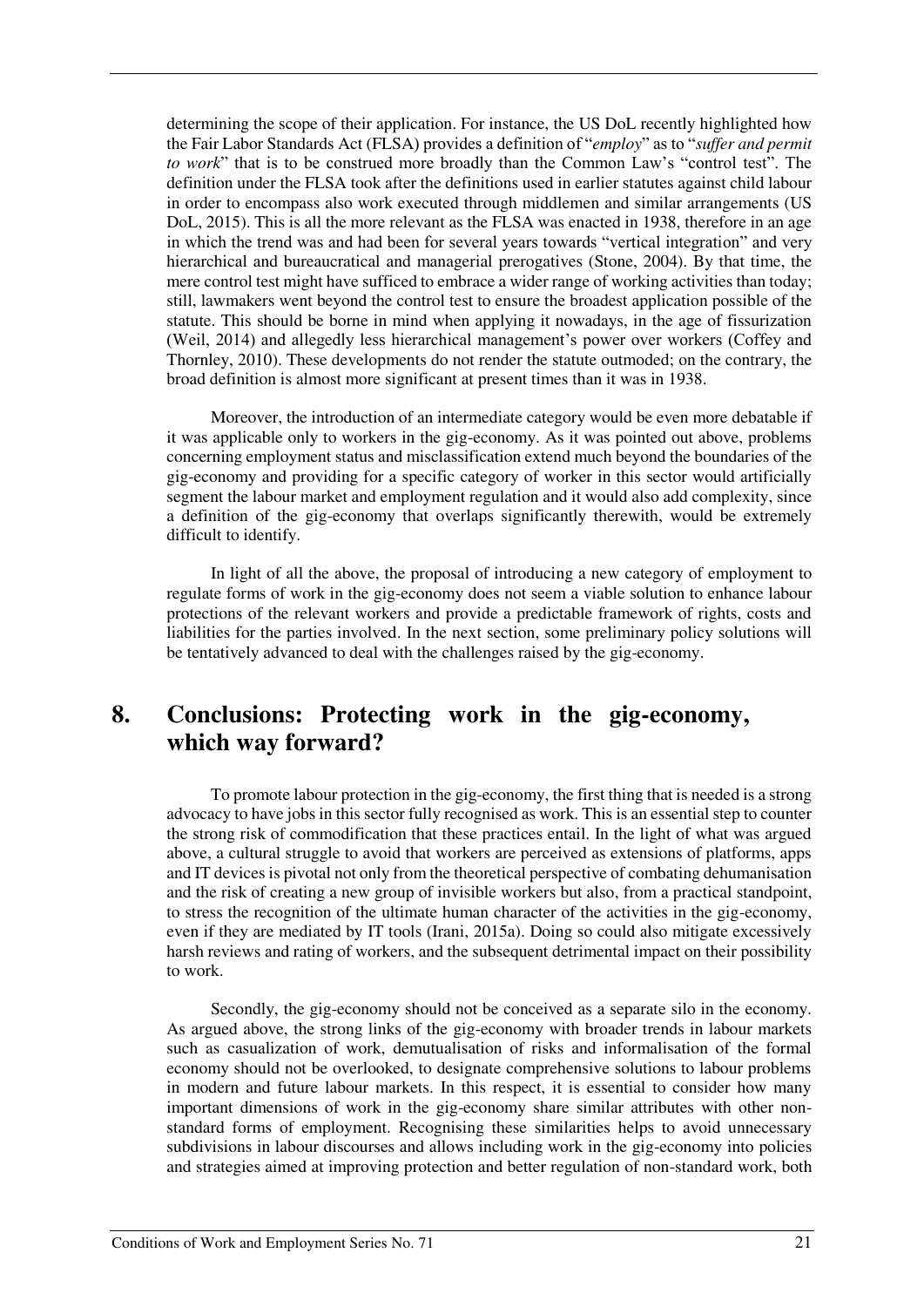determining the scope of their application. For instance, the US DoL recently highlighted how the Fair Labor Standards Act (FLSA) provides a definition of "*employ*" as to "*suffer and permit to work*" that is to be construed more broadly than the Common Law's "control test". The definition under the FLSA took after the definitions used in earlier statutes against child labour in order to encompass also work executed through middlemen and similar arrangements (US DoL, 2015). This is all the more relevant as the FLSA was enacted in 1938, therefore in an age in which the trend was and had been for several years towards "vertical integration" and very hierarchical and bureaucratical and managerial prerogatives (Stone, 2004). By that time, the mere control test might have sufficed to embrace a wider range of working activities than today; still, lawmakers went beyond the control test to ensure the broadest application possible of the statute. This should be borne in mind when applying it nowadays, in the age of fissurization (Weil, 2014) and allegedly less hierarchical management's power over workers (Coffey and Thornley, 2010). These developments do not render the statute outmoded; on the contrary, the broad definition is almost more significant at present times than it was in 1938.

Moreover, the introduction of an intermediate category would be even more debatable if it was applicable only to workers in the gig-economy. As it was pointed out above, problems concerning employment status and misclassification extend much beyond the boundaries of the gig-economy and providing for a specific category of worker in this sector would artificially segment the labour market and employment regulation and it would also add complexity, since a definition of the gig-economy that overlaps significantly therewith, would be extremely difficult to identify.

In light of all the above, the proposal of introducing a new category of employment to regulate forms of work in the gig-economy does not seem a viable solution to enhance labour protections of the relevant workers and provide a predictable framework of rights, costs and liabilities for the parties involved. In the next section, some preliminary policy solutions will be tentatively advanced to deal with the challenges raised by the gig-economy.

#### **8. Conclusions: Protecting work in the gig-economy, which way forward?**

To promote labour protection in the gig-economy, the first thing that is needed is a strong advocacy to have jobs in this sector fully recognised as work. This is an essential step to counter the strong risk of commodification that these practices entail. In the light of what was argued above, a cultural struggle to avoid that workers are perceived as extensions of platforms, apps and IT devices is pivotal not only from the theoretical perspective of combating dehumanisation and the risk of creating a new group of invisible workers but also, from a practical standpoint, to stress the recognition of the ultimate human character of the activities in the gig-economy, even if they are mediated by IT tools (Irani, 2015a). Doing so could also mitigate excessively harsh reviews and rating of workers, and the subsequent detrimental impact on their possibility to work.

Secondly, the gig-economy should not be conceived as a separate silo in the economy. As argued above, the strong links of the gig-economy with broader trends in labour markets such as casualization of work, demutualisation of risks and informalisation of the formal economy should not be overlooked, to designate comprehensive solutions to labour problems in modern and future labour markets. In this respect, it is essential to consider how many important dimensions of work in the gig-economy share similar attributes with other nonstandard forms of employment. Recognising these similarities helps to avoid unnecessary subdivisions in labour discourses and allows including work in the gig-economy into policies and strategies aimed at improving protection and better regulation of non-standard work, both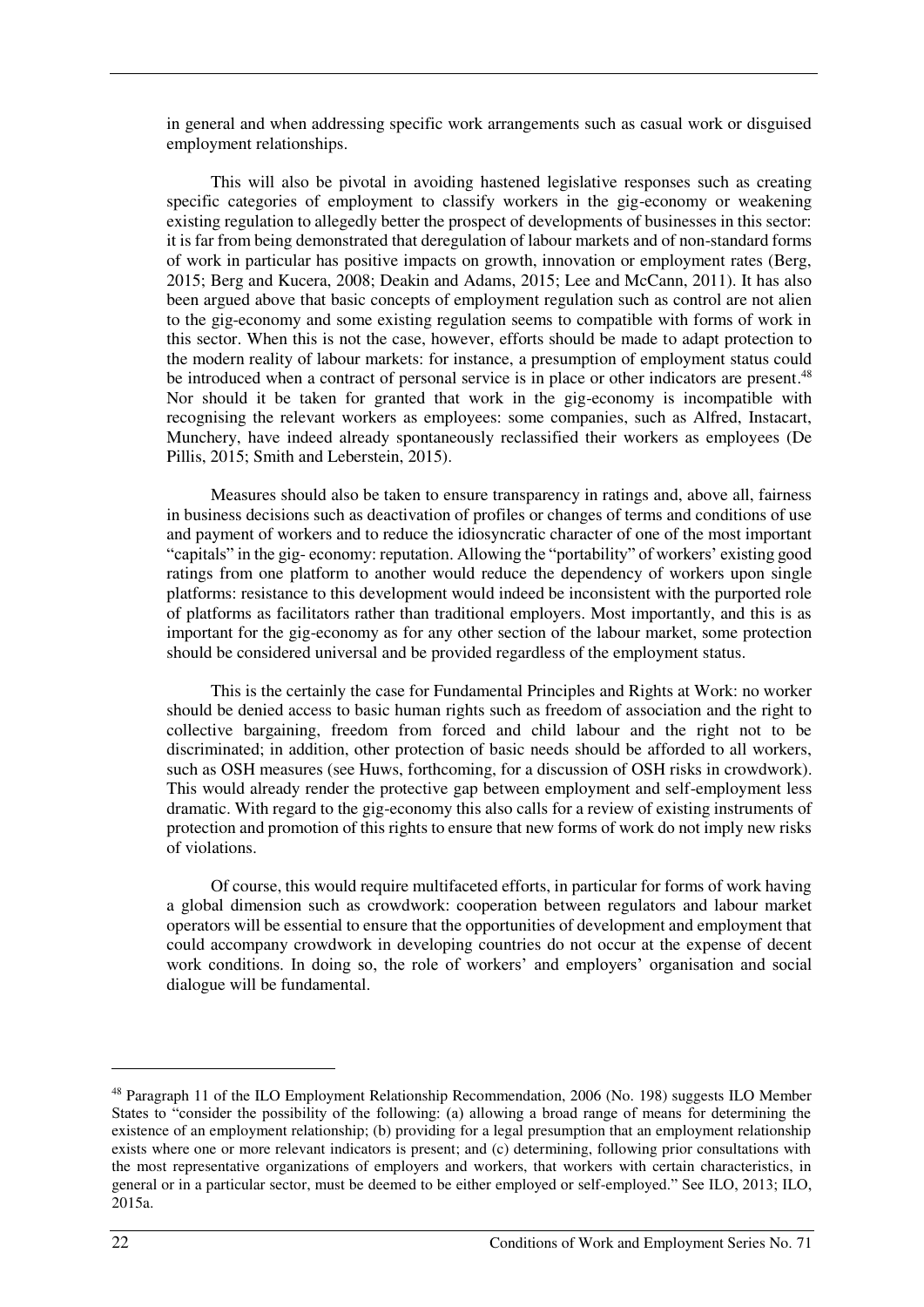in general and when addressing specific work arrangements such as casual work or disguised employment relationships.

This will also be pivotal in avoiding hastened legislative responses such as creating specific categories of employment to classify workers in the gig-economy or weakening existing regulation to allegedly better the prospect of developments of businesses in this sector: it is far from being demonstrated that deregulation of labour markets and of non-standard forms of work in particular has positive impacts on growth, innovation or employment rates (Berg, 2015; Berg and Kucera, 2008; Deakin and Adams, 2015; Lee and McCann, 2011). It has also been argued above that basic concepts of employment regulation such as control are not alien to the gig-economy and some existing regulation seems to compatible with forms of work in this sector. When this is not the case, however, efforts should be made to adapt protection to the modern reality of labour markets: for instance, a presumption of employment status could be introduced when a contract of personal service is in place or other indicators are present.<sup>48</sup> Nor should it be taken for granted that work in the gig-economy is incompatible with recognising the relevant workers as employees: some companies, such as Alfred, Instacart, Munchery, have indeed already spontaneously reclassified their workers as employees (De Pillis, 2015; Smith and Leberstein, 2015).

Measures should also be taken to ensure transparency in ratings and, above all, fairness in business decisions such as deactivation of profiles or changes of terms and conditions of use and payment of workers and to reduce the idiosyncratic character of one of the most important "capitals" in the gig- economy: reputation. Allowing the "portability" of workers' existing good ratings from one platform to another would reduce the dependency of workers upon single platforms: resistance to this development would indeed be inconsistent with the purported role of platforms as facilitators rather than traditional employers. Most importantly, and this is as important for the gig-economy as for any other section of the labour market, some protection should be considered universal and be provided regardless of the employment status.

This is the certainly the case for Fundamental Principles and Rights at Work: no worker should be denied access to basic human rights such as freedom of association and the right to collective bargaining, freedom from forced and child labour and the right not to be discriminated; in addition, other protection of basic needs should be afforded to all workers, such as OSH measures (see Huws, forthcoming, for a discussion of OSH risks in crowdwork). This would already render the protective gap between employment and self-employment less dramatic. With regard to the gig-economy this also calls for a review of existing instruments of protection and promotion of this rights to ensure that new forms of work do not imply new risks of violations.

Of course, this would require multifaceted efforts, in particular for forms of work having a global dimension such as crowdwork: cooperation between regulators and labour market operators will be essential to ensure that the opportunities of development and employment that could accompany crowdwork in developing countries do not occur at the expense of decent work conditions. In doing so, the role of workers' and employers' organisation and social dialogue will be fundamental.

<sup>48</sup> Paragraph 11 of the ILO Employment Relationship Recommendation, 2006 (No. 198) suggests ILO Member States to "consider the possibility of the following: (a) allowing a broad range of means for determining the existence of an employment relationship; (b) providing for a legal presumption that an employment relationship exists where one or more relevant indicators is present; and (c) determining, following prior consultations with the most representative organizations of employers and workers, that workers with certain characteristics, in general or in a particular sector, must be deemed to be either employed or self-employed." See ILO, 2013; ILO, 2015a.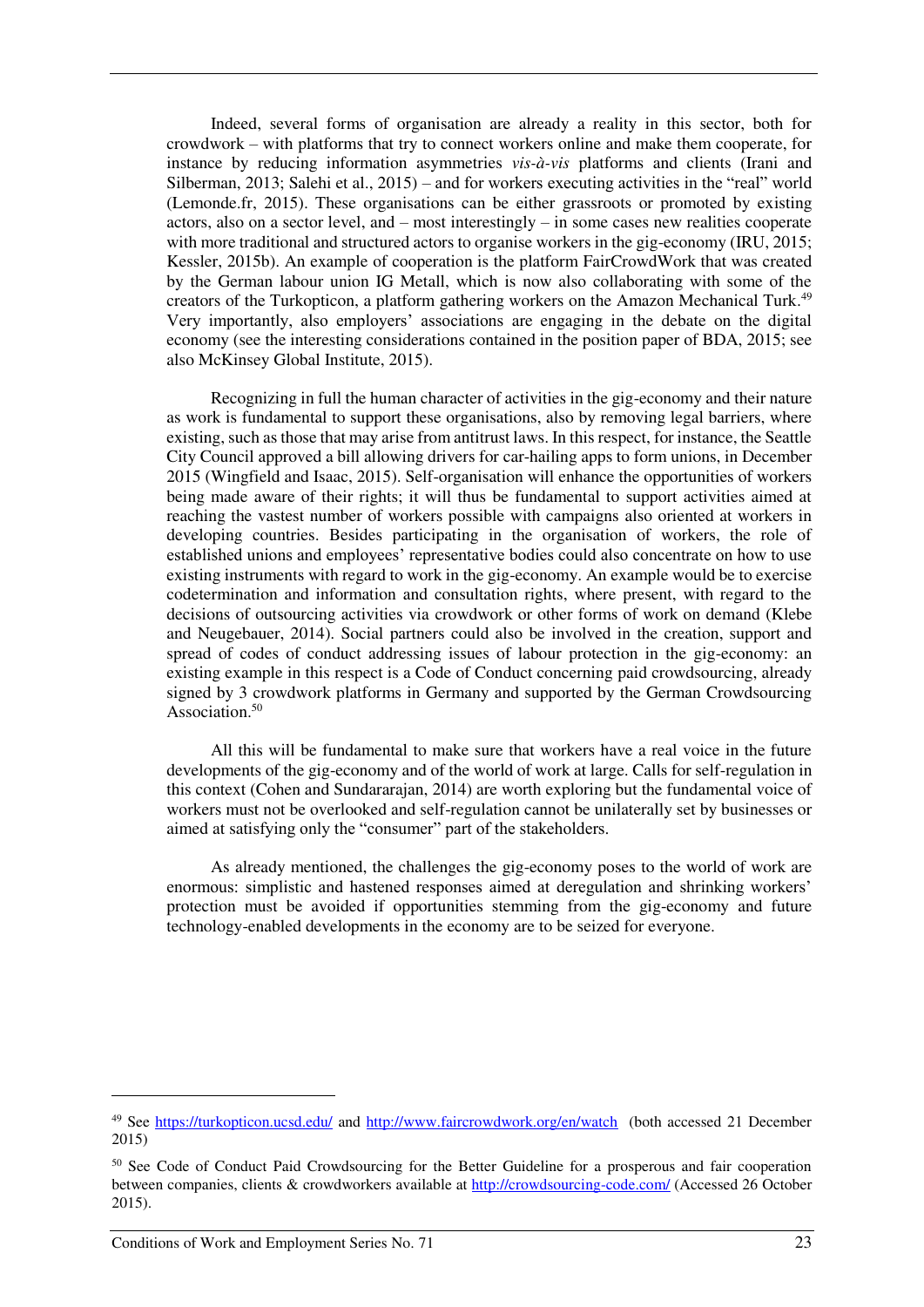Indeed, several forms of organisation are already a reality in this sector, both for crowdwork – with platforms that try to connect workers online and make them cooperate, for instance by reducing information asymmetries *vis-à-vis* platforms and clients (Irani and Silberman, 2013; Salehi et al., 2015) – and for workers executing activities in the "real" world (Lemonde.fr, 2015). These organisations can be either grassroots or promoted by existing actors, also on a sector level, and – most interestingly – in some cases new realities cooperate with more traditional and structured actors to organise workers in the gig-economy (IRU, 2015; Kessler, 2015b). An example of cooperation is the platform FairCrowdWork that was created by the German labour union IG Metall, which is now also collaborating with some of the creators of the Turkopticon, a platform gathering workers on the Amazon Mechanical Turk.<sup>49</sup> Very importantly, also employers' associations are engaging in the debate on the digital economy (see the interesting considerations contained in the position paper of BDA, 2015; see also McKinsey Global Institute, 2015).

Recognizing in full the human character of activities in the gig-economy and their nature as work is fundamental to support these organisations, also by removing legal barriers, where existing, such as those that may arise from antitrust laws. In this respect, for instance, the Seattle City Council approved a bill allowing drivers for car-hailing apps to form unions, in December 2015 (Wingfield and Isaac, 2015). Self-organisation will enhance the opportunities of workers being made aware of their rights; it will thus be fundamental to support activities aimed at reaching the vastest number of workers possible with campaigns also oriented at workers in developing countries. Besides participating in the organisation of workers, the role of established unions and employees' representative bodies could also concentrate on how to use existing instruments with regard to work in the gig-economy. An example would be to exercise codetermination and information and consultation rights, where present, with regard to the decisions of outsourcing activities via crowdwork or other forms of work on demand (Klebe and Neugebauer, 2014). Social partners could also be involved in the creation, support and spread of codes of conduct addressing issues of labour protection in the gig-economy: an existing example in this respect is a Code of Conduct concerning paid crowdsourcing, already signed by 3 crowdwork platforms in Germany and supported by the German Crowdsourcing Association.<sup>50</sup>

All this will be fundamental to make sure that workers have a real voice in the future developments of the gig-economy and of the world of work at large. Calls for self-regulation in this context (Cohen and Sundararajan, 2014) are worth exploring but the fundamental voice of workers must not be overlooked and self-regulation cannot be unilaterally set by businesses or aimed at satisfying only the "consumer" part of the stakeholders.

As already mentioned, the challenges the gig-economy poses to the world of work are enormous: simplistic and hastened responses aimed at deregulation and shrinking workers' protection must be avoided if opportunities stemming from the gig-economy and future technology-enabled developments in the economy are to be seized for everyone.

<sup>49</sup> See<https://turkopticon.ucsd.edu/>and<http://www.faircrowdwork.org/en/watch>(both accessed 21 December 2015)

<sup>&</sup>lt;sup>50</sup> See Code of Conduct Paid Crowdsourcing for the Better Guideline for a prosperous and fair cooperation between companies, clients & crowdworkers available at<http://crowdsourcing-code.com/>(Accessed 26 October 2015).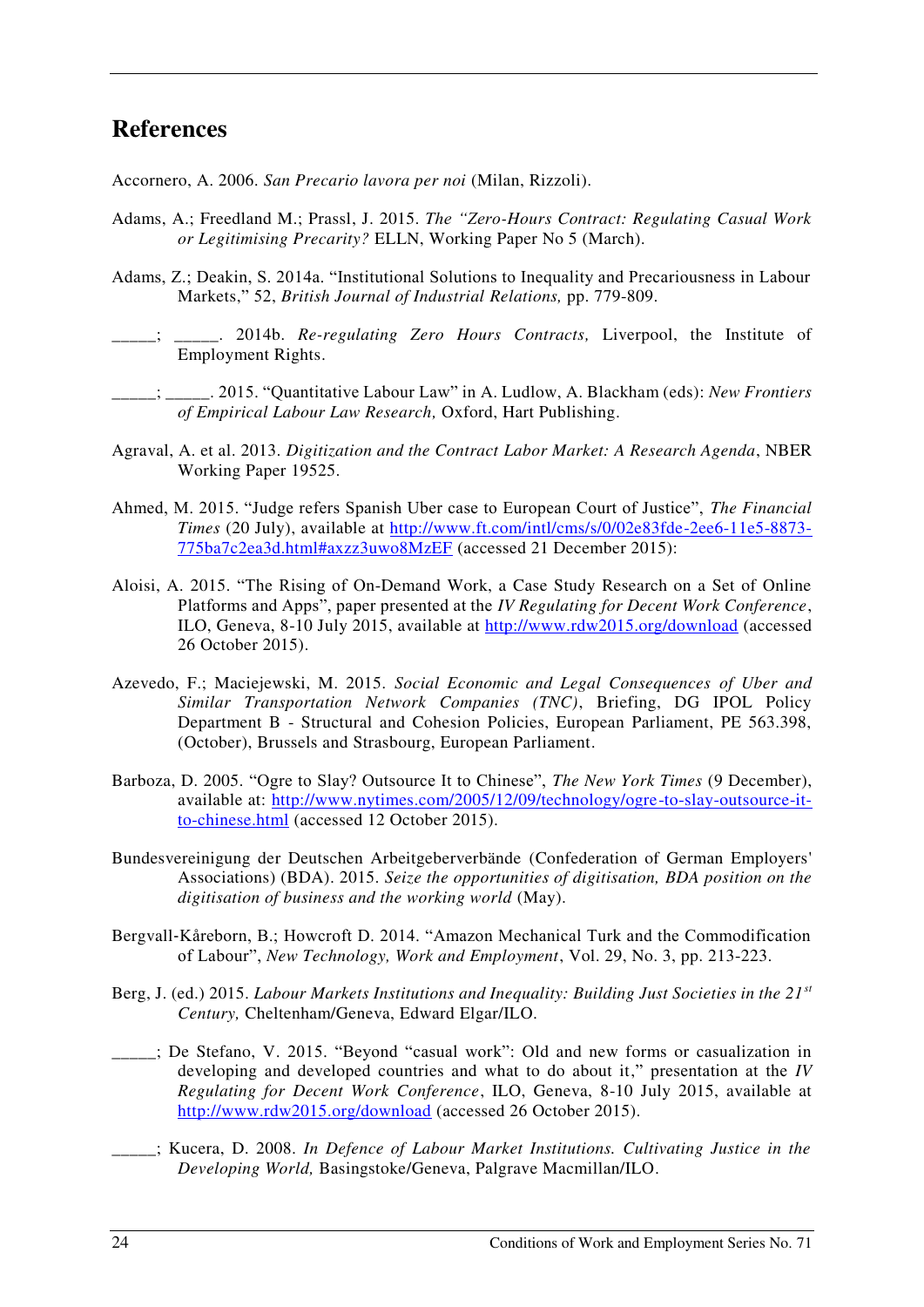#### **References**

Accornero, A. 2006. *San Precario lavora per noi* (Milan, Rizzoli).

- Adams, A.; Freedland M.; Prassl, J. 2015. *The "Zero-Hours Contract: Regulating Casual Work or Legitimising Precarity?* ELLN, Working Paper No 5 (March).
- Adams, Z.; Deakin, S. 2014a. "Institutional Solutions to Inequality and Precariousness in Labour Markets," 52, *British Journal of Industrial Relations,* pp. 779-809.
- \_\_\_\_\_; \_\_\_\_\_. 2014b. *Re-regulating Zero Hours Contracts,* Liverpool, the Institute of Employment Rights.
- \_\_\_\_\_; \_\_\_\_\_. 2015. "Quantitative Labour Law" in A. Ludlow, A. Blackham (eds): *New Frontiers of Empirical Labour Law Research,* Oxford, Hart Publishing.
- Agraval, A. et al. 2013. *Digitization and the Contract Labor Market: A Research Agenda*, NBER Working Paper 19525.
- Ahmed, M. 2015. "Judge refers Spanish Uber case to European Court of Justice", *The Financial Times* (20 July), available at [http://www.ft.com/intl/cms/s/0/02e83fde-2ee6-11e5-8873-](http://www.ft.com/intl/cms/s/0/02e83fde-2ee6-11e5-8873-775ba7c2ea3d.html#axzz3uwo8MzEF) [775ba7c2ea3d.html#axzz3uwo8MzEF](http://www.ft.com/intl/cms/s/0/02e83fde-2ee6-11e5-8873-775ba7c2ea3d.html#axzz3uwo8MzEF) (accessed 21 December 2015):
- Aloisi, A. 2015. "The Rising of On-Demand Work, a Case Study Research on a Set of Online Platforms and Apps", paper presented at the *IV Regulating for Decent Work Conference*, ILO, Geneva, 8-10 July 2015, available at<http://www.rdw2015.org/download> (accessed 26 October 2015).
- Azevedo, F.; Maciejewski, M. 2015. *Social Economic and Legal Consequences of Uber and Similar Transportation Network Companies (TNC)*, Briefing, DG IPOL Policy Department B - Structural and Cohesion Policies, European Parliament, PE 563.398, (October), Brussels and Strasbourg, European Parliament.
- Barboza, D. 2005. "Ogre to Slay? Outsource It to Chinese", *The New York Times* (9 December), available at: [http://www.nytimes.com/2005/12/09/technology/ogre-to-slay-outsource-it](http://www.nytimes.com/2005/12/09/technology/ogre-to-slay-outsource-it-to-chinese.html)[to-chinese.html](http://www.nytimes.com/2005/12/09/technology/ogre-to-slay-outsource-it-to-chinese.html) (accessed 12 October 2015).
- Bundesvereinigung der Deutschen Arbeitgeberverbände (Confederation of German Employers' Associations) (BDA). 2015. *Seize the opportunities of digitisation, BDA position on the digitisation of business and the working world* (May).
- Bergvall‐Kåreborn, B.; Howcroft D. 2014. "Amazon Mechanical Turk and the Commodification of Labour", *New Technology, Work and Employment*, Vol. 29, No. 3, pp. 213-223.
- Berg, J. (ed.) 2015. *Labour Markets Institutions and Inequality: Building Just Societies in the 21st Century,* Cheltenham/Geneva, Edward Elgar/ILO.
- \_\_\_\_\_; De Stefano, V. 2015. "Beyond "casual work": Old and new forms or casualization in developing and developed countries and what to do about it," presentation at the *IV Regulating for Decent Work Conference*, ILO, Geneva, 8-10 July 2015, available at <http://www.rdw2015.org/download> (accessed 26 October 2015).
- \_\_\_\_\_; Kucera, D. 2008. *In Defence of Labour Market Institutions. Cultivating Justice in the Developing World,* Basingstoke/Geneva, Palgrave Macmillan/ILO.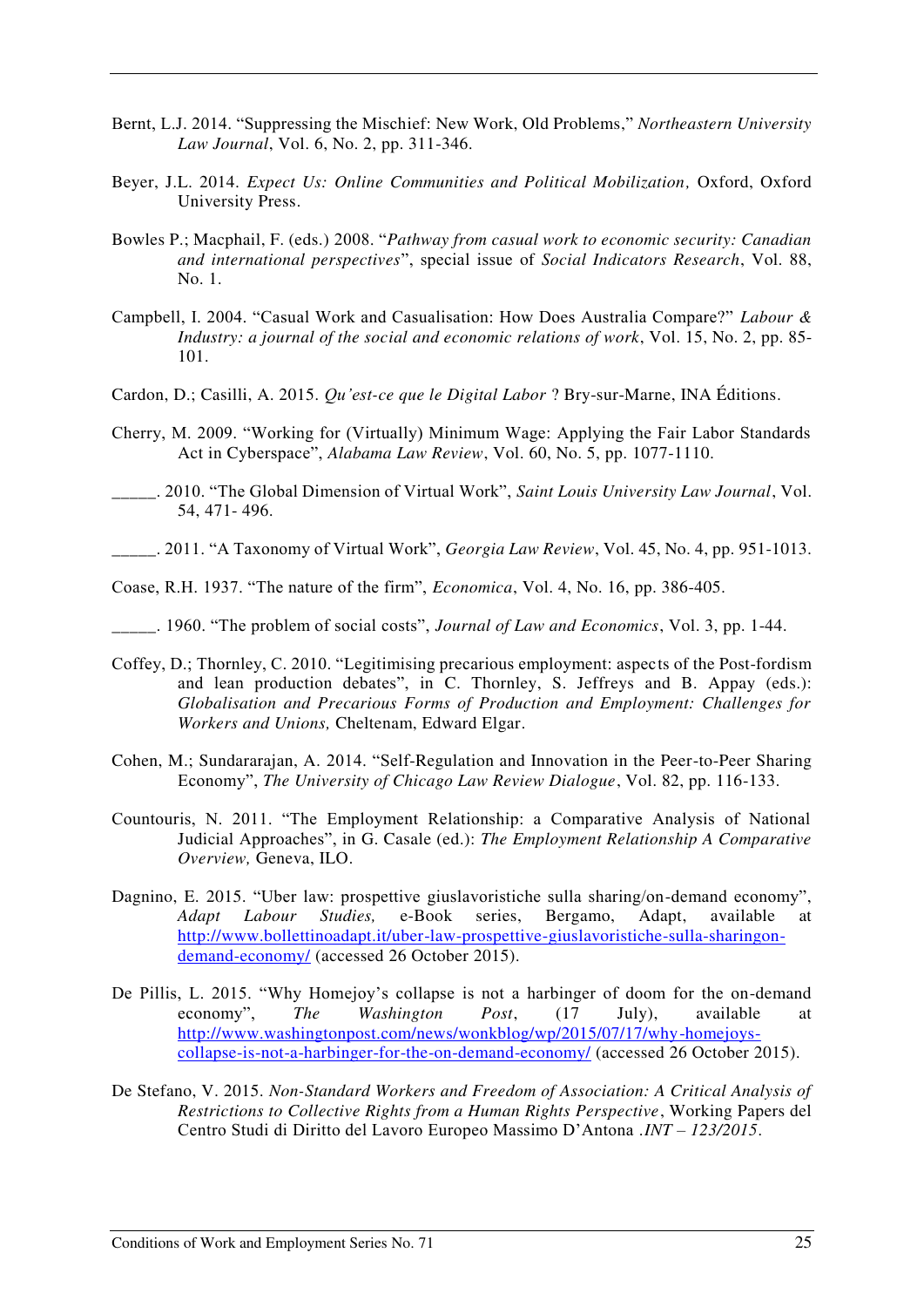- Bernt, L.J. 2014. "Suppressing the Mischief: New Work, Old Problems," *Northeastern University Law Journal*, Vol. 6, No. 2, pp. 311-346.
- Beyer, J.L. 2014. *Expect Us: Online Communities and Political Mobilization,* Oxford, Oxford University Press.
- Bowles P.; Macphail, F. (eds.) 2008. "*Pathway from casual work to economic security: Canadian and international perspectives*", special issue of *Social Indicators Research*, Vol. 88, No. 1.
- Campbell, I. 2004. "Casual Work and Casualisation: How Does Australia Compare?" *Labour & Industry: a journal of the social and economic relations of work*, Vol. 15, No. 2, pp. 85- 101.
- Cardon, D.; Casilli, A. 2015. *Qu'est-ce que le Digital Labor* ? Bry-sur-Marne, INA Éditions.
- Cherry, M. 2009. "Working for (Virtually) Minimum Wage: Applying the Fair Labor Standards Act in Cyberspace", *Alabama Law Review*, Vol. 60, No. 5, pp. 1077-1110.
- \_\_\_\_\_. 2010. "The Global Dimension of Virtual Work", *Saint Louis University Law Journal*, Vol. 54, 471- 496.
- \_\_\_\_\_. 2011. "A Taxonomy of Virtual Work", *Georgia Law Review*, Vol. 45, No. 4, pp. 951-1013.
- Coase, R.H. 1937. "The nature of the firm", *Economica*, Vol. 4, No. 16, pp. 386-405.
- \_\_\_\_\_. 1960. "The problem of social costs", *Journal of Law and Economics*, Vol. 3, pp. 1-44.
- Coffey, D.; Thornley, C. 2010. "Legitimising precarious employment: aspects of the Post-fordism and lean production debates", in C. Thornley, S. Jeffreys and B. Appay (eds.): *Globalisation and Precarious Forms of Production and Employment: Challenges for Workers and Unions,* Cheltenam, Edward Elgar.
- Cohen, M.; Sundararajan, A. 2014. "Self-Regulation and Innovation in the Peer-to-Peer Sharing Economy", *The University of Chicago Law Review Dialogue*, Vol. 82, pp. 116-133.
- Countouris, N. 2011. "The Employment Relationship: a Comparative Analysis of National Judicial Approaches", in G. Casale (ed.): *The Employment Relationship A Comparative Overview,* Geneva, ILO.
- Dagnino, E. 2015. "Uber law: prospettive giuslavoristiche sulla sharing/on-demand economy", *Adapt Labour Studies,* e-Book series, Bergamo, Adapt, available at [http://www.bollettinoadapt.it/uber-law-prospettive-giuslavoristiche-sulla-sharingon](http://www.bollettinoadapt.it/uber-law-prospettive-giuslavoristiche-sulla-sharingon-demand-economy/)[demand-economy/](http://www.bollettinoadapt.it/uber-law-prospettive-giuslavoristiche-sulla-sharingon-demand-economy/) (accessed 26 October 2015).
- De Pillis, L. 2015. "Why Homejoy's collapse is not a harbinger of doom for the on-demand economy". The Washington Post, (17 July), available at economy", *The Washington Post*, (17 July), available at [http://www.washingtonpost.com/news/wonkblog/wp/2015/07/17/why-homejoys](http://www.washingtonpost.com/news/wonkblog/wp/2015/07/17/why-homejoys-collapse-is-not-a-harbinger-for-the-on-demand-economy/)[collapse-is-not-a-harbinger-for-the-on-demand-economy/](http://www.washingtonpost.com/news/wonkblog/wp/2015/07/17/why-homejoys-collapse-is-not-a-harbinger-for-the-on-demand-economy/) (accessed 26 October 2015).
- De Stefano, V. 2015. *Non-Standard Workers and Freedom of Association: A Critical Analysis of Restrictions to Collective Rights from a Human Rights Perspective*, Working Papers del Centro Studi di Diritto del Lavoro Europeo Massimo D'Antona *.INT – 123/2015*.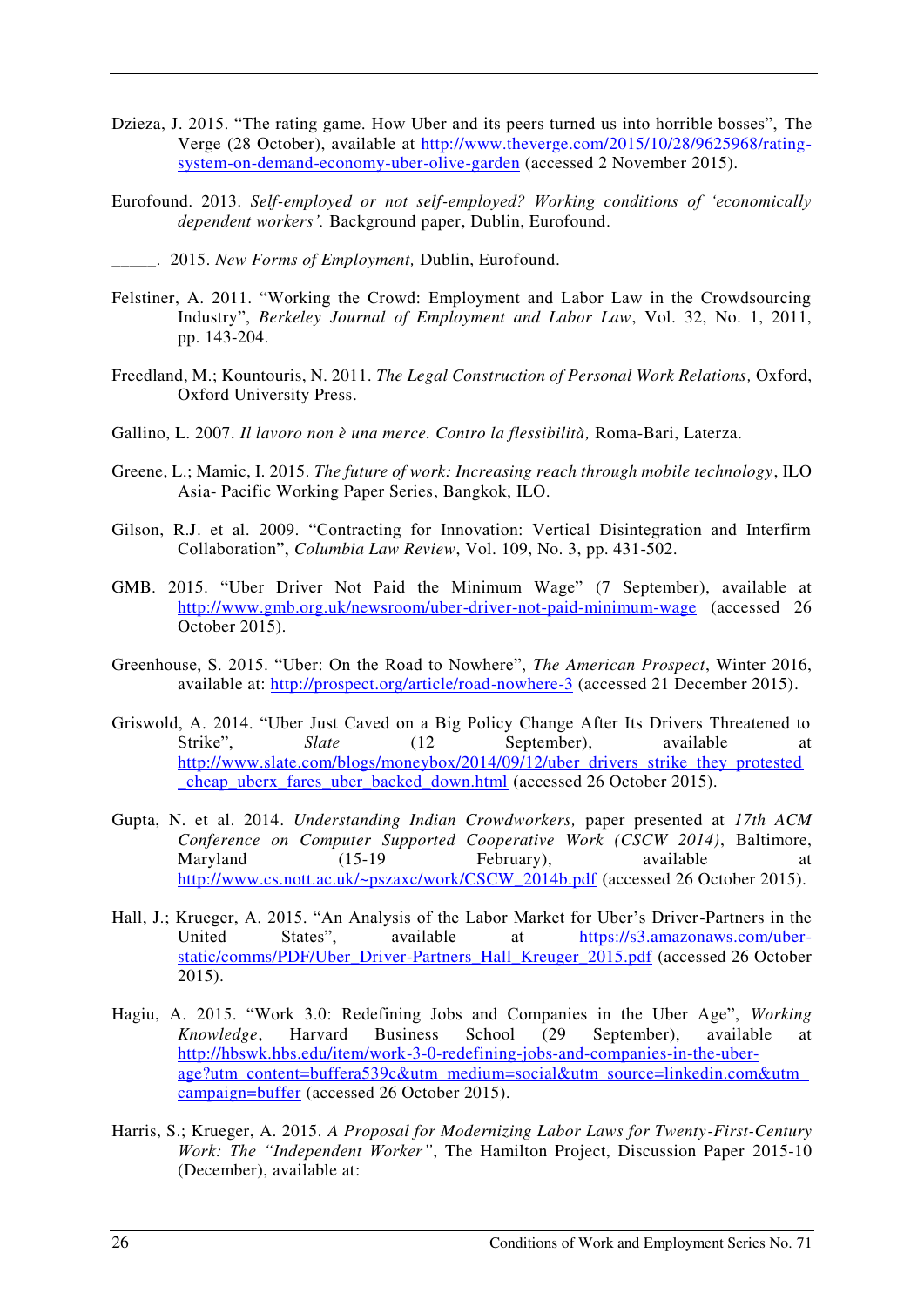- Dzieza, J. 2015. "The rating game. How Uber and its peers turned us into horrible bosses", The Verge (28 October), available at [http://www.theverge.com/2015/10/28/9625968/rating](http://www.theverge.com/2015/10/28/9625968/rating-system-on-demand-economy-uber-olive-garden)[system-on-demand-economy-uber-olive-garden](http://www.theverge.com/2015/10/28/9625968/rating-system-on-demand-economy-uber-olive-garden) (accessed 2 November 2015).
- Eurofound. 2013. *Self-employed or not self-employed? Working conditions of 'economically dependent workers'.* Background paper, Dublin, Eurofound.
- \_\_\_\_\_. 2015. *New Forms of Employment,* Dublin, Eurofound.
- Felstiner, A. 2011. "Working the Crowd: Employment and Labor Law in the Crowdsourcing Industry", *Berkeley Journal of Employment and Labor Law*, Vol. 32, No. 1, 2011, pp. 143-204.
- Freedland, M.; Kountouris, N. 2011. *The Legal Construction of Personal Work Relations,* Oxford, Oxford University Press.
- Gallino, L. 2007. *Il lavoro non è una merce. Contro la flessibilità,* Roma-Bari, Laterza.
- Greene, L.; Mamic, I. 2015. *The future of work: Increasing reach through mobile technology*, ILO Asia- Pacific Working Paper Series, Bangkok, ILO.
- Gilson, R.J. et al. 2009. "Contracting for Innovation: Vertical Disintegration and Interfirm Collaboration", *Columbia Law Review*, Vol. 109, No. 3, pp. 431-502.
- GMB. 2015. "Uber Driver Not Paid the Minimum Wage" (7 September), available at <http://www.gmb.org.uk/newsroom/uber-driver-not-paid-minimum-wage>(accessed 26 October 2015).
- Greenhouse, S. 2015. "Uber: On the Road to Nowhere", *The American Prospect*, Winter 2016, available at:<http://prospect.org/article/road-nowhere-3> (accessed 21 December 2015).
- Griswold, A. 2014. "Uber Just Caved on a Big Policy Change After Its Drivers Threatened to Strike", *Slate* (12 September), available at [http://www.slate.com/blogs/moneybox/2014/09/12/uber\\_drivers\\_strike\\_they\\_protested](http://www.slate.com/blogs/moneybox/2014/09/12/uber_drivers_strike_they_protested_cheap_uberx_fares_uber_backed_down.html) [\\_cheap\\_uberx\\_fares\\_uber\\_backed\\_down.html](http://www.slate.com/blogs/moneybox/2014/09/12/uber_drivers_strike_they_protested_cheap_uberx_fares_uber_backed_down.html) (accessed 26 October 2015).
- Gupta, N. et al. 2014. *Understanding Indian Crowdworkers,* paper presented at *17th ACM Conference on Computer Supported Cooperative Work (CSCW 2014)*, Baltimore, Maryland (15-19 February), available at [http://www.cs.nott.ac.uk/~pszaxc/work/CSCW\\_2014b.pdf](http://www.cs.nott.ac.uk/~pszaxc/work/CSCW_2014b.pdf) (accessed 26 October 2015).
- Hall, J.; Krueger, A. 2015. "An Analysis of the Labor Market for Uber's Driver-Partners in the United States", available at [https://s3.amazonaws.com/uber](https://s3.amazonaws.com/uber-static/comms/PDF/Uber_Driver-Partners_Hall_Kreuger_2015.pdf)[static/comms/PDF/Uber\\_Driver-Partners\\_Hall\\_Kreuger\\_2015.pdf](https://s3.amazonaws.com/uber-static/comms/PDF/Uber_Driver-Partners_Hall_Kreuger_2015.pdf) (accessed 26 October 2015).
- Hagiu, A. 2015. "Work 3.0: Redefining Jobs and Companies in the Uber Age", *Working Knowledge*, Harvard Business School (29 September), available at [http://hbswk.hbs.edu/item/work-3-0-redefining-jobs-and-companies-in-the-uber](http://hbswk.hbs.edu/item/work-3-0-redefining-jobs-and-companies-in-the-uber-age?utm_content=buffera539c&utm_medium=social&utm_source=linkedin.com&utm_campaign=buffer)[age?utm\\_content=buffera539c&utm\\_medium=social&utm\\_source=linkedin.com&utm\\_](http://hbswk.hbs.edu/item/work-3-0-redefining-jobs-and-companies-in-the-uber-age?utm_content=buffera539c&utm_medium=social&utm_source=linkedin.com&utm_campaign=buffer) [campaign=buffer](http://hbswk.hbs.edu/item/work-3-0-redefining-jobs-and-companies-in-the-uber-age?utm_content=buffera539c&utm_medium=social&utm_source=linkedin.com&utm_campaign=buffer) (accessed 26 October 2015).
- Harris, S.; Krueger, A. 2015. *A Proposal for Modernizing Labor Laws for Twenty-First-Century Work: The "Independent Worker"*, The Hamilton Project, Discussion Paper 2015-10 (December), available at: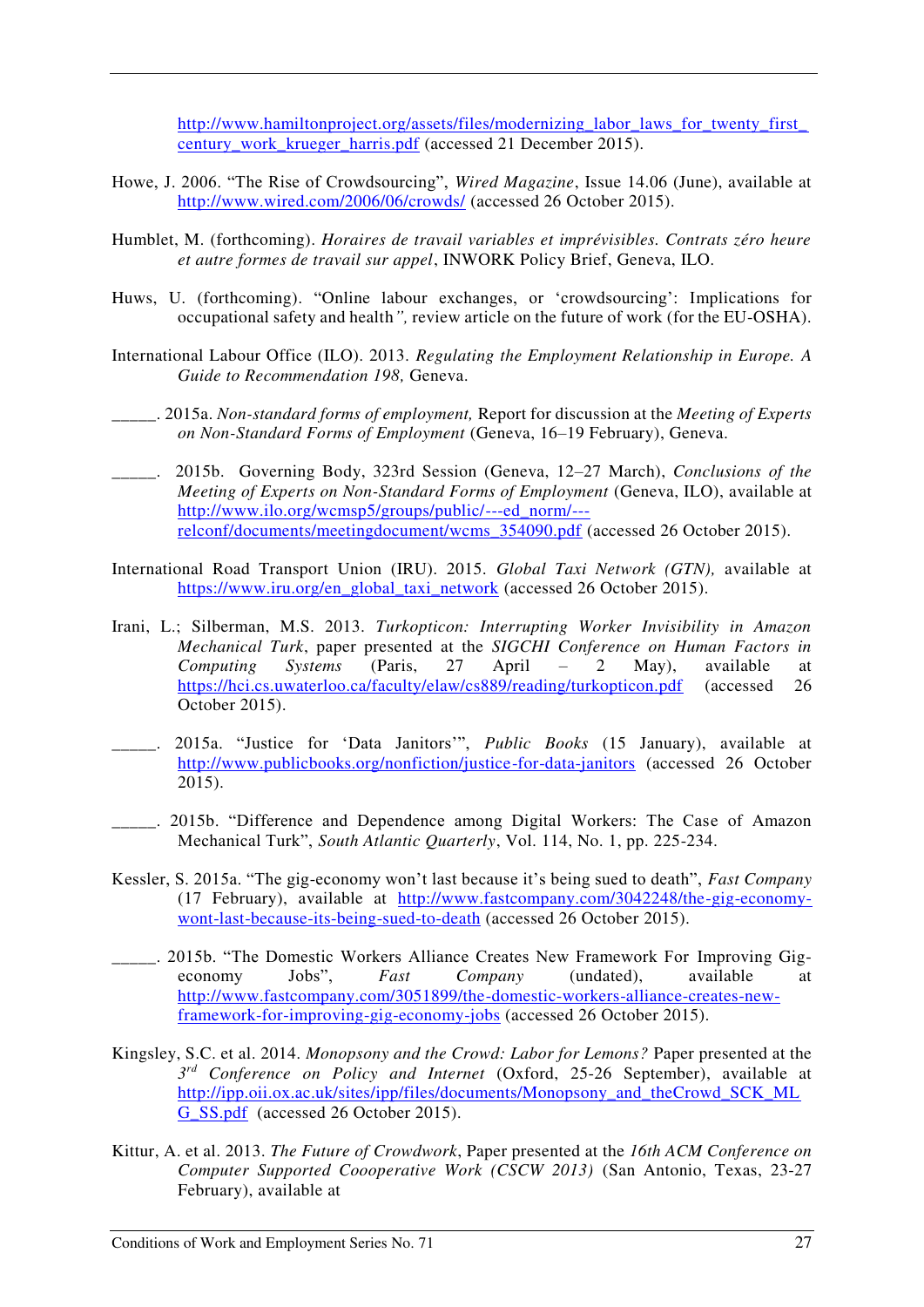http://www.hamiltonproject.org/assets/files/modernizing\_labor\_laws\_for\_twenty\_first [century\\_work\\_krueger\\_harris.pdf](http://www.hamiltonproject.org/assets/files/modernizing_labor_laws_for_twenty_first_century_work_krueger_harris.pdf) (accessed 21 December 2015).

- Howe, J. 2006. "The Rise of Crowdsourcing", *Wired Magazine*, Issue 14.06 (June), available at <http://www.wired.com/2006/06/crowds/> (accessed 26 October 2015).
- Humblet, M. (forthcoming). *Horaires de travail variables et imprévisibles. Contrats zéro heure et autre formes de travail sur appel*, INWORK Policy Brief, Geneva, ILO.
- Huws, U. (forthcoming). "Online labour exchanges, or 'crowdsourcing': Implications for occupational safety and health*",* review article on the future of work (for the EU-OSHA).
- International Labour Office (ILO). 2013. *Regulating the Employment Relationship in Europe. A Guide to Recommendation 198,* Geneva.
- \_\_\_\_\_. 2015a. *Non-standard forms of employment,* Report for discussion at the *Meeting of Experts on Non-Standard Forms of Employment* (Geneva, 16–19 February), Geneva.
- \_\_\_\_\_. 2015b. Governing Body, 323rd Session (Geneva, 12–27 March), *Conclusions of the Meeting of Experts on Non-Standard Forms of Employment* (Geneva, ILO), available at [http://www.ilo.org/wcmsp5/groups/public/---ed\\_norm/--](http://www.ilo.org/wcmsp5/groups/public/---ed_norm/---relconf/documents/meetingdocument/wcms_354090.pdf) [relconf/documents/meetingdocument/wcms\\_354090.pdf](http://www.ilo.org/wcmsp5/groups/public/---ed_norm/---relconf/documents/meetingdocument/wcms_354090.pdf) (accessed 26 October 2015).
- International Road Transport Union (IRU). 2015. *Global Taxi Network (GTN),* available at [https://www.iru.org/en\\_global\\_taxi\\_network](https://www.iru.org/en_global_taxi_network) (accessed 26 October 2015).
- Irani, L.; Silberman, M.S. 2013. *Turkopticon: Interrupting Worker Invisibility in Amazon Mechanical Turk*, paper presented at the *SIGCHI Conference on Human Factors in Computing Systems* (Paris, 27 April – 2 May), available at <https://hci.cs.uwaterloo.ca/faculty/elaw/cs889/reading/turkopticon.pdf> (accessed 26 October 2015).
- \_\_\_\_\_. 2015a. "Justice for 'Data Janitors'", *Public Books* (15 January), available at <http://www.publicbooks.org/nonfiction/justice-for-data-janitors>(accessed 26 October  $2015$ ).
- \_\_\_\_\_. 2015b. "Difference and Dependence among Digital Workers: The Case of Amazon Mechanical Turk", *South Atlantic Quarterly*, Vol. 114, No. 1, pp. 225-234.
- Kessler, S. 2015a. "The gig-economy won't last because it's being sued to death", *Fast Company* (17 February), available at [http://www.fastcompany.com/3042248/the-gig-economy](http://www.fastcompany.com/3042248/the-gig-economy-wont-last-because-its-being-sued-to-death)[wont-last-because-its-being-sued-to-death](http://www.fastcompany.com/3042248/the-gig-economy-wont-last-because-its-being-sued-to-death) (accessed 26 October 2015).
- 2015b. "The Domestic Workers Alliance Creates New Framework For Improving Gig-<br>economy Jobs", Fast Company (undated), available at economy Jobs", *Fast Company* (undated), available at [http://www.fastcompany.com/3051899/the-domestic-workers-alliance-creates-new](http://www.fastcompany.com/3051899/the-domestic-workers-alliance-creates-new-framework-for-improving-gig-economy-jobs)[framework-for-improving-gig-economy-jobs](http://www.fastcompany.com/3051899/the-domestic-workers-alliance-creates-new-framework-for-improving-gig-economy-jobs) (accessed 26 October 2015).
- Kingsley, S.C. et al. 2014. *Monopsony and the Crowd: Labor for Lemons?* Paper presented at the *3 rd Conference on Policy and Internet* (Oxford, 25-26 September), available at [http://ipp.oii.ox.ac.uk/sites/ipp/files/documents/Monopsony\\_and\\_theCrowd\\_SCK\\_ML](http://ipp.oii.ox.ac.uk/sites/ipp/files/documents/Monopsony_and_theCrowd_SCK_MLG_SS.pdf) [G\\_SS.pdf](http://ipp.oii.ox.ac.uk/sites/ipp/files/documents/Monopsony_and_theCrowd_SCK_MLG_SS.pdf) (accessed 26 October 2015).
- Kittur, A. et al. 2013. *The Future of Crowdwork*, Paper presented at the *16th ACM Conference on Computer Supported Coooperative Work (CSCW 2013)* (San Antonio, Texas, 23-27 February), available at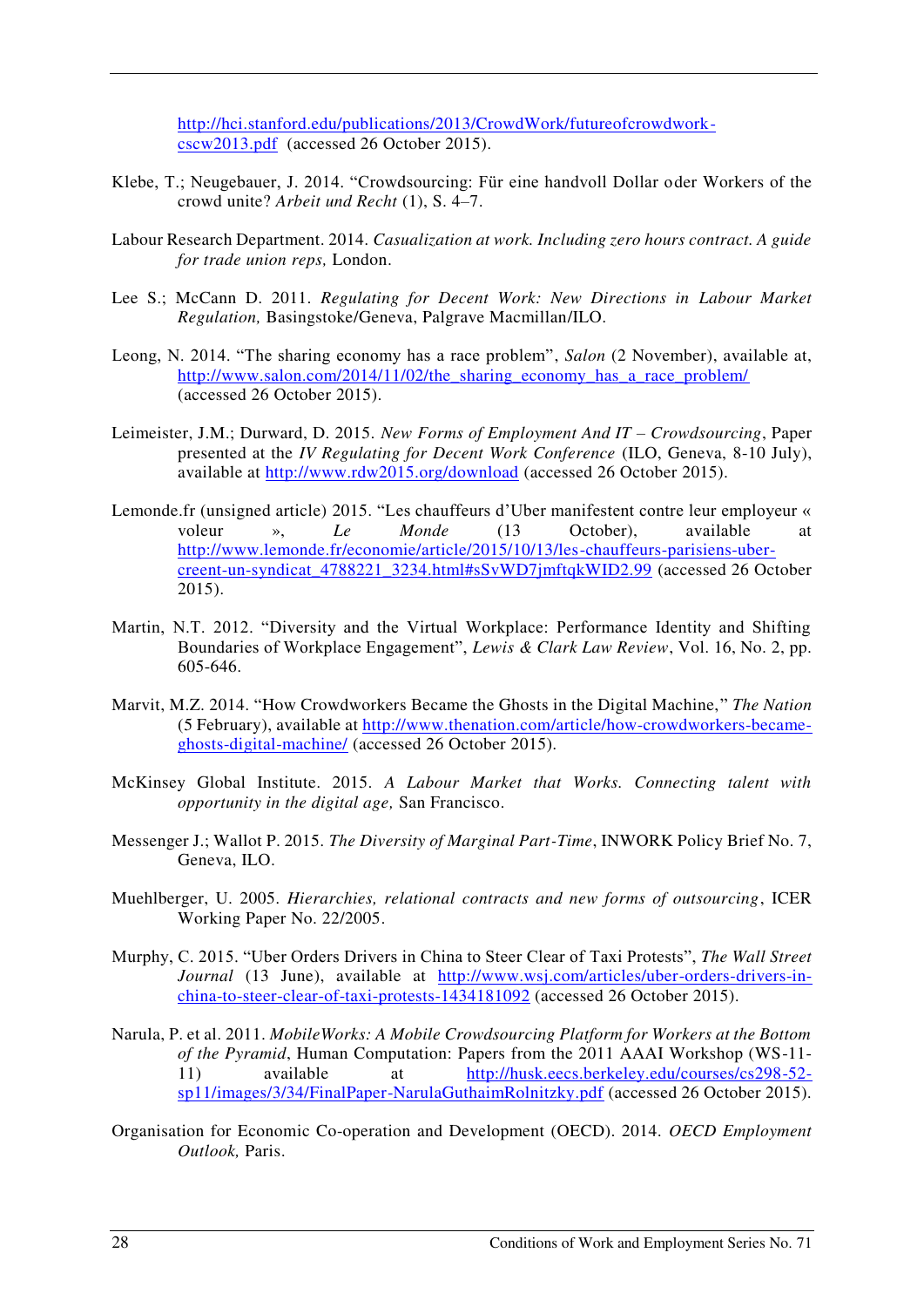[http://hci.stanford.edu/publications/2013/CrowdWork/futureofcrowdwork](http://hci.stanford.edu/publications/2013/CrowdWork/futureofcrowdwork-cscw2013.pdf)[cscw2013.pdf](http://hci.stanford.edu/publications/2013/CrowdWork/futureofcrowdwork-cscw2013.pdf) (accessed 26 October 2015).

- Klebe, T.; Neugebauer, J. 2014. "Crowdsourcing: Für eine handvoll Dollar oder Workers of the crowd unite? *Arbeit und Recht* (1), S. 4–7.
- Labour Research Department. 2014. *Casualization at work. Including zero hours contract. A guide for trade union reps,* London.
- Lee S.; McCann D. 2011. *Regulating for Decent Work: New Directions in Labour Market Regulation,* Basingstoke/Geneva, Palgrave Macmillan/ILO.
- Leong, N. 2014. "The sharing economy has a race problem", *Salon* (2 November), available at, http://www.salon.com/2014/11/02/the sharing economy has a race problem/ (accessed 26 October 2015).
- Leimeister, J.M.; Durward, D. 2015. *New Forms of Employment And IT – Crowdsourcing*, Paper presented at the *IV Regulating for Decent Work Conference* (ILO, Geneva, 8-10 July), available at<http://www.rdw2015.org/download> (accessed 26 October 2015).
- Lemonde.fr (unsigned article) 2015. "Les chauffeurs d'Uber manifestent contre leur employeur « voleur », *Le Monde* (13 October), available at [http://www.lemonde.fr/economie/article/2015/10/13/les-chauffeurs-parisiens-uber](http://www.lemonde.fr/economie/article/2015/10/13/les-chauffeurs-parisiens-uber-creent-un-syndicat_4788221_3234.html#sSvWD7jmftqkWID2.99)creent-un-syndicat 4788221\_3234.html#sSvWD7jmftqkWID2.99 (accessed 26 October 2015).
- Martin, N.T. 2012. "Diversity and the Virtual Workplace: Performance Identity and Shifting Boundaries of Workplace Engagement", *Lewis & Clark Law Review*, Vol. 16, No. 2, pp. 605-646.
- Marvit, M.Z. 2014. "How Crowdworkers Became the Ghosts in the Digital Machine," *The Nation* (5 February), available at [http://www.thenation.com/article/how-crowdworkers-became](http://www.thenation.com/article/how-crowdworkers-became-ghosts-digital-machine/)[ghosts-digital-machine/](http://www.thenation.com/article/how-crowdworkers-became-ghosts-digital-machine/) (accessed 26 October 2015).
- McKinsey Global Institute. 2015. *A Labour Market that Works. Connecting talent with opportunity in the digital age,* San Francisco.
- Messenger J.; Wallot P. 2015. *The Diversity of Marginal Part-Time*, INWORK Policy Brief No. 7, Geneva, ILO.
- Muehlberger, U. 2005. *Hierarchies, relational contracts and new forms of outsourcing*, ICER Working Paper No. 22/2005.
- Murphy, C. 2015. "Uber Orders Drivers in China to Steer Clear of Taxi Protests", *The Wall Street Journal* (13 June), available at [http://www.wsj.com/articles/uber-orders-drivers-in](http://www.wsj.com/articles/uber-orders-drivers-in-china-to-steer-clear-of-taxi-protests-1434181092)[china-to-steer-clear-of-taxi-protests-1434181092](http://www.wsj.com/articles/uber-orders-drivers-in-china-to-steer-clear-of-taxi-protests-1434181092) (accessed 26 October 2015).
- Narula, P. et al. 2011. *MobileWorks: A Mobile Crowdsourcing Platform for Workers at the Bottom of the Pyramid*, Human Computation: Papers from the 2011 AAAI Workshop (WS-11- 11) available at [http://husk.eecs.berkeley.edu/courses/cs298-52](http://husk.eecs.berkeley.edu/courses/cs298-52-sp11/images/3/34/FinalPaper-NarulaGuthaimRolnitzky.pdf) [sp11/images/3/34/FinalPaper-NarulaGuthaimRolnitzky.pdf](http://husk.eecs.berkeley.edu/courses/cs298-52-sp11/images/3/34/FinalPaper-NarulaGuthaimRolnitzky.pdf) (accessed 26 October 2015).
- Organisation for Economic Co-operation and Development (OECD). 2014. *OECD Employment Outlook,* Paris.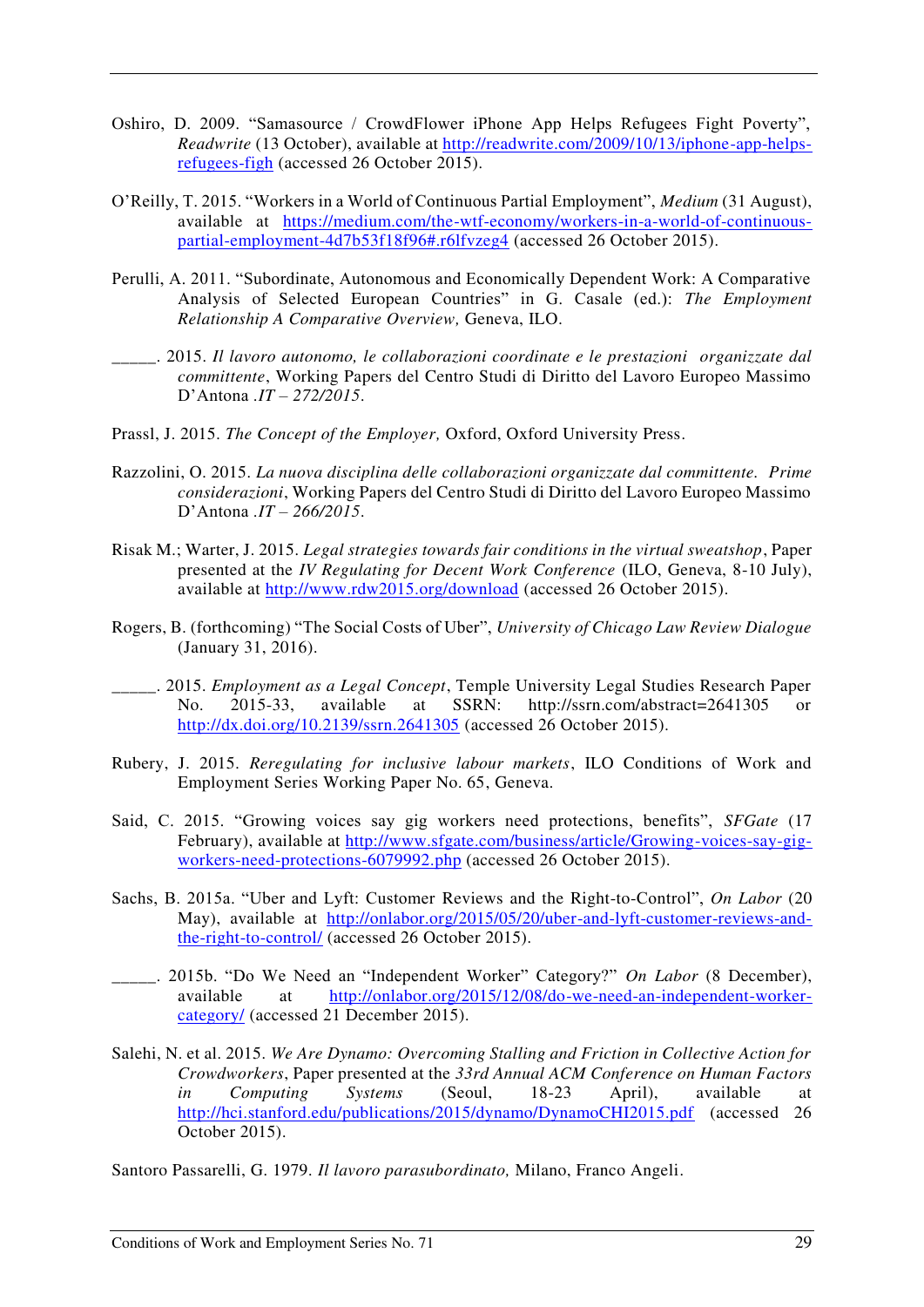- Oshiro, D. 2009. "Samasource / CrowdFlower iPhone App Helps Refugees Fight Poverty", *Readwrite* (13 October), available at [http://readwrite.com/2009/10/13/iphone-app-helps](http://readwrite.com/2009/10/13/iphone-app-helps-refugees-figh)[refugees-figh](http://readwrite.com/2009/10/13/iphone-app-helps-refugees-figh) (accessed 26 October 2015).
- O'Reilly, T. 2015. "Workers in a World of Continuous Partial Employment", *Medium* (31 August), available at [https://medium.com/the-wtf-economy/workers-in-a-world-of-continuous](https://medium.com/the-wtf-economy/workers-in-a-world-of-continuous-partial-employment-4d7b53f18f96#.r6lfvzeg4)[partial-employment-4d7b53f18f96#.r6lfvzeg4](https://medium.com/the-wtf-economy/workers-in-a-world-of-continuous-partial-employment-4d7b53f18f96#.r6lfvzeg4) (accessed 26 October 2015).
- Perulli, A. 2011. "Subordinate, Autonomous and Economically Dependent Work: A Comparative Analysis of Selected European Countries" in G. Casale (ed.): *The Employment Relationship A Comparative Overview,* Geneva, ILO.
- \_\_\_\_\_. 2015. *Il lavoro autonomo, le collaborazioni coordinate e le prestazioni organizzate dal committente*, Working Papers del Centro Studi di Diritto del Lavoro Europeo Massimo D'Antona *.IT – 272/2015*.
- Prassl, J. 2015. *The Concept of the Employer,* Oxford, Oxford University Press.
- Razzolini, O. 2015. *La nuova disciplina delle collaborazioni organizzate dal committente. Prime considerazioni*, Working Papers del Centro Studi di Diritto del Lavoro Europeo Massimo D'Antona *.IT – 266/2015*.
- Risak M.; Warter, J. 2015. *Legal strategies towards fair conditions in the virtual sweatshop*, Paper presented at the *IV Regulating for Decent Work Conference* (ILO, Geneva, 8-10 July), available at<http://www.rdw2015.org/download> (accessed 26 October 2015).
- Rogers, B. (forthcoming) "The Social Costs of Uber", *University of Chicago Law Review Dialogue*  (January 31, 2016).
- \_\_\_\_\_. 2015. *Employment as a Legal Concept*, Temple University Legal Studies Research Paper No. 2015-33, available at SSRN: http://ssrn.com/abstract=2641305 or <http://dx.doi.org/10.2139/ssrn.2641305> (accessed 26 October 2015).
- Rubery, J. 2015. *Reregulating for inclusive labour markets*, ILO Conditions of Work and Employment Series Working Paper No. 65, Geneva.
- Said, C. 2015. "Growing voices say gig workers need protections, benefits", *SFGate* (17 February), available at [http://www.sfgate.com/business/article/Growing-voices-say-gig](http://www.sfgate.com/business/article/Growing-voices-say-gig-workers-need-protections-6079992.php)[workers-need-protections-6079992.php](http://www.sfgate.com/business/article/Growing-voices-say-gig-workers-need-protections-6079992.php) (accessed 26 October 2015).
- Sachs, B. 2015a. "Uber and Lyft: Customer Reviews and the Right-to-Control", *On Labor* (20 May), available at [http://onlabor.org/2015/05/20/uber-and-lyft-customer-reviews-and](http://onlabor.org/2015/05/20/uber-and-lyft-customer-reviews-and-the-right-to-control/)[the-right-to-control/](http://onlabor.org/2015/05/20/uber-and-lyft-customer-reviews-and-the-right-to-control/) (accessed 26 October 2015).
- \_\_\_\_\_. 2015b. "Do We Need an "Independent Worker" Category?" *On Labor* (8 December), available at [http://onlabor.org/2015/12/08/do-we-need-an-independent-worker](http://onlabor.org/2015/12/08/do-we-need-an-independent-worker-category/)[category/](http://onlabor.org/2015/12/08/do-we-need-an-independent-worker-category/) (accessed 21 December 2015).
- Salehi, N. et al. 2015. *We Are Dynamo: Overcoming Stalling and Friction in Collective Action for Crowdworkers*, Paper presented at the *33rd Annual ACM Conference on Human Factors in Computing Systems* (Seoul, 18-23 April), available at <http://hci.stanford.edu/publications/2015/dynamo/DynamoCHI2015.pdf>(accessed 26 October 2015).

Santoro Passarelli, G. 1979. *Il lavoro parasubordinato,* Milano, Franco Angeli.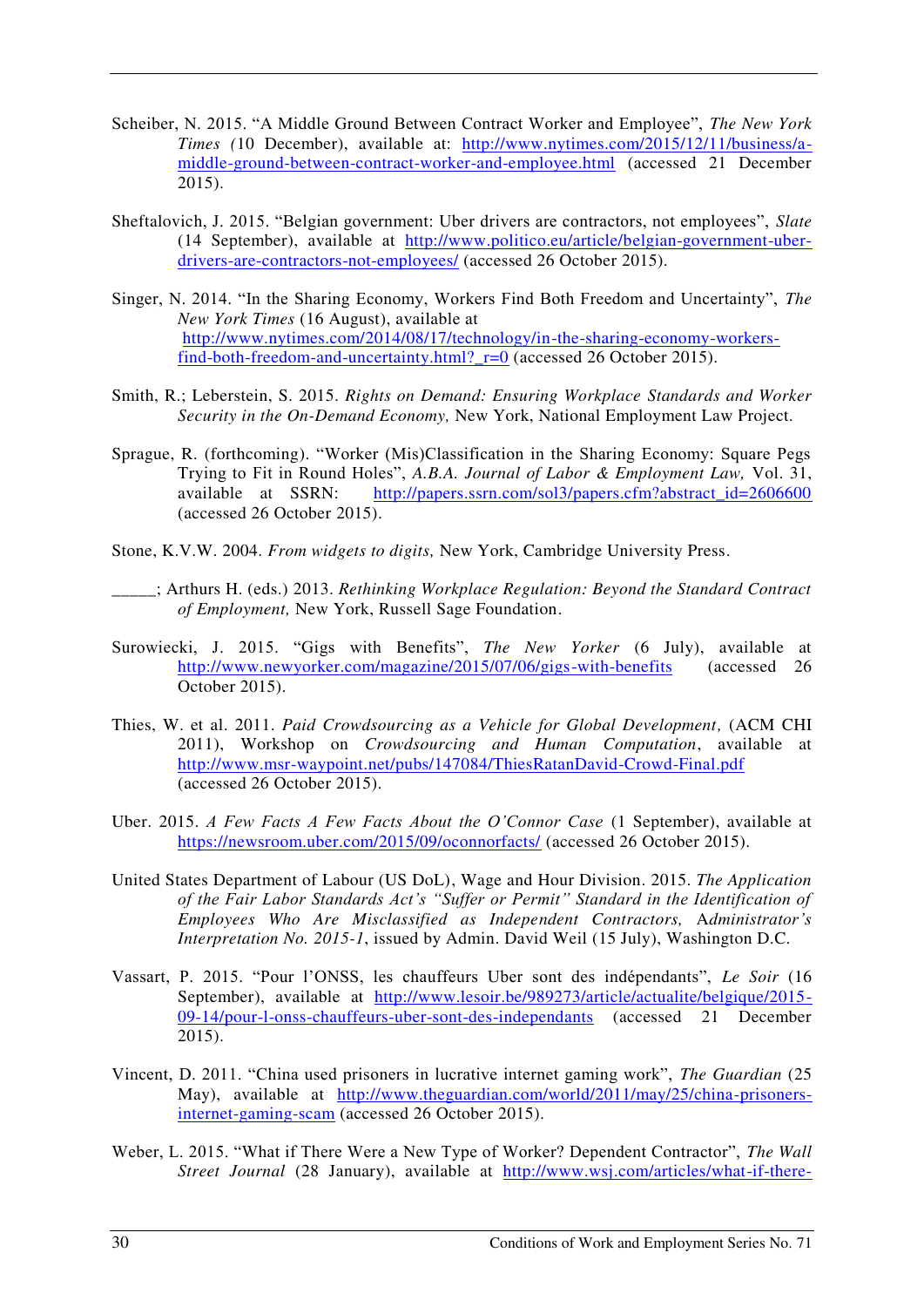- Scheiber, N. 2015. "A Middle Ground Between Contract Worker and Employee", *The New York Times (*10 December), available at: [http://www.nytimes.com/2015/12/11/business/a](http://www.nytimes.com/2015/12/11/business/a-middle-ground-between-contract-worker-and-employee.html)[middle-ground-between-contract-worker-and-employee.html](http://www.nytimes.com/2015/12/11/business/a-middle-ground-between-contract-worker-and-employee.html) (accessed 21 December 2015).
- Sheftalovich, J. 2015. "Belgian government: Uber drivers are contractors, not employees", *Slate* (14 September), available at [http://www.politico.eu/article/belgian-government-uber](http://www.politico.eu/article/belgian-government-uber-drivers-are-contractors-not-employees/)[drivers-are-contractors-not-employees/](http://www.politico.eu/article/belgian-government-uber-drivers-are-contractors-not-employees/) (accessed 26 October 2015).
- Singer, N. 2014. "In the Sharing Economy, Workers Find Both Freedom and Uncertainty", *The New York Times* (16 August), available at [http://www.nytimes.com/2014/08/17/technology/in-the-sharing-economy-workers](http://www.nytimes.com/2014/08/17/technology/in-the-sharing-economy-workers-find-both-freedom-and-uncertainty.html?_r=0)[find-both-freedom-and-uncertainty.html?\\_r=0](http://www.nytimes.com/2014/08/17/technology/in-the-sharing-economy-workers-find-both-freedom-and-uncertainty.html?_r=0) (accessed 26 October 2015).
- Smith, R.; Leberstein, S. 2015. *Rights on Demand: Ensuring Workplace Standards and Worker Security in the On-Demand Economy,* New York, National Employment Law Project.
- Sprague, R. (forthcoming). "Worker (Mis)Classification in the Sharing Economy: Square Pegs Trying to Fit in Round Holes", *A.B.A. Journal of Labor & Employment Law,* Vol. 31, available at SSRN: [http://papers.ssrn.com/sol3/papers.cfm?abstract\\_id=2606600](http://papers.ssrn.com/sol3/papers.cfm?abstract_id=2606600) (accessed 26 October 2015).
- Stone, K.V.W. 2004. *From widgets to digits,* New York, Cambridge University Press.
- \_\_\_\_\_; Arthurs H. (eds.) 2013. *Rethinking Workplace Regulation: Beyond the Standard Contract of Employment,* New York, Russell Sage Foundation.
- Surowiecki, J. 2015. "Gigs with Benefits", *The New Yorker* (6 July), available at <http://www.newyorker.com/magazine/2015/07/06/gigs-with-benefits>(accessed 26 October 2015).
- Thies, W. et al. 2011. *Paid Crowdsourcing as a Vehicle for Global Development,* (ACM CHI 2011), Workshop on *Crowdsourcing and Human Computation*, available at <http://www.msr-waypoint.net/pubs/147084/ThiesRatanDavid-Crowd-Final.pdf> (accessed 26 October 2015).
- Uber. 2015. *A Few Facts A Few Facts About the O'Connor Case* (1 September), available at <https://newsroom.uber.com/2015/09/oconnorfacts/> (accessed 26 October 2015).
- United States Department of Labour (US DoL), Wage and Hour Division. 2015. *The Application of the Fair Labor Standards Act's "Suffer or Permit" Standard in the Identification of Employees Who Are Misclassified as Independent Contractors,* A*dministrator's Interpretation No. 2015-1*, issued by Admin. David Weil (15 July), Washington D.C.
- Vassart, P. 2015. "Pour l'ONSS, les chauffeurs Uber sont des indépendants", *Le Soir* (16 September), available at [http://www.lesoir.be/989273/article/actualite/belgique/2015-](http://www.lesoir.be/989273/article/actualite/belgique/2015-09-14/pour-l-onss-chauffeurs-uber-sont-des-independants) [09-14/pour-l-onss-chauffeurs-uber-sont-des-independants](http://www.lesoir.be/989273/article/actualite/belgique/2015-09-14/pour-l-onss-chauffeurs-uber-sont-des-independants) (accessed 21 December 2015).
- Vincent, D. 2011. "China used prisoners in lucrative internet gaming work", *The Guardian* (25 May), available at [http://www.theguardian.com/world/2011/may/25/china-prisoners](http://www.theguardian.com/world/2011/may/25/china-prisoners-internet-gaming-scam)[internet-gaming-scam](http://www.theguardian.com/world/2011/may/25/china-prisoners-internet-gaming-scam) (accessed 26 October 2015).
- Weber, L. 2015. "What if There Were a New Type of Worker? Dependent Contractor", *The Wall Street Journal* (28 January), available at [http://www.wsj.com/articles/what-if-there-](http://www.wsj.com/articles/what-if-there-were-a-new-type-of-worker-dependent-contractor-1422405831)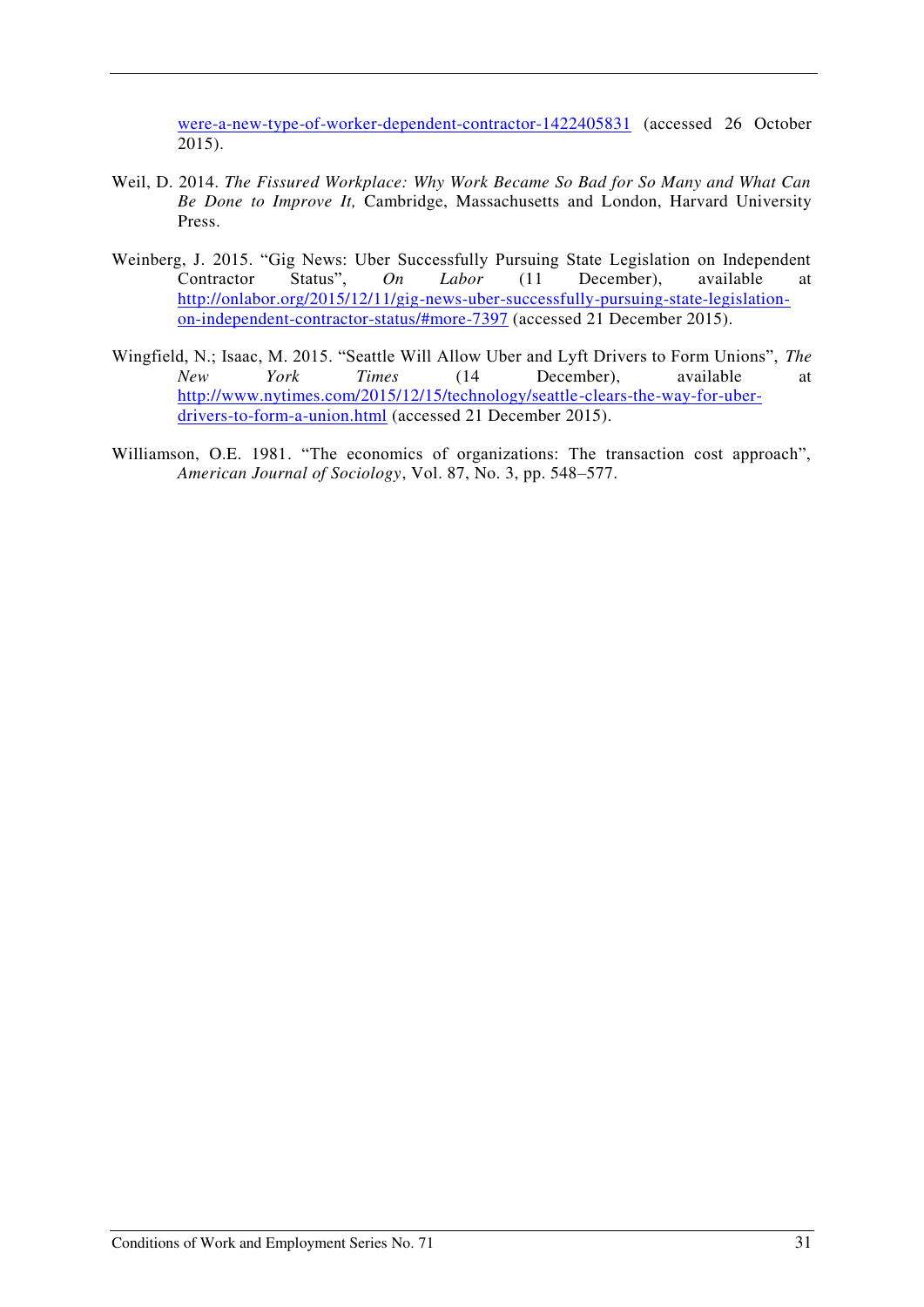[were-a-new-type-of-worker-dependent-contractor-1422405831](http://www.wsj.com/articles/what-if-there-were-a-new-type-of-worker-dependent-contractor-1422405831) (accessed 26 October 2015).

- Weil, D. 2014. *The Fissured Workplace: Why Work Became So Bad for So Many and What Can Be Done to Improve It,* Cambridge, Massachusetts and London, Harvard University Press.
- Weinberg, J. 2015. "Gig News: Uber Successfully Pursuing State Legislation on Independent Contractor Status", *On Labor* (11 December), available at [http://onlabor.org/2015/12/11/gig-news-uber-successfully-pursuing-state-legislation](http://onlabor.org/2015/12/11/gig-news-uber-successfully-pursuing-state-legislation-on-independent-contractor-status/#more-7397)[on-independent-contractor-status/#more-7397](http://onlabor.org/2015/12/11/gig-news-uber-successfully-pursuing-state-legislation-on-independent-contractor-status/#more-7397) (accessed 21 December 2015).
- Wingfield, N.; Isaac, M. 2015. "Seattle Will Allow Uber and Lyft Drivers to Form Unions", *The New York Times* (14 December), available at [http://www.nytimes.com/2015/12/15/technology/seattle-clears-the-way-for-uber](http://www.nytimes.com/2015/12/15/technology/seattle-clears-the-way-for-uber-drivers-to-form-a-union.html)[drivers-to-form-a-union.html](http://www.nytimes.com/2015/12/15/technology/seattle-clears-the-way-for-uber-drivers-to-form-a-union.html) (accessed 21 December 2015).
- Williamson, O.E. 1981. "The economics of organizations: The transaction cost approach", *American Journal of Sociology*, Vol. 87, No. 3, pp. 548–577.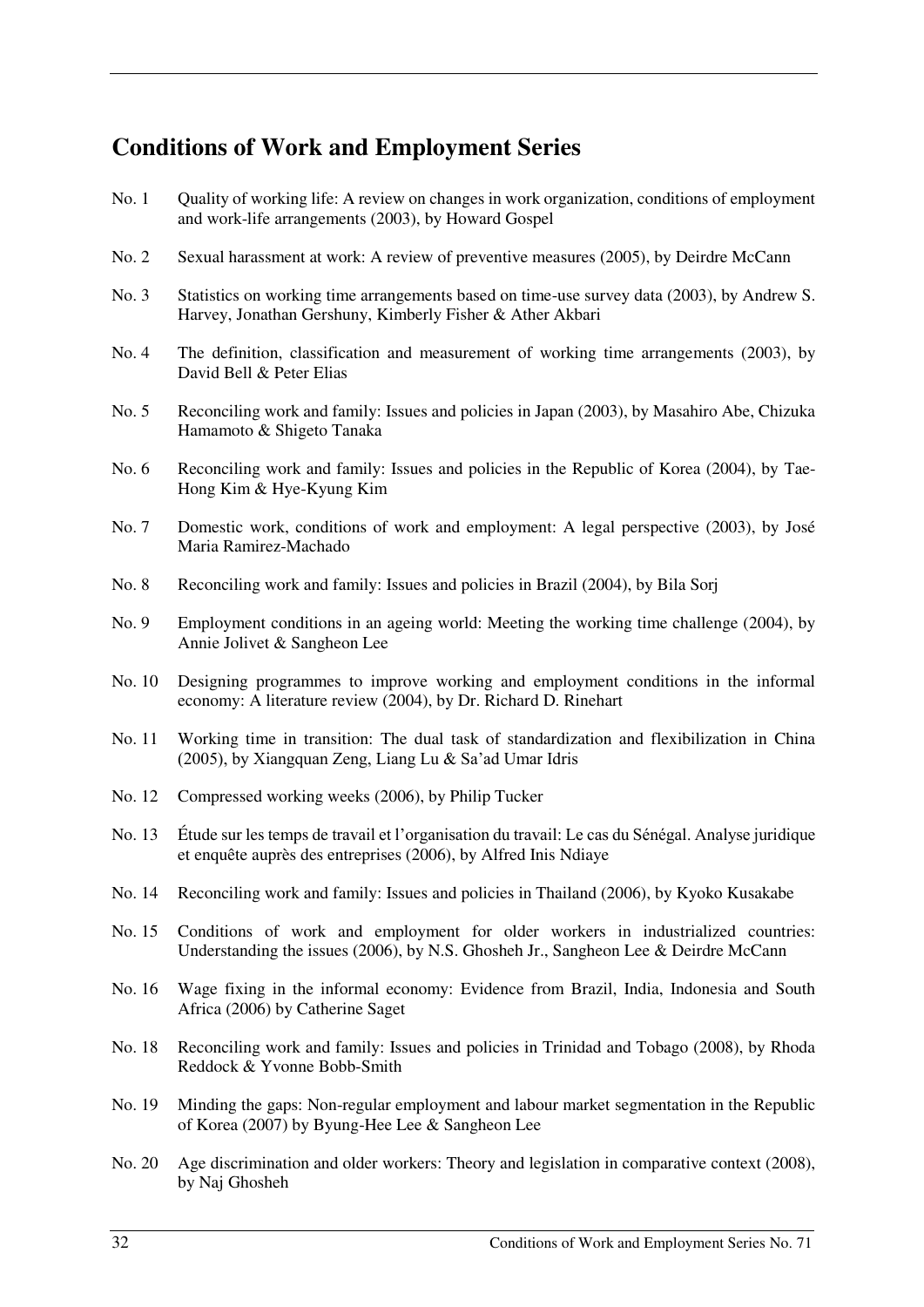## **Conditions of Work and Employment Series**

- No. 1 Cuality of working life: A review on changes in work organization, conditions of employment and work-life arrangements (2003), by Howard Gospel
- No. 2 Sexual harassment at work: A review of preventive measures (2005), by Deirdre McCann
- No. 3 Statistics on working time arrangements based on time-use survey data (2003), by Andrew S. Harvey, Jonathan Gershuny, Kimberly Fisher & Ather Akbari
- No. 4 The definition, classification and measurement of working time arrangements (2003), by David Bell & Peter Elias
- No. 5 Reconciling work and family: Issues and policies in Japan (2003), by Masahiro Abe, Chizuka Hamamoto & Shigeto Tanaka
- No. 6 Reconciling work and family: Issues and policies in the Republic of Korea (2004), by Tae-Hong Kim & Hye-Kyung Kim
- No. 7 Domestic work, conditions of work and employment: A legal perspective (2003), by José Maria Ramirez-Machado
- No. 8 Reconciling work and family: Issues and policies in Brazil (2004), by Bila Sorj
- No. 9 Employment conditions in an ageing world: Meeting the working time challenge (2004), by Annie Jolivet & Sangheon Lee
- No. 10 Designing programmes to improve working and employment conditions in the informal economy: A literature review (2004), by Dr. Richard D. Rinehart
- No. 11 Working time in transition: The dual task of standardization and flexibilization in China (2005), by Xiangquan Zeng, Liang Lu & Sa'ad Umar Idris
- No. 12 Compressed working weeks (2006), by Philip Tucker
- No. 13 Étude sur les temps de travail et l'organisation du travail: Le cas du Sénégal. Analyse juridique et enquête auprès des entreprises (2006), by Alfred Inis Ndiaye
- No. 14 Reconciling work and family: Issues and policies in Thailand (2006), by Kyoko Kusakabe
- No. 15 Conditions of work and employment for older workers in industrialized countries: Understanding the issues (2006), by N.S. Ghosheh Jr., Sangheon Lee & Deirdre McCann
- No. 16 Wage fixing in the informal economy: Evidence from Brazil, India, Indonesia and South Africa (2006) by Catherine Saget
- No. 18 Reconciling work and family: Issues and policies in Trinidad and Tobago (2008), by Rhoda Reddock & Yvonne Bobb-Smith
- No. 19 Minding the gaps: Non-regular employment and labour market segmentation in the Republic of Korea (2007) by Byung-Hee Lee & Sangheon Lee
- No. 20 Age discrimination and older workers: Theory and legislation in comparative context (2008), by Naj Ghosheh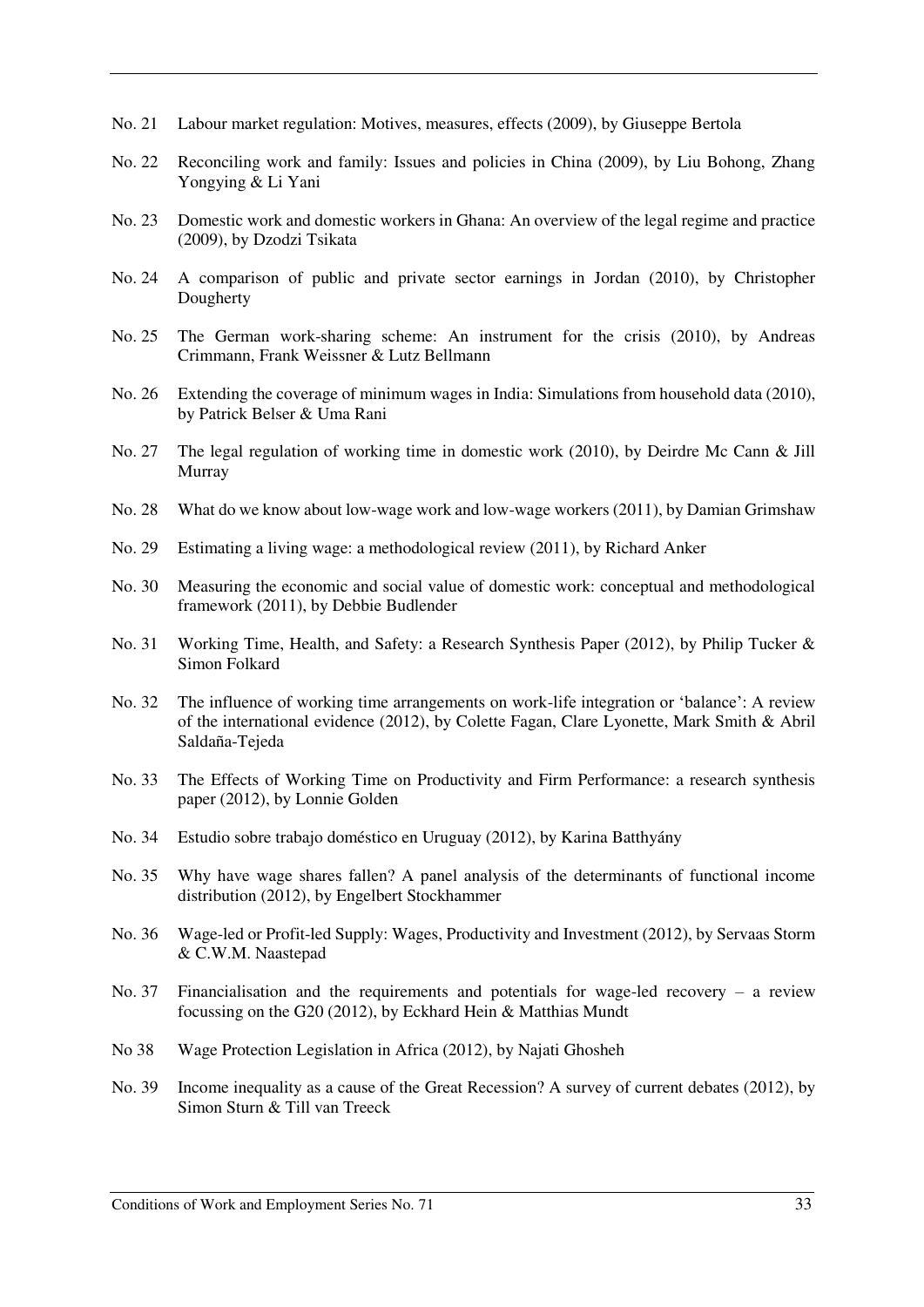- No. 21 Labour market regulation: Motives, measures, effects (2009), by Giuseppe Bertola
- No. 22 Reconciling work and family: Issues and policies in China (2009), by Liu Bohong, Zhang Yongying & Li Yani
- No. 23 Domestic work and domestic workers in Ghana: An overview of the legal regime and practice (2009), by Dzodzi Tsikata
- No. 24 A comparison of public and private sector earnings in Jordan (2010), by Christopher Dougherty
- No. 25 The German work-sharing scheme: An instrument for the crisis (2010), by Andreas Crimmann, Frank Weissner & Lutz Bellmann
- No. 26 Extending the coverage of minimum wages in India: Simulations from household data (2010), by Patrick Belser & Uma Rani
- No. 27 The legal regulation of working time in domestic work (2010), by Deirdre Mc Cann & Jill Murray
- No. 28 What do we know about low-wage work and low-wage workers (2011), by Damian Grimshaw
- No. 29 Estimating a living wage: a methodological review (2011), by Richard Anker
- No. 30 Measuring the economic and social value of domestic work: conceptual and methodological framework (2011), by Debbie Budlender
- No. 31 Working Time, Health, and Safety: a Research Synthesis Paper (2012), by Philip Tucker & Simon Folkard
- No. 32 The influence of working time arrangements on work-life integration or 'balance': A review of the international evidence (2012), by Colette Fagan, Clare Lyonette, Mark Smith & Abril Saldaña-Tejeda
- No. 33 The Effects of Working Time on Productivity and Firm Performance: a research synthesis paper (2012), by Lonnie Golden
- No. 34 Estudio sobre trabajo doméstico en Uruguay (2012), by Karina Batthyány
- No. 35 Why have wage shares fallen? A panel analysis of the determinants of functional income distribution (2012), by Engelbert Stockhammer
- No. 36 Wage-led or Profit-led Supply: Wages, Productivity and Investment (2012), by Servaas Storm & C.W.M. Naastepad
- No. 37 Financialisation and the requirements and potentials for wage-led recovery a review focussing on the G20 (2012), by Eckhard Hein & Matthias Mundt
- No 38 Wage Protection Legislation in Africa (2012), by Najati Ghosheh
- No. 39 Income inequality as a cause of the Great Recession? A survey of current debates (2012), by Simon Sturn & Till van Treeck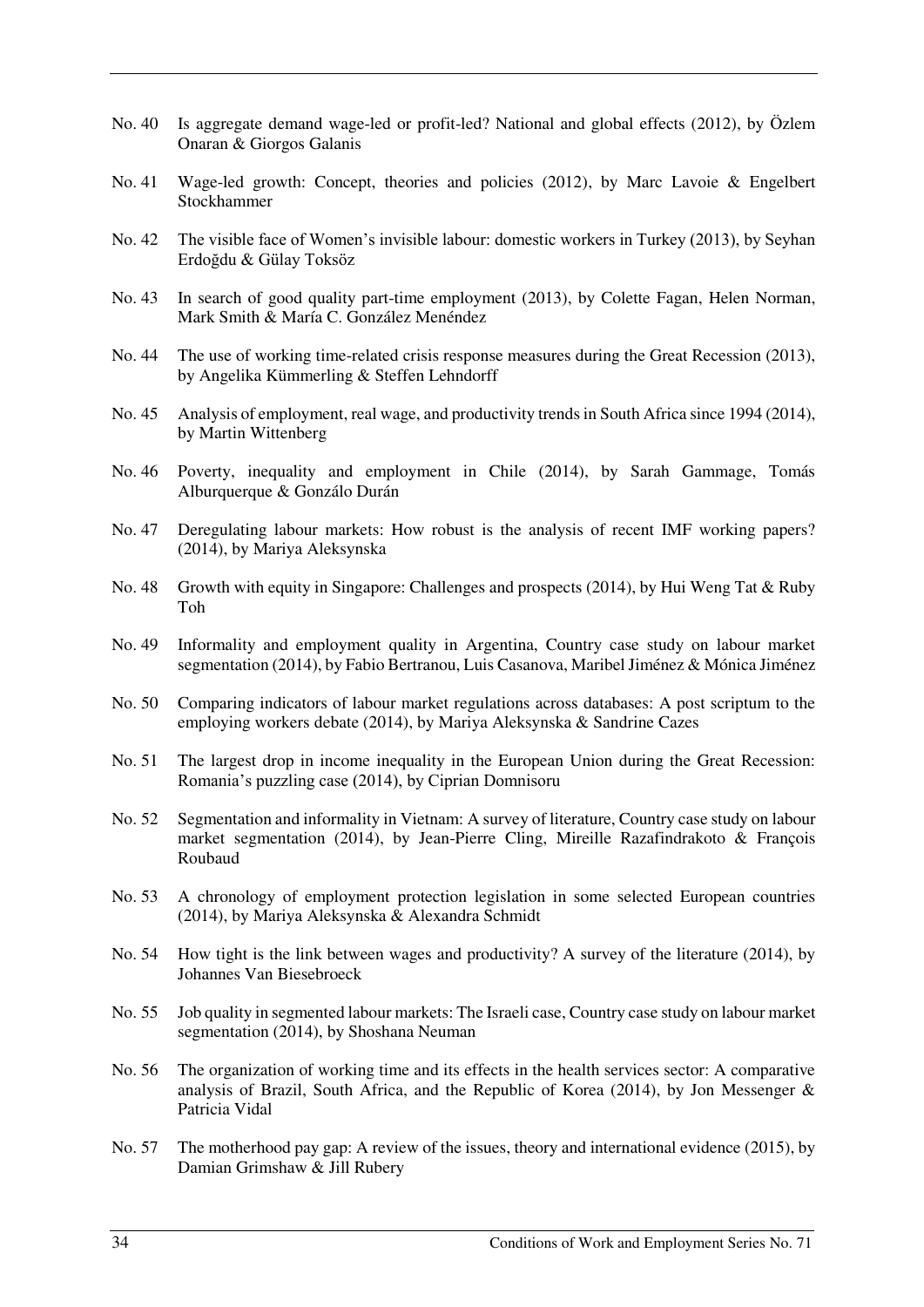- No. 40 Is aggregate demand wage-led or profit-led? National and global effects (2012), by Özlem Onaran & Giorgos Galanis
- No. 41 Wage-led growth: Concept, theories and policies (2012), by Marc Lavoie & Engelbert Stockhammer
- No. 42 The visible face of Women's invisible labour: domestic workers in Turkey (2013), by Seyhan Erdoğdu & Gülay Toksöz
- No. 43 In search of good quality part-time employment (2013), by Colette Fagan, Helen Norman, Mark Smith & María C. González Menéndez
- No. 44 The use of working time-related crisis response measures during the Great Recession (2013), by Angelika Kümmerling & Steffen Lehndorff
- No. 45 Analysis of employment, real wage, and productivity trends in South Africa since 1994 (2014), by Martin Wittenberg
- No. 46 Poverty, inequality and employment in Chile (2014), by Sarah Gammage, Tomás Alburquerque & Gonzálo Durán
- No. 47 Deregulating labour markets: How robust is the analysis of recent IMF working papers? (2014), by Mariya Aleksynska
- No. 48 Growth with equity in Singapore: Challenges and prospects (2014), by Hui Weng Tat & Ruby Toh
- No. 49 Informality and employment quality in Argentina, Country case study on labour market segmentation (2014), by Fabio Bertranou, Luis Casanova, Maribel Jiménez & Mónica Jiménez
- No. 50 Comparing indicators of labour market regulations across databases: A post scriptum to the employing workers debate (2014), by Mariya Aleksynska & Sandrine Cazes
- No. 51 The largest drop in income inequality in the European Union during the Great Recession: Romania's puzzling case (2014), by Ciprian Domnisoru
- No. 52 Segmentation and informality in Vietnam: A survey of literature, Country case study on labour market segmentation (2014), by Jean-Pierre Cling, Mireille Razafindrakoto & François Roubaud
- No. 53 A chronology of employment protection legislation in some selected European countries (2014), by Mariya Aleksynska & Alexandra Schmidt
- No. 54 How tight is the link between wages and productivity? A survey of the literature (2014), by Johannes Van Biesebroeck
- No. 55 Job quality in segmented labour markets: The Israeli case, Country case study on labour market segmentation (2014), by Shoshana Neuman
- No. 56 The organization of working time and its effects in the health services sector: A comparative analysis of Brazil, South Africa, and the Republic of Korea (2014), by Jon Messenger & Patricia Vidal
- No. 57 The motherhood pay gap: A review of the issues, theory and international evidence (2015), by Damian Grimshaw & Jill Rubery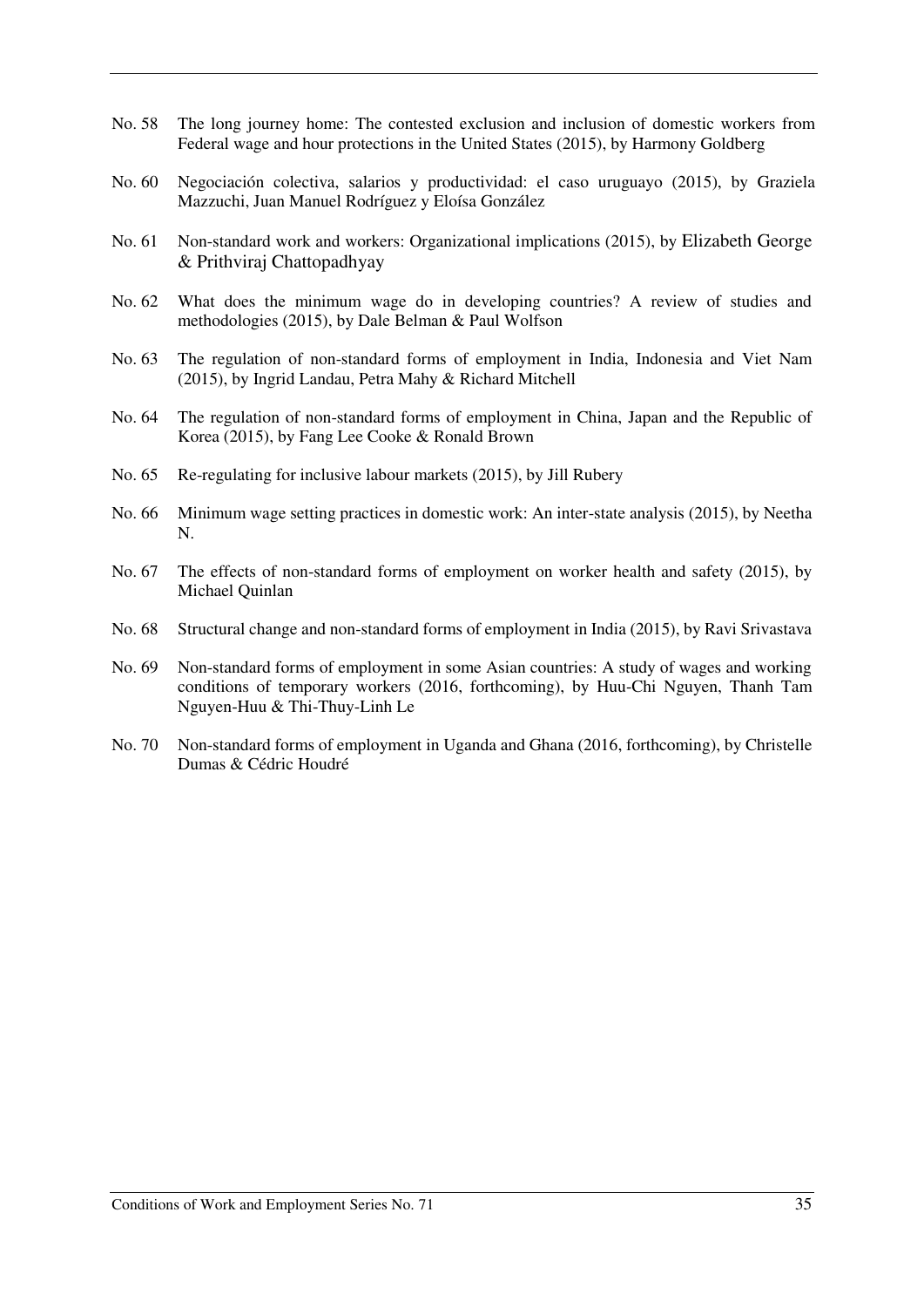- No. 58 The long journey home: The contested exclusion and inclusion of domestic workers from Federal wage and hour protections in the United States (2015), by Harmony Goldberg
- No. 60 Negociación colectiva, salarios y productividad: el caso uruguayo (2015), by Graziela Mazzuchi, Juan Manuel Rodríguez y Eloísa González
- No. 61 Non-standard work and workers: Organizational implications (2015), by Elizabeth George & Prithviraj Chattopadhyay
- No. 62 What does the minimum wage do in developing countries? A review of studies and methodologies (2015), by Dale Belman & Paul Wolfson
- No. 63 The regulation of non-standard forms of employment in India, Indonesia and Viet Nam (2015), by Ingrid Landau, Petra Mahy & Richard Mitchell
- No. 64 The regulation of non-standard forms of employment in China, Japan and the Republic of Korea (2015), by Fang Lee Cooke & Ronald Brown
- No. 65 Re-regulating for inclusive labour markets (2015), by Jill Rubery
- No. 66 Minimum wage setting practices in domestic work: An inter-state analysis (2015), by Neetha N.
- No. 67 The effects of non-standard forms of employment on worker health and safety (2015), by Michael Quinlan
- No. 68 Structural change and non-standard forms of employment in India (2015), by Ravi Srivastava
- No. 69 Non-standard forms of employment in some Asian countries: A study of wages and working conditions of temporary workers (2016, forthcoming), by Huu-Chi Nguyen, Thanh Tam Nguyen-Huu & Thi-Thuy-Linh Le
- No. 70 Non-standard forms of employment in Uganda and Ghana (2016, forthcoming), by Christelle Dumas & Cédric Houdré